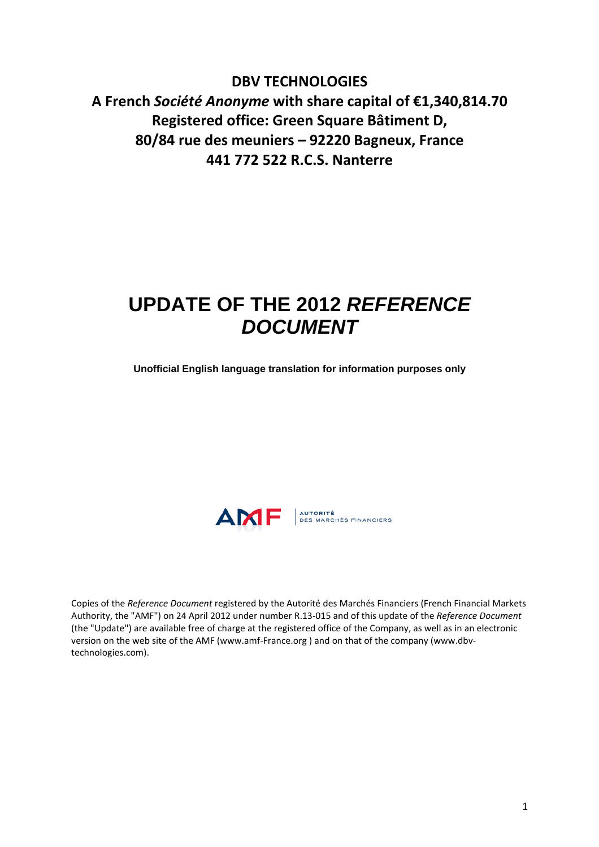**DBV TECHNOLOGIES A French** *Société Anonyme* **with share capital of €1,340,814.70 Registered office: Green Square Bâtiment D, 80/84 rue des meuniers – 92220 Bagneux, France 441 772 522 R.C.S. Nanterre**

# **UPDATE OF THE 2012** *REFERENCE DOCUMENT*

**Unofficial English language translation for information purposes only** 



Copies of the *Reference Document* registered by the Autorité des Marchés Financiers (French Financial Markets Authority, the "AMF") on 24 April 2012 under number R.13‐015 and of this update of the *Reference Document* (the "Update") are available free of charge at the registered office of the Company, as well as in an electronic version on the web site of the AMF (www.amf-France.org) and on that of the company (www.dbvtechnologies.com).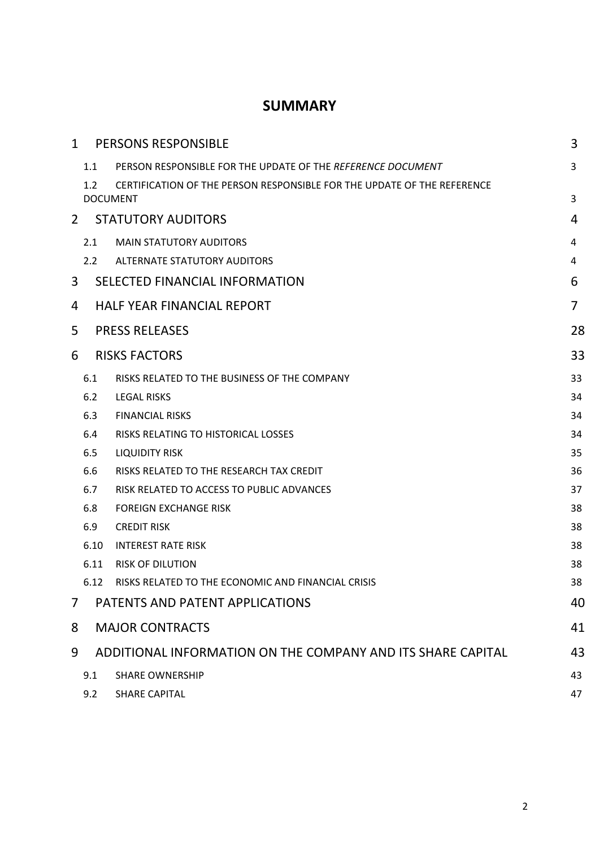# **SUMMARY**

| $\mathbf{1}$ |               | <b>PERSONS RESPONSIBLE</b>                                                                 | 3              |
|--------------|---------------|--------------------------------------------------------------------------------------------|----------------|
|              | 1.1           | PERSON RESPONSIBLE FOR THE UPDATE OF THE REFERENCE DOCUMENT                                | 3              |
|              | 1.2           | CERTIFICATION OF THE PERSON RESPONSIBLE FOR THE UPDATE OF THE REFERENCE<br><b>DOCUMENT</b> | 3              |
| 2            |               | <b>STATUTORY AUDITORS</b>                                                                  | 4              |
|              | 2.1           | <b>MAIN STATUTORY AUDITORS</b>                                                             | 4              |
|              | $2.2^{\circ}$ | <b>ALTERNATE STATUTORY AUDITORS</b>                                                        | 4              |
| 3            |               | SELECTED FINANCIAL INFORMATION                                                             | 6              |
| 4            |               | <b>HALF YEAR FINANCIAL REPORT</b>                                                          | $\overline{7}$ |
| 5            |               | <b>PRESS RELEASES</b>                                                                      | 28             |
| 6            |               | <b>RISKS FACTORS</b>                                                                       | 33             |
|              | 6.1           | RISKS RELATED TO THE BUSINESS OF THE COMPANY                                               | 33             |
|              | 6.2           | <b>LEGAL RISKS</b>                                                                         | 34             |
|              | 6.3           | <b>FINANCIAL RISKS</b>                                                                     | 34             |
|              | 6.4           | RISKS RELATING TO HISTORICAL LOSSES                                                        | 34             |
|              | 6.5           | <b>LIQUIDITY RISK</b>                                                                      | 35             |
|              | 6.6           | RISKS RELATED TO THE RESEARCH TAX CREDIT                                                   | 36             |
|              | 6.7           | RISK RELATED TO ACCESS TO PUBLIC ADVANCES                                                  | 37             |
|              | 6.8           | <b>FOREIGN EXCHANGE RISK</b>                                                               | 38             |
|              | 6.9           | <b>CREDIT RISK</b>                                                                         | 38             |
|              | 6.10          | <b>INTEREST RATE RISK</b>                                                                  | 38             |
|              | 6.11          | <b>RISK OF DILUTION</b>                                                                    | 38             |
|              | 6.12          | RISKS RELATED TO THE ECONOMIC AND FINANCIAL CRISIS                                         | 38             |
| 7            |               | PATENTS AND PATENT APPLICATIONS                                                            | 40             |
| 8            |               | <b>MAJOR CONTRACTS</b>                                                                     | 41             |
| 9            |               | ADDITIONAL INFORMATION ON THE COMPANY AND ITS SHARE CAPITAL                                | 43             |
|              | 9.1           | <b>SHARE OWNERSHIP</b>                                                                     | 43             |
|              | 9.2           | <b>SHARE CAPITAL</b>                                                                       | 47             |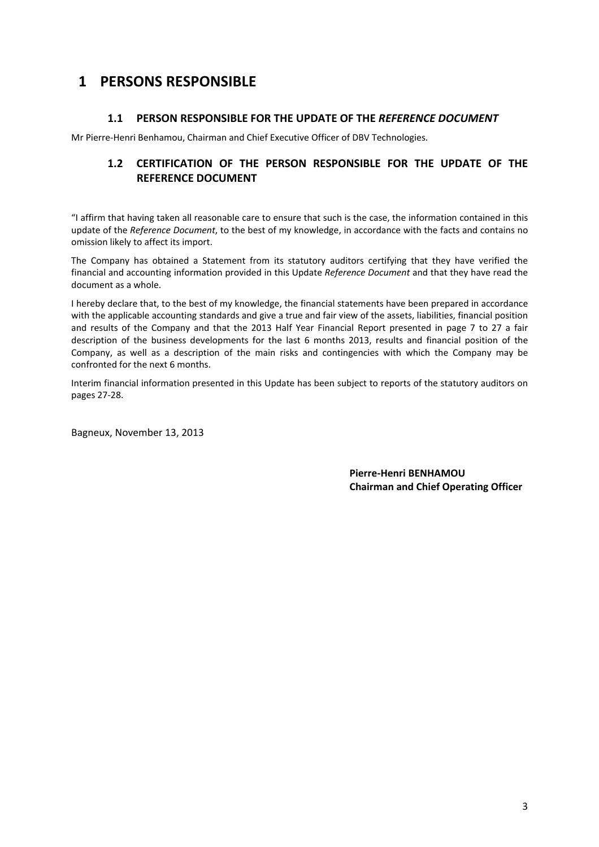# **1 PERSONS RESPONSIBLE**

## **1.1 PERSON RESPONSIBLE FOR THE UPDATE OF THE** *REFERENCE DOCUMENT*

Mr Pierre‐Henri Benhamou, Chairman and Chief Executive Officer of DBV Technologies.

# **1.2 CERTIFICATION OF THE PERSON RESPONSIBLE FOR THE UPDATE OF THE REFERENCE DOCUMENT**

"I affirm that having taken all reasonable care to ensure that such is the case, the information contained in this update of the *Reference Document*, to the best of my knowledge, in accordance with the facts and contains no omission likely to affect its import.

The Company has obtained a Statement from its statutory auditors certifying that they have verified the financial and accounting information provided in this Update *Reference Document* and that they have read the document as a whole.

I hereby declare that, to the best of my knowledge, the financial statements have been prepared in accordance with the applicable accounting standards and give a true and fair view of the assets, liabilities, financial position and results of the Company and that the 2013 Half Year Financial Report presented in page 7 to 27 a fair description of the business developments for the last 6 months 2013, results and financial position of the Company, as well as a description of the main risks and contingencies with which the Company may be confronted for the next 6 months.

Interim financial information presented in this Update has been subject to reports of the statutory auditors on pages 27‐28.

Bagneux, November 13, 2013

**Pierre‐Henri BENHAMOU Chairman and Chief Operating Officer**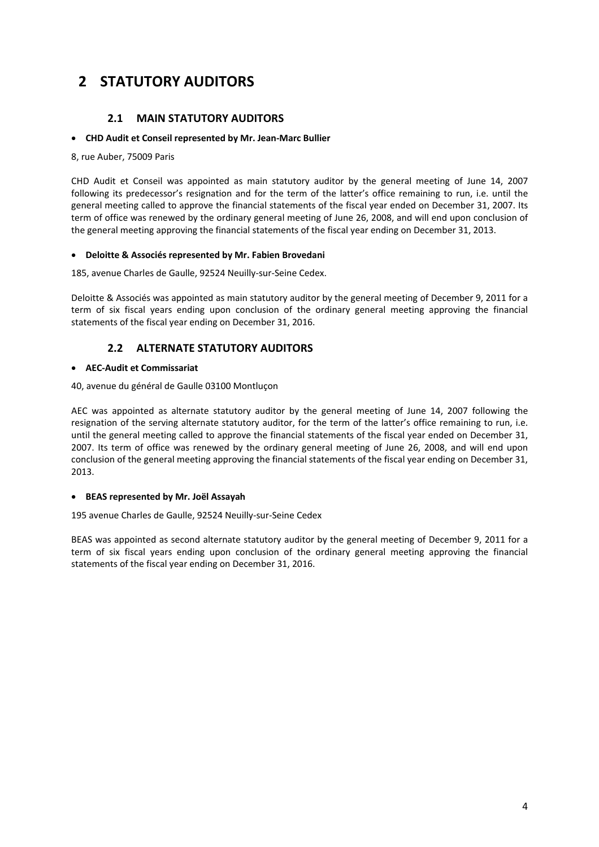# **2 STATUTORY AUDITORS**

## **2.1 MAIN STATUTORY AUDITORS**

## • **CHD Audit et Conseil represented by Mr. Jean‐Marc Bullier**

### 8, rue Auber, 75009 Paris

CHD Audit et Conseil was appointed as main statutory auditor by the general meeting of June 14, 2007 following its predecessor's resignation and for the term of the latter's office remaining to run, i.e. until the general meeting called to approve the financial statements of the fiscal year ended on December 31, 2007. Its term of office was renewed by the ordinary general meeting of June 26, 2008, and will end upon conclusion of the general meeting approving the financial statements of the fiscal year ending on December 31, 2013.

### • **Deloitte & Associés represented by Mr. Fabien Brovedani**

185, avenue Charles de Gaulle, 92524 Neuilly‐sur‐Seine Cedex.

Deloitte & Associés was appointed as main statutory auditor by the general meeting of December 9, 2011 for a term of six fiscal years ending upon conclusion of the ordinary general meeting approving the financial statements of the fiscal year ending on December 31, 2016.

## **2.2 ALTERNATE STATUTORY AUDITORS**

### • **AEC‐Audit et Commissariat**

40, avenue du général de Gaulle 03100 Montluçon

AEC was appointed as alternate statutory auditor by the general meeting of June 14, 2007 following the resignation of the serving alternate statutory auditor, for the term of the latter's office remaining to run, i.e. until the general meeting called to approve the financial statements of the fiscal year ended on December 31, 2007. Its term of office was renewed by the ordinary general meeting of June 26, 2008, and will end upon conclusion of the general meeting approving the financial statements of the fiscal year ending on December 31, 2013.

## • **BEAS represented by Mr. Joël Assayah**

195 avenue Charles de Gaulle, 92524 Neuilly‐sur‐Seine Cedex

BEAS was appointed as second alternate statutory auditor by the general meeting of December 9, 2011 for a term of six fiscal years ending upon conclusion of the ordinary general meeting approving the financial statements of the fiscal year ending on December 31, 2016.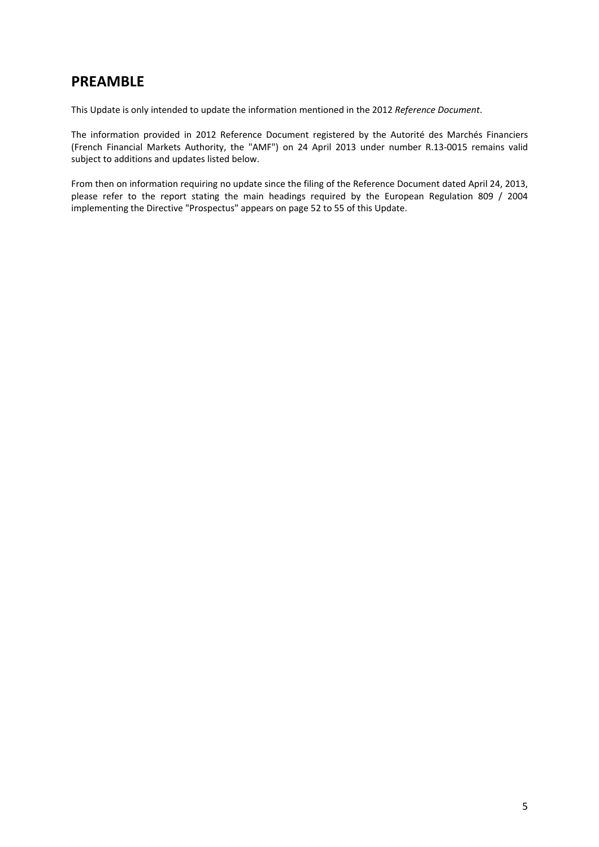# **PREAMBLE**

This Update is only intended to update the information mentioned in the 2012 *Reference Document*.

The information provided in 2012 Reference Document registered by the Autorité des Marchés Financiers (French Financial Markets Authority, the "AMF") on 24 April 2013 under number R.13‐0015 remains valid subject to additions and updates listed below.

From then on information requiring no update since the filing of the Reference Document dated April 24, 2013, please refer to the report stating the main headings required by the European Regulation 809 / 2004 implementing the Directive "Prospectus" appears on page 52 to 55 of this Update.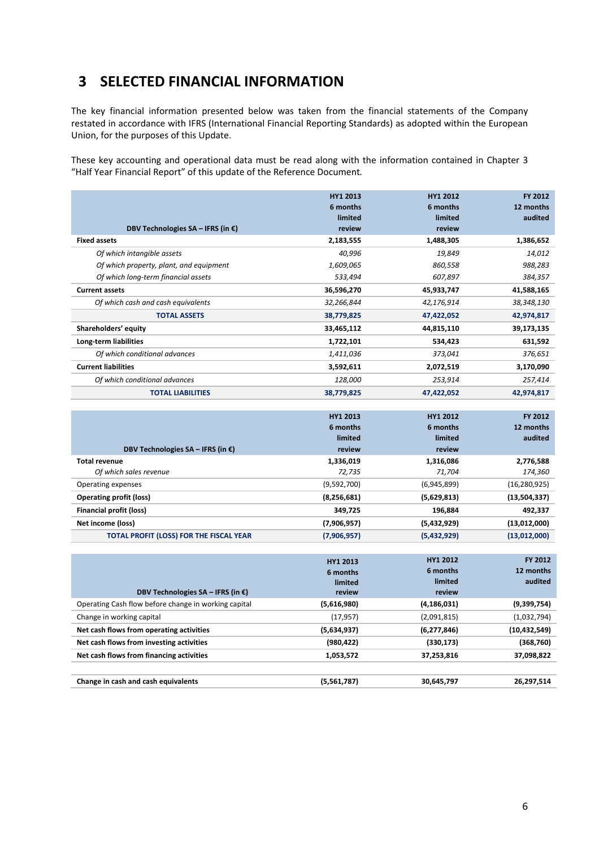# **3 SELECTED FINANCIAL INFORMATION**

The key financial information presented below was taken from the financial statements of the Company restated in accordance with IFRS (International Financial Reporting Standards) as adopted within the European Union, for the purposes of this Update.

These key accounting and operational data must be read along with the information contained in Chapter 3 "Half Year Financial Report" of this update of the Reference Document*.*

| DBV Technologies $SA - IFRS$ (in $E$ )  | HY1 2013<br>6 months<br>limited<br>review | HY1 2012<br>6 months<br>limited<br>review | FY 2012<br>12 months<br>audited |
|-----------------------------------------|-------------------------------------------|-------------------------------------------|---------------------------------|
| <b>Fixed assets</b>                     | 2,183,555                                 | 1,488,305                                 | 1,386,652                       |
| Of which intangible assets              | 40,996                                    | 19,849                                    | 14,012                          |
| Of which property, plant, and equipment | 1,609,065                                 | 860,558                                   | 988,283                         |
| Of which long-term financial assets     | 533,494                                   | 607,897                                   | 384,357                         |
| <b>Current assets</b>                   | 36,596,270                                | 45,933,747                                | 41,588,165                      |
| Of which cash and cash equivalents      | 32,266,844                                | 42,176,914                                | 38,348,130                      |
| <b>TOTAL ASSETS</b>                     | 38,779,825                                | 47,422,052                                | 42,974,817                      |
| Shareholders' equity                    | 33,465,112                                | 44,815,110                                | 39,173,135                      |
| Long-term liabilities                   | 1,722,101                                 | 534,423                                   | 631,592                         |
| Of which conditional advances           | 1,411,036                                 | 373,041                                   | 376,651                         |
| <b>Current liabilities</b>              | 3,592,611                                 | 2,072,519                                 | 3,170,090                       |
| Of which conditional advances           | 128,000                                   | 253,914                                   | 257,414                         |
| <b>TOTAL LIABILITIES</b>                | 38,779,825                                | 47,422,052                                | 42,974,817                      |

|                                                | HY1 2013      | <b>HY1 2012</b> | FY 2012        |
|------------------------------------------------|---------------|-----------------|----------------|
|                                                | 6 months      | 6 months        | 12 months      |
|                                                | limited       | limited         | audited        |
| DBV Technologies $SA - IFRS$ (in $\epsilon$ )  | review        | review          |                |
| <b>Total revenue</b>                           | 1,336,019     | 1,316,086       | 2,776,588      |
| Of which sales revenue                         | 72,735        | 71,704          | 174,360        |
| Operating expenses                             | (9,592,700)   | (6,945,899)     | (16, 280, 925) |
| <b>Operating profit (loss)</b>                 | (8, 256, 681) | (5,629,813)     | (13,504,337)   |
| Financial profit (loss)                        | 349,725       | 196,884         | 492,337        |
| Net income (loss)                              | (7,906,957)   | (5,432,929)     | (13,012,000)   |
| <b>TOTAL PROFIT (LOSS) FOR THE FISCAL YEAR</b> | (7,906,957)   | (5,432,929)     | (13,012,000)   |

| DBV Technologies $SA - IFRS$ (in $\epsilon$ )        | <b>HY1 2013</b><br>6 months<br>limited<br>review | <b>HY1 2012</b><br>6 months<br>limited<br>review | <b>FY 2012</b><br>12 months<br>audited |
|------------------------------------------------------|--------------------------------------------------|--------------------------------------------------|----------------------------------------|
| Operating Cash flow before change in working capital | (5,616,980)                                      | (4, 186, 031)                                    | (9,399,754)                            |
| Change in working capital                            | (17, 957)                                        | (2,091,815)                                      | (1,032,794)                            |
| Net cash flows from operating activities             | (5,634,937)                                      | (6,277,846)                                      | (10, 432, 549)                         |
| Net cash flows from investing activities             | (980, 422)                                       | (330, 173)                                       | (368, 760)                             |
| Net cash flows from financing activities             | 1,053,572                                        | 37,253,816                                       | 37,098,822                             |
|                                                      |                                                  |                                                  |                                        |
| Change in cash and cash equivalents                  | (5,561,787)                                      | 30,645,797                                       | 26.297.514                             |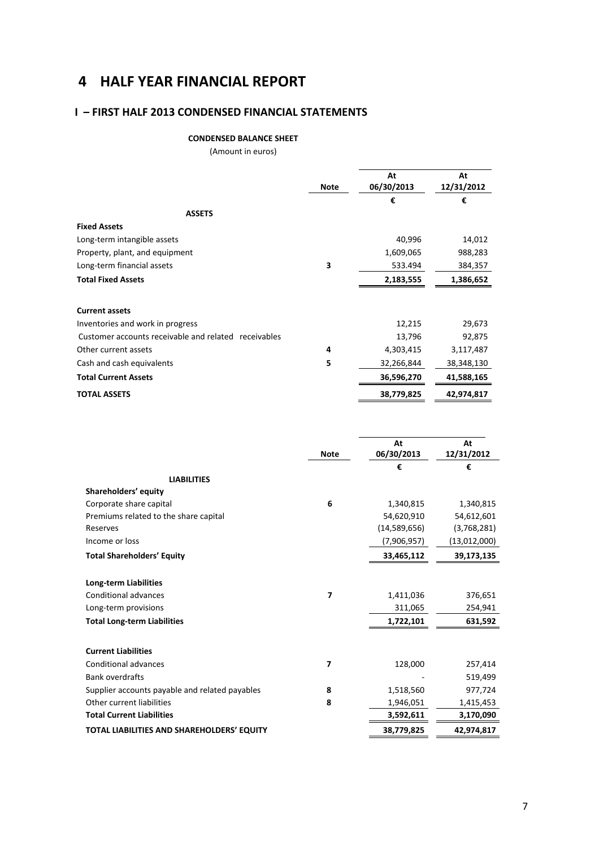# **4 HALF YEAR FINANCIAL REPORT**

# **I – FIRST HALF 2013 CONDENSED FINANCIAL STATEMENTS**

### **CONDENSED BALANCE SHEET**

(Amount in euros)

|                                                      | <b>Note</b> | At<br>06/30/2013 | At<br>12/31/2012 |
|------------------------------------------------------|-------------|------------------|------------------|
| <b>ASSETS</b>                                        |             | €                | €                |
| <b>Fixed Assets</b>                                  |             |                  |                  |
| Long-term intangible assets                          |             | 40,996           | 14,012           |
| Property, plant, and equipment                       |             | 1,609,065        | 988,283          |
| Long-term financial assets                           | 3           | 533.494          | 384,357          |
| <b>Total Fixed Assets</b>                            |             | 2,183,555        | 1,386,652        |
| <b>Current assets</b>                                |             |                  |                  |
| Inventories and work in progress                     |             | 12,215           | 29,673           |
| Customer accounts receivable and related receivables |             | 13,796           | 92,875           |
| Other current assets                                 | 4           | 4,303,415        | 3,117,487        |
| Cash and cash equivalents                            | 5           | 32,266,844       | 38,348,130       |
| <b>Total Current Assets</b>                          |             | 36,596,270       | 41,588,165       |
| <b>TOTAL ASSETS</b>                                  |             | 38,779,825       | 42,974,817       |

|                                                | <b>Note</b> | At<br>06/30/2013 | At<br>12/31/2012 |
|------------------------------------------------|-------------|------------------|------------------|
|                                                |             | €                | €                |
| <b>LIABILITIES</b>                             |             |                  |                  |
| Shareholders' equity                           |             |                  |                  |
| Corporate share capital                        | 6           | 1,340,815        | 1,340,815        |
| Premiums related to the share capital          |             | 54,620,910       | 54,612,601       |
| Reserves                                       |             | (14,589,656)     | (3,768,281)      |
| Income or loss                                 |             | (7,906,957)      | (13,012,000)     |
| <b>Total Shareholders' Equity</b>              |             | 33,465,112       | 39,173,135       |
| <b>Long-term Liabilities</b>                   |             |                  |                  |
| Conditional advances                           | 7           | 1,411,036        | 376,651          |
| Long-term provisions                           |             | 311,065          | 254,941          |
| <b>Total Long-term Liabilities</b>             |             | 1,722,101        | 631,592          |
| <b>Current Liabilities</b>                     |             |                  |                  |
| <b>Conditional advances</b>                    | 7           | 128,000          | 257,414          |
| <b>Bank overdrafts</b>                         |             |                  | 519,499          |
| Supplier accounts payable and related payables | 8           | 1,518,560        | 977,724          |
| Other current liabilities                      | 8           | 1,946,051        | 1,415,453        |
| <b>Total Current Liabilities</b>               |             | 3,592,611        | 3,170,090        |
| TOTAL LIABILITIES AND SHAREHOLDERS' EQUITY     |             | 38,779,825       | 42,974,817       |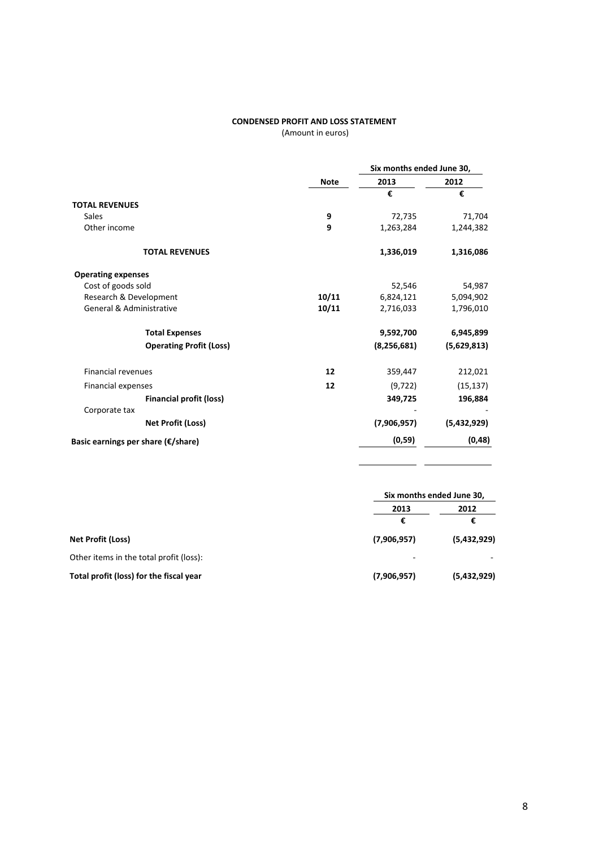#### **CONDENSED PROFIT AND LOSS STATEMENT**

(Amount in euros)

|                                     |             | Six months ended June 30, |             |
|-------------------------------------|-------------|---------------------------|-------------|
|                                     | <b>Note</b> | 2013                      | 2012        |
|                                     |             | €                         | €           |
| <b>TOTAL REVENUES</b>               |             |                           |             |
| <b>Sales</b>                        | 9           | 72,735                    | 71,704      |
| Other income                        | 9           | 1,263,284                 | 1,244,382   |
| <b>TOTAL REVENUES</b>               |             | 1,336,019                 | 1,316,086   |
| <b>Operating expenses</b>           |             |                           |             |
| Cost of goods sold                  |             | 52,546                    | 54,987      |
| Research & Development              | 10/11       | 6,824,121                 | 5,094,902   |
| <b>General &amp; Administrative</b> | 10/11       | 2,716,033                 | 1,796,010   |
| <b>Total Expenses</b>               |             | 9,592,700                 | 6,945,899   |
| <b>Operating Profit (Loss)</b>      |             | (8, 256, 681)             | (5,629,813) |
| <b>Financial revenues</b>           | 12          | 359,447                   | 212,021     |
| Financial expenses                  | 12          | (9, 722)                  | (15, 137)   |
| <b>Financial profit (loss)</b>      |             | 349,725                   | 196,884     |
| Corporate tax                       |             |                           |             |
| <b>Net Profit (Loss)</b>            |             | (7,906,957)               | (5,432,929) |
| Basic earnings per share (€/share)  |             | (0, 59)                   | (0, 48)     |

|                                         |             | Six months ended June 30, |  |  |
|-----------------------------------------|-------------|---------------------------|--|--|
|                                         | 2013        | 2012                      |  |  |
|                                         | €           | €                         |  |  |
| Net Profit (Loss)                       | (7,906,957) | (5,432,929)               |  |  |
| Other items in the total profit (loss): |             |                           |  |  |
| Total profit (loss) for the fiscal year | (7,906,957) | (5,432,929)               |  |  |

 $\overline{\phantom{0}}$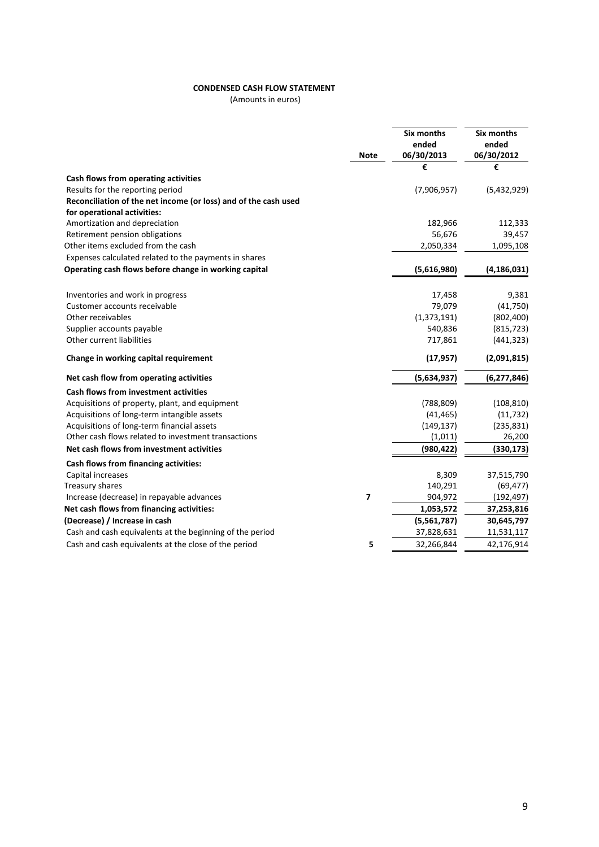### **CONDENSED CASH FLOW STATEMENT**

(Amounts in euros)

|                                                                 | <b>Note</b> | Six months<br>ended<br>06/30/2013 | <b>Six months</b><br>ended<br>06/30/2012 |
|-----------------------------------------------------------------|-------------|-----------------------------------|------------------------------------------|
|                                                                 |             | €                                 | €                                        |
| Cash flows from operating activities                            |             |                                   |                                          |
| Results for the reporting period                                |             | (7,906,957)                       | (5,432,929)                              |
| Reconciliation of the net income (or loss) and of the cash used |             |                                   |                                          |
| for operational activities:                                     |             |                                   |                                          |
| Amortization and depreciation                                   |             | 182,966                           | 112,333                                  |
| Retirement pension obligations                                  |             | 56,676                            | 39,457                                   |
| Other items excluded from the cash                              |             | 2,050,334                         | 1,095,108                                |
| Expenses calculated related to the payments in shares           |             |                                   |                                          |
| Operating cash flows before change in working capital           |             | (5,616,980)                       | (4, 186, 031)                            |
| Inventories and work in progress                                |             | 17,458                            | 9,381                                    |
| Customer accounts receivable                                    |             | 79,079                            | (41,750)                                 |
| Other receivables                                               |             | (1, 373, 191)                     | (802, 400)                               |
| Supplier accounts payable                                       |             | 540,836                           | (815, 723)                               |
| Other current liabilities                                       |             | 717,861                           | (441, 323)                               |
| Change in working capital requirement                           |             | (17, 957)                         | (2,091,815)                              |
| Net cash flow from operating activities                         |             | (5,634,937)                       | (6, 277, 846)                            |
| Cash flows from investment activities                           |             |                                   |                                          |
| Acquisitions of property, plant, and equipment                  |             | (788, 809)                        | (108, 810)                               |
| Acquisitions of long-term intangible assets                     |             | (41, 465)                         | (11, 732)                                |
| Acquisitions of long-term financial assets                      |             | (149, 137)                        | (235, 831)                               |
| Other cash flows related to investment transactions             |             | (1,011)                           | 26,200                                   |
| Net cash flows from investment activities                       |             | (980, 422)                        | (330, 173)                               |
| Cash flows from financing activities:                           |             |                                   |                                          |
| Capital increases                                               |             | 8,309                             | 37,515,790                               |
| Treasury shares                                                 |             | 140,291                           | (69, 477)                                |
| Increase (decrease) in repayable advances                       | 7           | 904,972                           | (192, 497)                               |
| Net cash flows from financing activities:                       |             | 1,053,572                         | 37,253,816                               |
| (Decrease) / Increase in cash                                   |             | (5,561,787)                       | 30,645,797                               |
| Cash and cash equivalents at the beginning of the period        |             | 37,828,631                        | 11,531,117                               |
| Cash and cash equivalents at the close of the period            | 5           | 32,266,844                        | 42,176,914                               |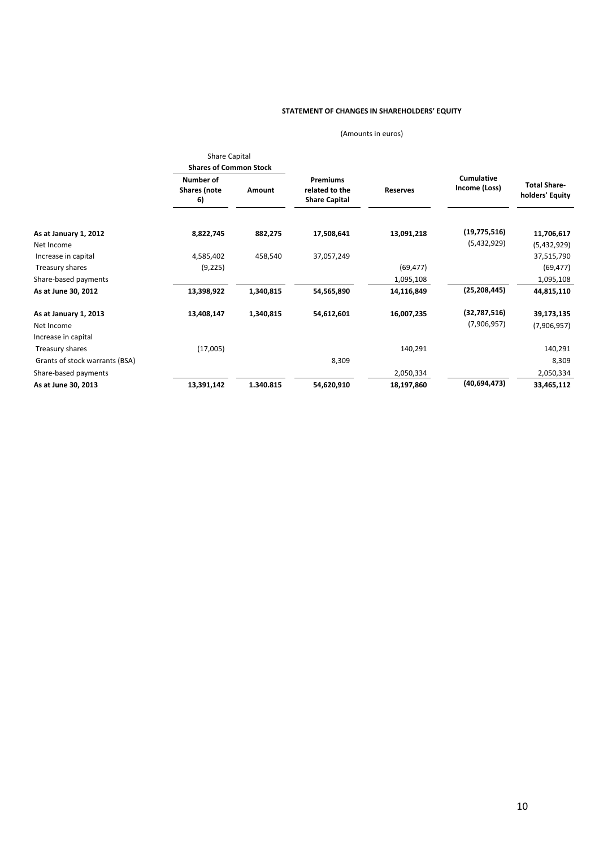#### **STATEMENT OF CHANGES IN SHAREHOLDERS' EQUITY**

(Amounts in euros)

|                                | <b>Share Capital</b>                   |           |                                                           |                 |                             |                                        |
|--------------------------------|----------------------------------------|-----------|-----------------------------------------------------------|-----------------|-----------------------------|----------------------------------------|
|                                | <b>Shares of Common Stock</b>          |           |                                                           |                 |                             |                                        |
|                                | Number of<br><b>Shares</b> (note<br>6) | Amount    | <b>Premiums</b><br>related to the<br><b>Share Capital</b> | <b>Reserves</b> | Cumulative<br>Income (Loss) | <b>Total Share-</b><br>holders' Equity |
| As at January 1, 2012          | 8,822,745                              | 882,275   | 17,508,641                                                | 13,091,218      | (19, 775, 516)              | 11,706,617                             |
| Net Income                     |                                        |           |                                                           |                 | (5,432,929)                 | (5,432,929)                            |
| Increase in capital            | 4,585,402                              | 458,540   | 37,057,249                                                |                 |                             | 37,515,790                             |
| Treasury shares                | (9, 225)                               |           |                                                           | (69, 477)       |                             | (69, 477)                              |
| Share-based payments           |                                        |           |                                                           | 1,095,108       |                             | 1,095,108                              |
| As at June 30, 2012            | 13,398,922                             | 1,340,815 | 54,565,890                                                | 14,116,849      | (25, 208, 445)              | 44,815,110                             |
| As at January 1, 2013          | 13,408,147                             | 1,340,815 | 54,612,601                                                | 16,007,235      | (32,787,516)                | 39,173,135                             |
| Net Income                     |                                        |           |                                                           |                 | (7,906,957)                 | (7,906,957)                            |
| Increase in capital            |                                        |           |                                                           |                 |                             |                                        |
| Treasury shares                | (17,005)                               |           |                                                           | 140,291         |                             | 140,291                                |
| Grants of stock warrants (BSA) |                                        |           | 8,309                                                     |                 |                             | 8,309                                  |
| Share-based payments           |                                        |           |                                                           | 2,050,334       |                             | 2,050,334                              |
| As at June 30, 2013            | 13,391,142                             | 1.340.815 | 54,620,910                                                | 18,197,860      | (40,694,473)                | 33,465,112                             |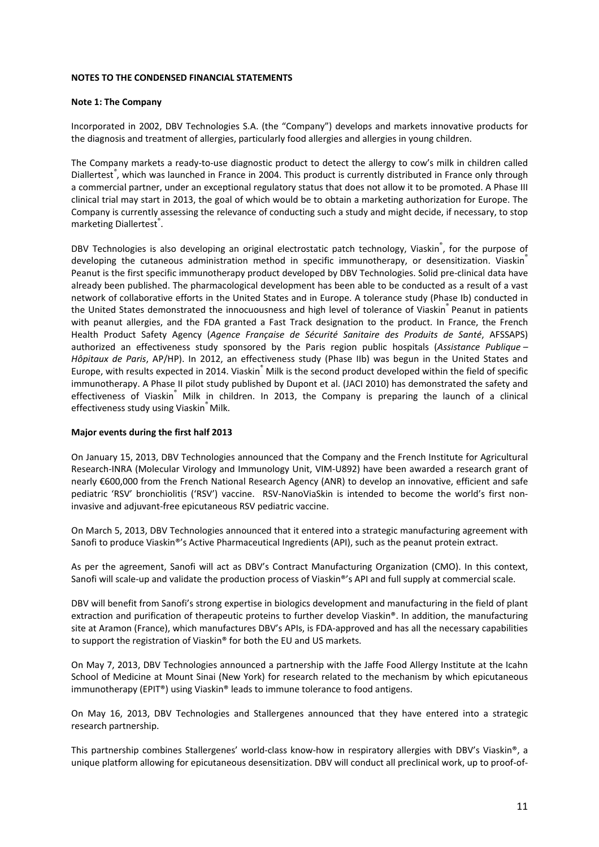#### **NOTES TO THE CONDENSED FINANCIAL STATEMENTS**

#### **Note 1: The Company**

Incorporated in 2002, DBV Technologies S.A. (the "Company") develops and markets innovative products for the diagnosis and treatment of allergies, particularly food allergies and allergies in young children.

The Company markets a ready-to-use diagnostic product to detect the allergy to cow's milk in children called Diallertest*®* , which was launched in France in 2004. This product is currently distributed in France only through a commercial partner, under an exceptional regulatory status that does not allow it to be promoted. A Phase III clinical trial may start in 2013, the goal of which would be to obtain a marketing authorization for Europe. The Company is currently assessing the relevance of conducting such a study and might decide, if necessary, to stop marketing Diallertest<sup>®</sup>.

DBV Technologies is also developing an original electrostatic patch technology, Viaskin®, for the purpose of developing the cutaneous administration method in specific immunotherapy, or desensitization. Viaskin® Peanut is the first specific immunotherapy product developed by DBV Technologies. Solid pre‐clinical data have already been published. The pharmacological development has been able to be conducted as a result of a vast network of collaborative efforts in the United States and in Europe. A tolerance study (Phase Ib) conducted in the United States demonstrated the innocuousness and high level of tolerance of Viaskin® Peanut in patients with peanut allergies, and the FDA granted a Fast Track designation to the product. In France, the French Health Product Safety Agency (*Agence Française de Sécurité Sanitaire des Produits de Santé*, AFSSAPS) authorized an effectiveness study sponsored by the Paris region public hospitals (*Assistance Publique – Hôpitaux de Paris*, AP/HP). In 2012, an effectiveness study (Phase IIb) was begun in the United States and Europe, with results expected in 2014. Viaskin® Milk is the second product developed within the field of specific immunotherapy. A Phase II pilot study published by Dupont et al. (JACI 2010) has demonstrated the safety and effectiveness of Viaskin<sup>®</sup> Milk in children. In 2013, the Company is preparing the launch of a clinical effectiveness study using Viaskin<sup>®</sup> Milk.

#### **Major events during the first half 2013**

On January 15, 2013, DBV Technologies announced that the Company and the French Institute for Agricultural Research‐INRA (Molecular Virology and Immunology Unit, VIM‐U892) have been awarded a research grant of nearly €600,000 from the French National Research Agency (ANR) to develop an innovative, efficient and safe pediatric 'RSV' bronchiolitis ('RSV') vaccine. RSV-NanoViaSkin is intended to become the world's first noninvasive and adjuvant‐free epicutaneous RSV pediatric vaccine.

On March 5, 2013, DBV Technologies announced that it entered into a strategic manufacturing agreement with Sanofi to produce Viaskin®'s Active Pharmaceutical Ingredients (API), such as the peanut protein extract.

As per the agreement, Sanofi will act as DBV's Contract Manufacturing Organization (CMO). In this context, Sanofi will scale-up and validate the production process of Viaskin®'s API and full supply at commercial scale.

DBV will benefit from Sanofi's strong expertise in biologics development and manufacturing in the field of plant extraction and purification of therapeutic proteins to further develop Viaskin®. In addition, the manufacturing site at Aramon (France), which manufactures DBV's APIs, is FDA-approved and has all the necessary capabilities to support the registration of Viaskin® for both the EU and US markets.

On May 7, 2013, DBV Technologies announced a partnership with the Jaffe Food Allergy Institute at the Icahn School of Medicine at Mount Sinai (New York) for research related to the mechanism by which epicutaneous immunotherapy (EPIT®) using Viaskin® leads to immune tolerance to food antigens.

On May 16, 2013, DBV Technologies and Stallergenes announced that they have entered into a strategic research partnership.

This partnership combines Stallergenes' world‐class know‐how in respiratory allergies with DBV's Viaskin®, a unique platform allowing for epicutaneous desensitization. DBV will conduct all preclinical work, up to proof‐of‐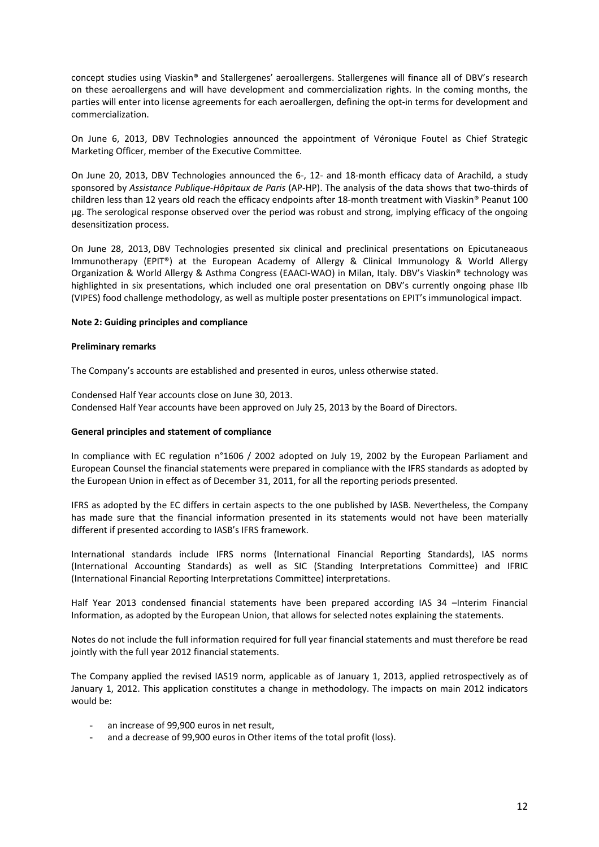concept studies using Viaskin® and Stallergenes' aeroallergens. Stallergenes will finance all of DBV's research on these aeroallergens and will have development and commercialization rights. In the coming months, the parties will enter into license agreements for each aeroallergen, defining the opt-in terms for development and commercialization.

On June 6, 2013, DBV Technologies announced the appointment of Véronique Foutel as Chief Strategic Marketing Officer, member of the Executive Committee.

On June 20, 2013, DBV Technologies announced the 6-, 12- and 18-month efficacy data of Arachild, a study sponsored by *Assistance Publique‐Hôpitaux de Paris* (AP‐HP). The analysis of the data shows that two‐thirds of children less than 12 years old reach the efficacy endpoints after 18‐month treatment with Viaskin® Peanut 100 µg. The serological response observed over the period was robust and strong, implying efficacy of the ongoing desensitization process.

On June 28, 2013, DBV Technologies presented six clinical and preclinical presentations on Epicutaneaous Immunotherapy (EPIT®) at the European Academy of Allergy & Clinical Immunology & World Allergy Organization & World Allergy & Asthma Congress (EAACI‐WAO) in Milan, Italy. DBV's Viaskin® technology was highlighted in six presentations, which included one oral presentation on DBV's currently ongoing phase IIb (VIPES) food challenge methodology, as well as multiple poster presentations on EPIT's immunological impact.

#### **Note 2: Guiding principles and compliance**

#### **Preliminary remarks**

The Company's accounts are established and presented in euros, unless otherwise stated.

Condensed Half Year accounts close on June 30, 2013. Condensed Half Year accounts have been approved on July 25, 2013 by the Board of Directors.

#### **General principles and statement of compliance**

In compliance with EC regulation n°1606 / 2002 adopted on July 19, 2002 by the European Parliament and European Counsel the financial statements were prepared in compliance with the IFRS standards as adopted by the European Union in effect as of December 31, 2011, for all the reporting periods presented.

IFRS as adopted by the EC differs in certain aspects to the one published by IASB. Nevertheless, the Company has made sure that the financial information presented in its statements would not have been materially different if presented according to IASB's IFRS framework.

International standards include IFRS norms (International Financial Reporting Standards), IAS norms (International Accounting Standards) as well as SIC (Standing Interpretations Committee) and IFRIC (International Financial Reporting Interpretations Committee) interpretations.

Half Year 2013 condensed financial statements have been prepared according IAS 34 -Interim Financial Information, as adopted by the European Union, that allows for selected notes explaining the statements.

Notes do not include the full information required for full year financial statements and must therefore be read jointly with the full year 2012 financial statements.

The Company applied the revised IAS19 norm, applicable as of January 1, 2013, applied retrospectively as of January 1, 2012. This application constitutes a change in methodology. The impacts on main 2012 indicators would be:

- an increase of 99,900 euros in net result,
- and a decrease of 99,900 euros in Other items of the total profit (loss).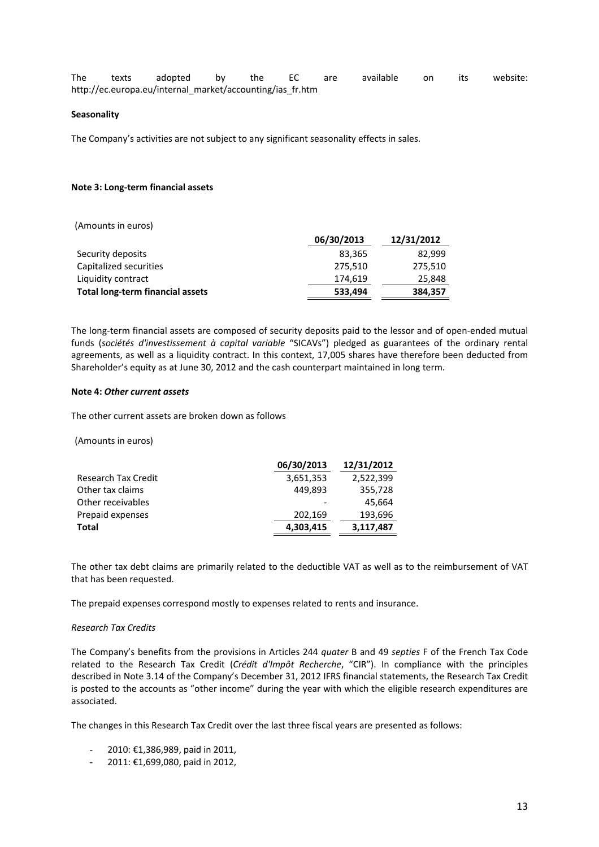| The | texts | adopted by                                                | the EC | are | available on | its | website: |
|-----|-------|-----------------------------------------------------------|--------|-----|--------------|-----|----------|
|     |       | http://ec.europa.eu/internal_market/accounting/ias_fr.htm |        |     |              |     |          |

#### **Seasonality**

The Company's activities are not subject to any significant seasonality effects in sales.

#### **Note 3: Long‐term financial assets**

| (Amounts in euros)                      |            |            |
|-----------------------------------------|------------|------------|
|                                         | 06/30/2013 | 12/31/2012 |
| Security deposits                       | 83,365     | 82,999     |
| Capitalized securities                  | 275,510    | 275,510    |
| Liquidity contract                      | 174,619    | 25,848     |
| <b>Total long-term financial assets</b> | 533,494    | 384,357    |

The long-term financial assets are composed of security deposits paid to the lessor and of open-ended mutual funds (*sociétés d'investissement à capital variable* "SICAVs") pledged as guarantees of the ordinary rental agreements, as well as a liquidity contract. In this context, 17,005 shares have therefore been deducted from Shareholder's equity as at June 30, 2012 and the cash counterpart maintained in long term.

#### **Note 4:** *Other current assets*

The other current assets are broken down as follows

(Amounts in euros)

|                            | 06/30/2013 | 12/31/2012 |
|----------------------------|------------|------------|
| <b>Research Tax Credit</b> | 3,651,353  | 2,522,399  |
| Other tax claims           | 449.893    | 355,728    |
| Other receivables          |            | 45,664     |
| Prepaid expenses           | 202,169    | 193,696    |
| Total                      | 4,303,415  | 3,117,487  |
|                            |            |            |

The other tax debt claims are primarily related to the deductible VAT as well as to the reimbursement of VAT that has been requested.

The prepaid expenses correspond mostly to expenses related to rents and insurance.

#### *Research Tax Credits*

The Company's benefits from the provisions in Articles 244 *quater* B and 49 *septies* F of the French Tax Code related to the Research Tax Credit (*Crédit d'Impôt Recherche*, "CIR"). In compliance with the principles described in Note 3.14 of the Company's December 31, 2012 IFRS financial statements, the Research Tax Credit is posted to the accounts as "other income" during the year with which the eligible research expenditures are associated.

The changes in this Research Tax Credit over the last three fiscal years are presented as follows:

- 2010: €1,386,989, paid in 2011,
- 2011: €1,699,080, paid in 2012,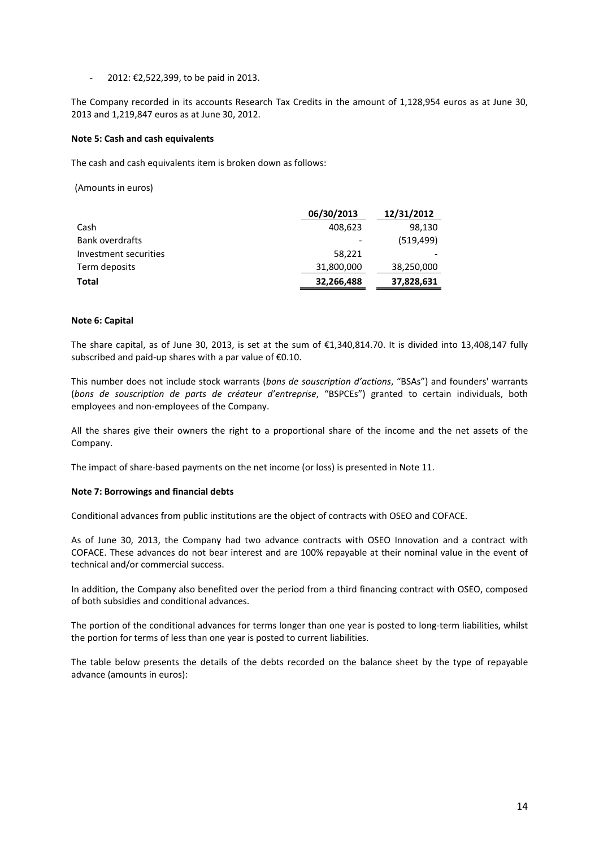- 2012: €2,522,399, to be paid in 2013.

The Company recorded in its accounts Research Tax Credits in the amount of 1,128,954 euros as at June 30, 2013 and 1,219,847 euros as at June 30, 2012.

#### **Note 5: Cash and cash equivalents**

The cash and cash equivalents item is broken down as follows:

(Amounts in euros)

|                        | 06/30/2013 | 12/31/2012 |
|------------------------|------------|------------|
| Cash                   | 408,623    | 98,130     |
| <b>Bank overdrafts</b> |            | (519, 499) |
| Investment securities  | 58,221     |            |
| Term deposits          | 31,800,000 | 38,250,000 |
| Total                  | 32,266,488 | 37,828,631 |

#### **Note 6: Capital**

The share capital, as of June 30, 2013, is set at the sum of €1,340,814.70. It is divided into 13,408,147 fully subscribed and paid‐up shares with a par value of €0.10.

This number does not include stock warrants (*bons de souscription d'actions*, "BSAs") and founders' warrants (*bons de souscription de parts de créateur d'entreprise*, "BSPCEs") granted to certain individuals, both employees and non‐employees of the Company.

All the shares give their owners the right to a proportional share of the income and the net assets of the Company.

The impact of share-based payments on the net income (or loss) is presented in Note 11.

#### **Note 7: Borrowings and financial debts**

Conditional advances from public institutions are the object of contracts with OSEO and COFACE.

As of June 30, 2013, the Company had two advance contracts with OSEO Innovation and a contract with COFACE. These advances do not bear interest and are 100% repayable at their nominal value in the event of technical and/or commercial success.

In addition, the Company also benefited over the period from a third financing contract with OSEO, composed of both subsidies and conditional advances.

The portion of the conditional advances for terms longer than one year is posted to long-term liabilities, whilst the portion for terms of less than one year is posted to current liabilities.

The table below presents the details of the debts recorded on the balance sheet by the type of repayable advance (amounts in euros):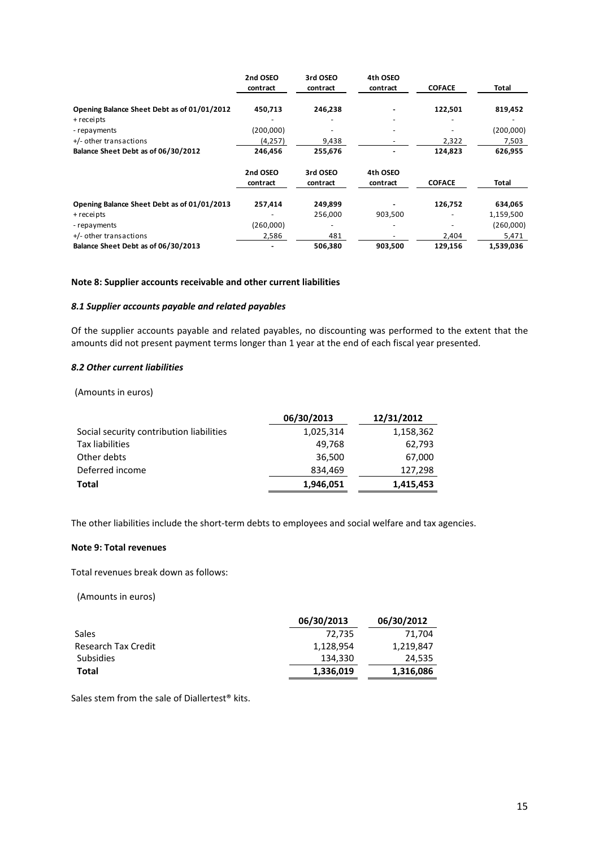|                                             | 2nd OSEO<br>contract | 3rd OSEO<br>contract | 4th OSEO<br>contract | <b>COFACE</b> | Total     |
|---------------------------------------------|----------------------|----------------------|----------------------|---------------|-----------|
| Opening Balance Sheet Debt as of 01/01/2012 | 450,713              | 246,238              |                      | 122,501       | 819,452   |
| + receipts                                  |                      |                      |                      |               |           |
| - repayments                                | (200,000)            |                      |                      |               | (200,000) |
| +/- other transactions                      | (4,257)              | 9,438                |                      | 2,322         | 7,503     |
| Balance Sheet Debt as of 06/30/2012         | 246,456              | 255,676              |                      | 124,823       | 626,955   |
|                                             | 2nd OSEO             | 3rd OSEO             | 4th OSEO             |               |           |
|                                             | contract             | contract             | contract             | <b>COFACE</b> | Total     |
| Opening Balance Sheet Debt as of 01/01/2013 | 257.414              | 249,899              |                      | 126,752       | 634,065   |
| + receipts                                  |                      | 256,000              | 903,500              |               | 1,159,500 |
| - repayments                                | (260,000)            |                      |                      |               | (260,000) |
| +/- other transactions                      | 2,586                | 481                  |                      | 2,404         | 5,471     |
| Balance Sheet Debt as of 06/30/2013         |                      | 506,380              | 903,500              | 129,156       | 1,539,036 |

#### **Note 8: Supplier accounts receivable and other current liabilities**

#### *8.1 Supplier accounts payable and related payables*

Of the supplier accounts payable and related payables, no discounting was performed to the extent that the amounts did not present payment terms longer than 1 year at the end of each fiscal year presented.

#### *8.2 Other current liabilities*

(Amounts in euros)

|                                          | 06/30/2013 | 12/31/2012 |
|------------------------------------------|------------|------------|
| Social security contribution liabilities | 1,025,314  | 1,158,362  |
| Tax liabilities                          | 49,768     | 62,793     |
| Other debts                              | 36,500     | 67,000     |
| Deferred income                          | 834,469    | 127,298    |
| Total                                    | 1,946,051  | 1,415,453  |

The other liabilities include the short-term debts to employees and social welfare and tax agencies.

#### **Note 9: Total revenues**

Total revenues break down as follows:

(Amounts in euros)

|                            | 06/30/2013 | 06/30/2012 |
|----------------------------|------------|------------|
| Sales                      | 72.735     | 71.704     |
| <b>Research Tax Credit</b> | 1,128,954  | 1,219,847  |
| <b>Subsidies</b>           | 134,330    | 24,535     |
| Total                      | 1,336,019  | 1,316,086  |

Sales stem from the sale of Diallertest® kits.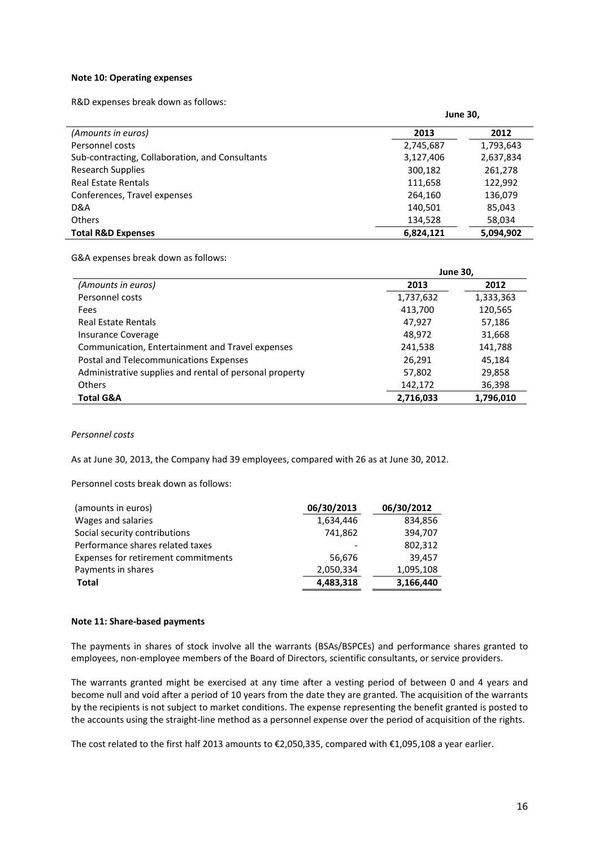#### **Note 10: Operating expenses**

R&D expenses break down as follows:

|                                                 | <b>June 30,</b> |           |
|-------------------------------------------------|-----------------|-----------|
| (Amounts in euros)                              | 2013            | 2012      |
| Personnel costs                                 | 2,745,687       | 1,793,643 |
| Sub-contracting, Collaboration, and Consultants | 3,127,406       | 2,637,834 |
| <b>Research Supplies</b>                        | 300,182         | 261,278   |
| Real Estate Rentals                             | 111,658         | 122,992   |
| Conferences, Travel expenses                    | 264,160         | 136,079   |
| D&A                                             | 140,501         | 85,043    |
| <b>Others</b>                                   | 134,528         | 58,034    |
| <b>Total R&amp;D Expenses</b>                   | 6,824,121       | 5,094,902 |

G&A expenses break down as follows:

|                                                         | <b>June 30,</b> |           |
|---------------------------------------------------------|-----------------|-----------|
| (Amounts in euros)                                      | 2013            | 2012      |
| Personnel costs                                         | 1,737,632       | 1,333,363 |
| Fees                                                    | 413,700         | 120,565   |
| Real Estate Rentals                                     | 47,927          | 57,186    |
| Insurance Coverage                                      | 48,972          | 31,668    |
| Communication, Entertainment and Travel expenses        | 241,538         | 141,788   |
| Postal and Telecommunications Expenses                  | 26,291          | 45,184    |
| Administrative supplies and rental of personal property | 57,802          | 29,858    |
| <b>Others</b>                                           | 142,172         | 36,398    |
| <b>Total G&amp;A</b>                                    | 2,716,033       | 1,796,010 |

*Personnel costs*

As at June 30, 2013, the Company had 39 employees, compared with 26 as at June 30, 2012.

Personnel costs break down as follows:

| (amounts in euros)                  | 06/30/2013 | 06/30/2012 |
|-------------------------------------|------------|------------|
| Wages and salaries                  | 1,634,446  | 834,856    |
| Social security contributions       | 741,862    | 394,707    |
| Performance shares related taxes    |            | 802,312    |
| Expenses for retirement commitments | 56.676     | 39,457     |
| Payments in shares                  | 2,050,334  | 1,095,108  |
| <b>Total</b>                        | 4,483,318  | 3,166,440  |

#### **Note 11: Share‐based payments**

The payments in shares of stock involve all the warrants (BSAs/BSPCEs) and performance shares granted to employees, non-employee members of the Board of Directors, scientific consultants, or service providers.

The warrants granted might be exercised at any time after a vesting period of between 0 and 4 years and become null and void after a period of 10 years from the date they are granted. The acquisition of the warrants by the recipients is not subject to market conditions. The expense representing the benefit granted is posted to the accounts using the straight‐line method as a personnel expense over the period of acquisition of the rights.

The cost related to the first half 2013 amounts to €2,050,335, compared with €1,095,108 a year earlier.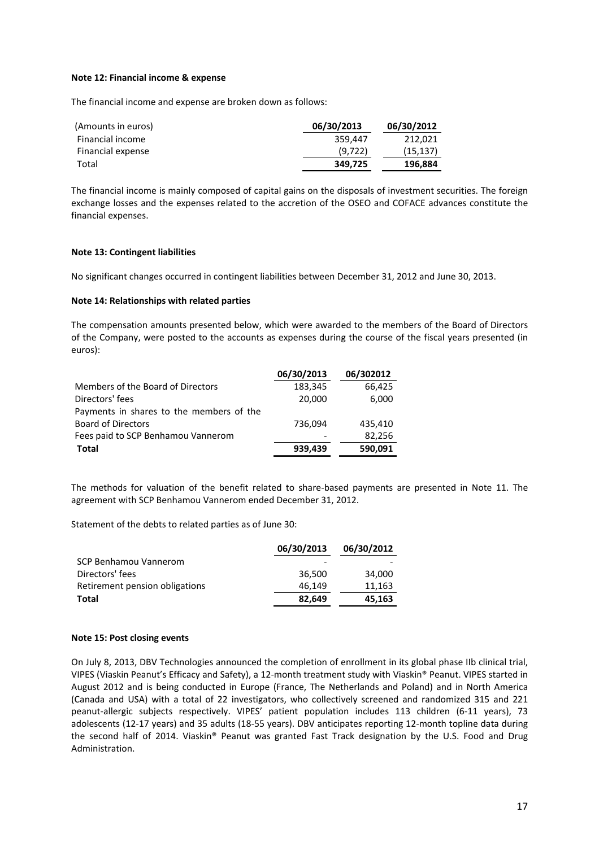#### **Note 12: Financial income & expense**

The financial income and expense are broken down as follows:

| (Amounts in euros) | 06/30/2013 | 06/30/2012 |
|--------------------|------------|------------|
| Financial income   | 359.447    | 212.021    |
| Financial expense  | (9, 722)   | (15, 137)  |
| Total              | 349,725    | 196,884    |

The financial income is mainly composed of capital gains on the disposals of investment securities. The foreign exchange losses and the expenses related to the accretion of the OSEO and COFACE advances constitute the financial expenses.

#### **Note 13: Contingent liabilities**

No significant changes occurred in contingent liabilities between December 31, 2012 and June 30, 2013.

#### **Note 14: Relationships with related parties**

The compensation amounts presented below, which were awarded to the members of the Board of Directors of the Company, were posted to the accounts as expenses during the course of the fiscal years presented (in euros):

|                                          | 06/30/2013 | 06/302012 |
|------------------------------------------|------------|-----------|
| Members of the Board of Directors        | 183,345    | 66,425    |
| Directors' fees                          | 20,000     | 6,000     |
| Payments in shares to the members of the |            |           |
| <b>Board of Directors</b>                | 736,094    | 435,410   |
| Fees paid to SCP Benhamou Vannerom       |            | 82,256    |
| <b>Total</b>                             | 939,439    | 590,091   |

The methods for valuation of the benefit related to share-based payments are presented in Note 11. The agreement with SCP Benhamou Vannerom ended December 31, 2012.

Statement of the debts to related parties as of June 30:

|                                | 06/30/2013 | 06/30/2012 |
|--------------------------------|------------|------------|
| SCP Benhamou Vannerom          |            |            |
| Directors' fees                | 36.500     | 34,000     |
| Retirement pension obligations | 46.149     | 11,163     |
| Total                          | 82,649     | 45,163     |

#### **Note 15: Post closing events**

On July 8, 2013, DBV Technologies announced the completion of enrollment in its global phase IIb clinical trial, VIPES (Viaskin Peanut's Efficacy and Safety), a 12‐month treatment study with Viaskin® Peanut. VIPES started in August 2012 and is being conducted in Europe (France, The Netherlands and Poland) and in North America (Canada and USA) with a total of 22 investigators, who collectively screened and randomized 315 and 221 peanut-allergic subjects respectively. VIPES' patient population includes 113 children (6-11 years), 73 adolescents (12‐17 years) and 35 adults (18‐55 years). DBV anticipates reporting 12‐month topline data during the second half of 2014. Viaskin® Peanut was granted Fast Track designation by the U.S. Food and Drug Administration.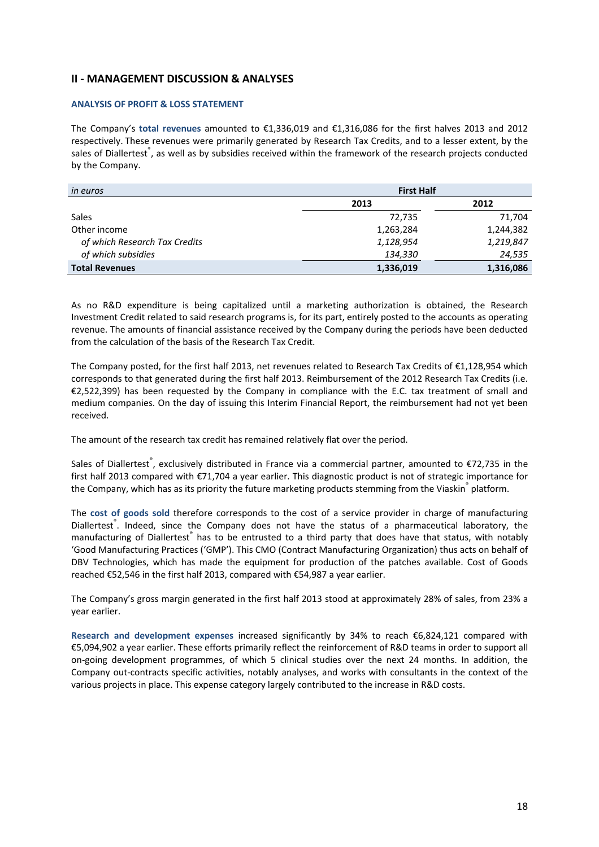## **II ‐ MANAGEMENT DISCUSSION & ANALYSES**

#### **ANALYSIS OF PROFIT & LOSS STATEMENT**

The Company's **total revenues** amounted to €1,336,019 and €1,316,086 for the first halves 2013 and 2012 respectively. These revenues were primarily generated by Research Tax Credits, and to a lesser extent, by the sales of Diallertest®, as well as by subsidies received within the framework of the research projects conducted by the Company.

| <i>in euros</i>               | <b>First Half</b> |           |
|-------------------------------|-------------------|-----------|
|                               | 2013              | 2012      |
| <b>Sales</b>                  | 72,735            | 71,704    |
| Other income                  | 1,263,284         | 1,244,382 |
| of which Research Tax Credits | 1,128,954         | 1,219,847 |
| of which subsidies            | 134,330           | 24,535    |
| <b>Total Revenues</b>         | 1,336,019         | 1,316,086 |

As no R&D expenditure is being capitalized until a marketing authorization is obtained, the Research Investment Credit related to said research programs is, for its part, entirely posted to the accounts as operating revenue. The amounts of financial assistance received by the Company during the periods have been deducted from the calculation of the basis of the Research Tax Credit.

The Company posted, for the first half 2013, net revenues related to Research Tax Credits of €1,128,954 which corresponds to that generated during the first half 2013. Reimbursement of the 2012 Research Tax Credits (i.e. €2,522,399) has been requested by the Company in compliance with the E.C. tax treatment of small and medium companies. On the day of issuing this Interim Financial Report, the reimbursement had not yet been received.

The amount of the research tax credit has remained relatively flat over the period.

Sales of Diallertest®, exclusively distributed in France via a commercial partner, amounted to €72,735 in the first half 2013 compared with €71,704 a year earlier. This diagnostic product is not of strategic importance for the Company, which has as its priority the future marketing products stemming from the Viaskin<sup>®</sup> platform.

The **cost of goods sold** therefore corresponds to the cost of a service provider in charge of manufacturing Diallertest<sup>®</sup>. Indeed, since the Company does not have the status of a pharmaceutical laboratory, the manufacturing of Diallertest® has to be entrusted to a third party that does have that status, with notably 'Good Manufacturing Practices ('GMP'). This CMO (Contract Manufacturing Organization) thus acts on behalf of DBV Technologies, which has made the equipment for production of the patches available. Cost of Goods reached €52,546 in the first half 2013, compared with €54,987 a year earlier.

The Company's gross margin generated in the first half 2013 stood at approximately 28% of sales, from 23% a year earlier.

**Research and development expenses** increased significantly by 34% to reach €6,824,121 compared with €5,094,902 a year earlier. These efforts primarily reflect the reinforcement of R&D teams in order to support all on‐going development programmes, of which 5 clinical studies over the next 24 months. In addition, the Company out‐contracts specific activities, notably analyses, and works with consultants in the context of the various projects in place. This expense category largely contributed to the increase in R&D costs.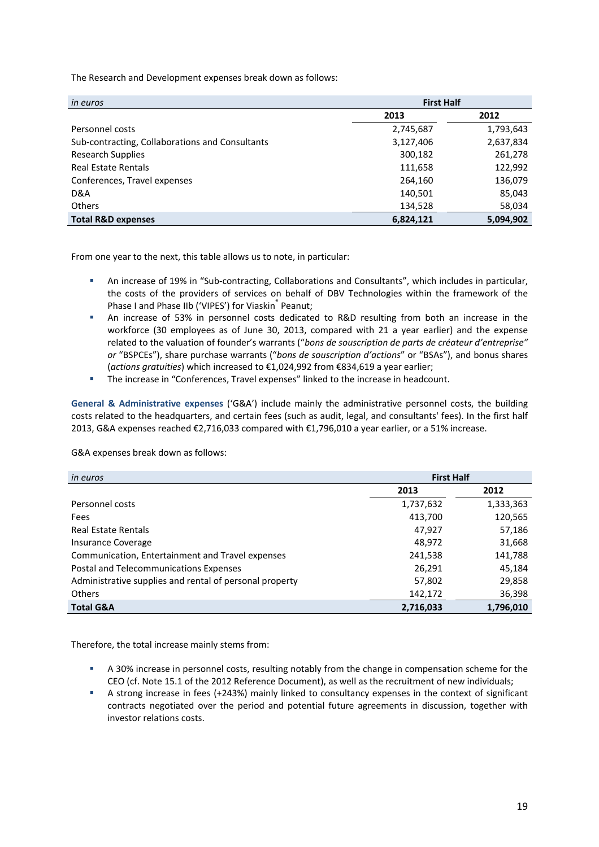The Research and Development expenses break down as follows:

| in euros                                        | <b>First Half</b> |           |
|-------------------------------------------------|-------------------|-----------|
|                                                 | 2013              | 2012      |
| Personnel costs                                 | 2,745,687         | 1,793,643 |
| Sub-contracting, Collaborations and Consultants | 3,127,406         | 2,637,834 |
| <b>Research Supplies</b>                        | 300,182           | 261,278   |
| <b>Real Estate Rentals</b>                      | 111,658           | 122,992   |
| Conferences, Travel expenses                    | 264,160           | 136,079   |
| D&A                                             | 140,501           | 85,043    |
| <b>Others</b>                                   | 134,528           | 58,034    |
| <b>Total R&amp;D expenses</b>                   | 6,824,121         | 5,094,902 |

From one year to the next, this table allows us to note, in particular:

- An increase of 19% in "Sub-contracting, Collaborations and Consultants", which includes in particular, the costs of the providers of services on behalf of DBV Technologies within the framework of the Phase I and Phase IIb ('VIPES') for Viaskin<sup>®</sup> Peanut;
- An increase of 53% in personnel costs dedicated to R&D resulting from both an increase in the workforce (30 employees as of June 30, 2013, compared with 21 a year earlier) and the expense related to the valuation of founder's warrants ("*bons de souscription de parts de créateur d'entreprise" or* "BSPCEs"), share purchase warrants ("*bons de souscription d'actions*" or "BSAs"), and bonus shares (*actions gratuities*) which increased to €1,024,992 from €834,619 a year earlier;
- **The increase in "Conferences, Travel expenses" linked to the increase in headcount.**

**General & Administrative expenses** ('G&A') include mainly the administrative personnel costs, the building costs related to the headquarters, and certain fees (such as audit, legal, and consultants' fees). In the first half 2013, G&A expenses reached €2,716,033 compared with €1,796,010 a year earlier, or a 51% increase.

G&A expenses break down as follows:

| in euros                                                | <b>First Half</b> |           |  |
|---------------------------------------------------------|-------------------|-----------|--|
|                                                         | 2013              | 2012      |  |
| Personnel costs                                         | 1,737,632         | 1,333,363 |  |
| Fees                                                    | 413,700           | 120,565   |  |
| <b>Real Estate Rentals</b>                              | 47,927            | 57,186    |  |
| Insurance Coverage                                      | 48,972            | 31,668    |  |
| Communication, Entertainment and Travel expenses        | 241,538           | 141,788   |  |
| Postal and Telecommunications Expenses                  | 26,291            | 45,184    |  |
| Administrative supplies and rental of personal property | 57,802            | 29,858    |  |
| <b>Others</b>                                           | 142,172           | 36,398    |  |
| <b>Total G&amp;A</b>                                    | 2,716,033         | 1,796,010 |  |

Therefore, the total increase mainly stems from:

- A 30% increase in personnel costs, resulting notably from the change in compensation scheme for the CEO (cf. Note 15.1 of the 2012 Reference Document), as well as the recruitment of new individuals;
- A strong increase in fees (+243%) mainly linked to consultancy expenses in the context of significant contracts negotiated over the period and potential future agreements in discussion, together with investor relations costs.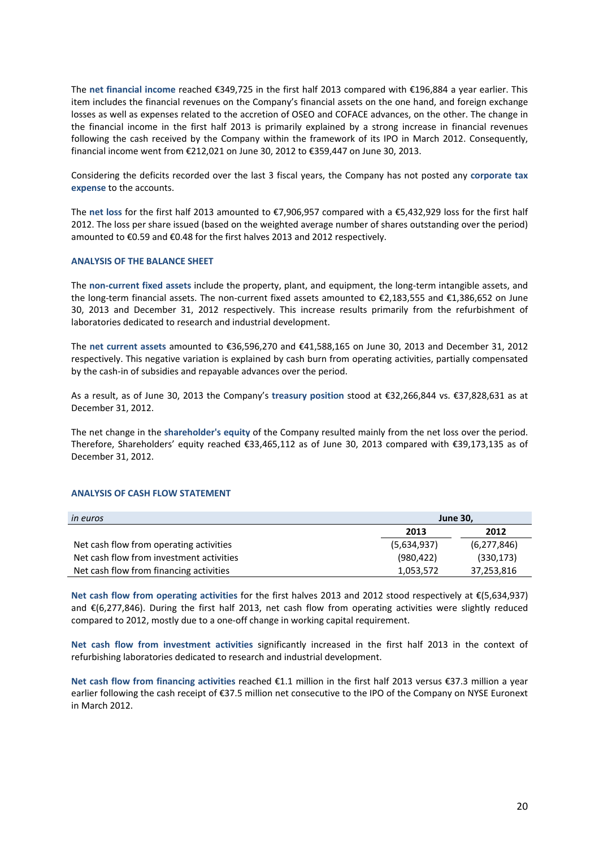The **net financial income** reached €349,725 in the first half 2013 compared with €196,884 a year earlier. This item includes the financial revenues on the Company's financial assets on the one hand, and foreign exchange losses as well as expenses related to the accretion of OSEO and COFACE advances, on the other. The change in the financial income in the first half 2013 is primarily explained by a strong increase in financial revenues following the cash received by the Company within the framework of its IPO in March 2012. Consequently, financial income went from €212,021 on June 30, 2012 to €359,447 on June 30, 2013.

Considering the deficits recorded over the last 3 fiscal years, the Company has not posted any **corporate tax expense** to the accounts.

The **net loss** for the first half 2013 amounted to €7,906,957 compared with a €5,432,929 loss for the first half 2012. The loss per share issued (based on the weighted average number of shares outstanding over the period) amounted to €0.59 and €0.48 for the first halves 2013 and 2012 respectively.

#### **ANALYSIS OF THE BALANCE SHEET**

The **non‐current fixed assets** include the property, plant, and equipment, the long‐term intangible assets, and the long‐term financial assets. The non‐current fixed assets amounted to €2,183,555 and €1,386,652 on June 30, 2013 and December 31, 2012 respectively. This increase results primarily from the refurbishment of laboratories dedicated to research and industrial development.

The **net current assets** amounted to €36,596,270 and €41,588,165 on June 30, 2013 and December 31, 2012 respectively. This negative variation is explained by cash burn from operating activities, partially compensated by the cash-in of subsidies and repayable advances over the period.

As a result, as of June 30, 2013 the Company's **treasury position** stood at €32,266,844 vs. €37,828,631 as at December 31, 2012.

The net change in the **shareholder's equity** of the Company resulted mainly from the net loss over the period. Therefore, Shareholders' equity reached €33,465,112 as of June 30, 2013 compared with €39,173,135 as of December 31, 2012.

#### **ANALYSIS OF CASH FLOW STATEMENT**

| <i>in euros</i>                          | <b>June 30,</b> |               |
|------------------------------------------|-----------------|---------------|
|                                          | 2013            | 2012          |
| Net cash flow from operating activities  | (5,634,937)     | (6, 277, 846) |
| Net cash flow from investment activities | (980, 422)      | (330, 173)    |
| Net cash flow from financing activities  | 1,053,572       | 37,253,816    |

**Net cash flow from operating activities** for the first halves 2013 and 2012 stood respectively at €(5,634,937) and €(6,277,846). During the first half 2013, net cash flow from operating activities were slightly reduced compared to 2012, mostly due to a one‐off change in working capital requirement.

**Net cash flow from investment activities** significantly increased in the first half 2013 in the context of refurbishing laboratories dedicated to research and industrial development.

**Net cash flow from financing activities** reached €1.1 million in the first half 2013 versus €37.3 million a year earlier following the cash receipt of €37.5 million net consecutive to the IPO of the Company on NYSE Euronext in March 2012.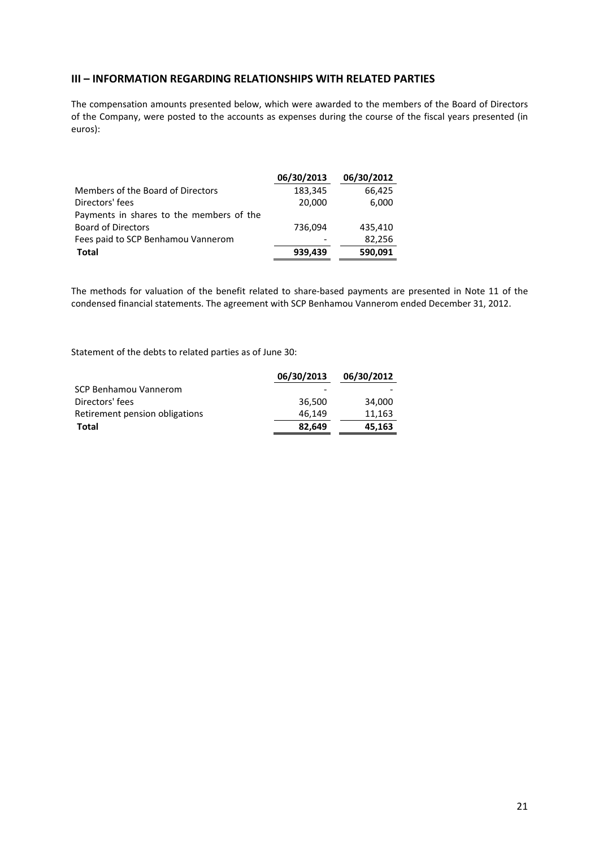## **III – INFORMATION REGARDING RELATIONSHIPS WITH RELATED PARTIES**

The compensation amounts presented below, which were awarded to the members of the Board of Directors of the Company, were posted to the accounts as expenses during the course of the fiscal years presented (in euros):

|                                          | 06/30/2013 | 06/30/2012 |
|------------------------------------------|------------|------------|
| Members of the Board of Directors        | 183,345    | 66,425     |
| Directors' fees                          | 20,000     | 6,000      |
| Payments in shares to the members of the |            |            |
| <b>Board of Directors</b>                | 736,094    | 435,410    |
| Fees paid to SCP Benhamou Vannerom       |            | 82,256     |
| <b>Total</b>                             | 939,439    | 590,091    |

The methods for valuation of the benefit related to share‐based payments are presented in Note 11 of the condensed financial statements. The agreement with SCP Benhamou Vannerom ended December 31, 2012.

Statement of the debts to related parties as of June 30:

|                                | 06/30/2013 | 06/30/2012 |
|--------------------------------|------------|------------|
| SCP Benhamou Vannerom          |            |            |
| Directors' fees                | 36.500     | 34.000     |
| Retirement pension obligations | 46.149     | 11,163     |
| Total                          | 82.649     | 45,163     |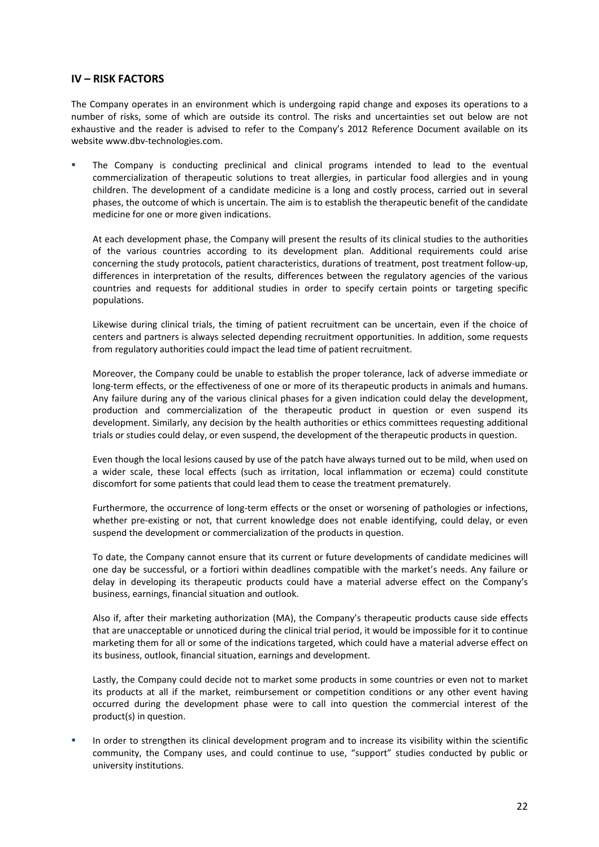## **IV – RISK FACTORS**

The Company operates in an environment which is undergoing rapid change and exposes its operations to a number of risks, some of which are outside its control. The risks and uncertainties set out below are not exhaustive and the reader is advised to refer to the Company's 2012 Reference Document available on its website www.dbv‐technologies.com.

 The Company is conducting preclinical and clinical programs intended to lead to the eventual commercialization of therapeutic solutions to treat allergies, in particular food allergies and in young children. The development of a candidate medicine is a long and costly process, carried out in several phases, the outcome of which is uncertain. The aim is to establish the therapeutic benefit of the candidate medicine for one or more given indications.

At each development phase, the Company will present the results of its clinical studies to the authorities of the various countries according to its development plan. Additional requirements could arise concerning the study protocols, patient characteristics, durations of treatment, post treatment follow‐up, differences in interpretation of the results, differences between the regulatory agencies of the various countries and requests for additional studies in order to specify certain points or targeting specific populations.

Likewise during clinical trials, the timing of patient recruitment can be uncertain, even if the choice of centers and partners is always selected depending recruitment opportunities. In addition, some requests from regulatory authorities could impact the lead time of patient recruitment.

Moreover, the Company could be unable to establish the proper tolerance, lack of adverse immediate or long-term effects, or the effectiveness of one or more of its therapeutic products in animals and humans. Any failure during any of the various clinical phases for a given indication could delay the development, production and commercialization of the therapeutic product in question or even suspend its development. Similarly, any decision by the health authorities or ethics committees requesting additional trials or studies could delay, or even suspend, the development of the therapeutic products in question.

Even though the local lesions caused by use of the patch have always turned out to be mild, when used on a wider scale, these local effects (such as irritation, local inflammation or eczema) could constitute discomfort for some patients that could lead them to cease the treatment prematurely.

Furthermore, the occurrence of long‐term effects or the onset or worsening of pathologies or infections, whether pre-existing or not, that current knowledge does not enable identifying, could delay, or even suspend the development or commercialization of the products in question.

To date, the Company cannot ensure that its current or future developments of candidate medicines will one day be successful, or a fortiori within deadlines compatible with the market's needs. Any failure or delay in developing its therapeutic products could have a material adverse effect on the Company's business, earnings, financial situation and outlook.

Also if, after their marketing authorization (MA), the Company's therapeutic products cause side effects that are unacceptable or unnoticed during the clinical trial period, it would be impossible for it to continue marketing them for all or some of the indications targeted, which could have a material adverse effect on its business, outlook, financial situation, earnings and development.

Lastly, the Company could decide not to market some products in some countries or even not to market its products at all if the market, reimbursement or competition conditions or any other event having occurred during the development phase were to call into question the commercial interest of the product(s) in question.

 In order to strengthen its clinical development program and to increase its visibility within the scientific community, the Company uses, and could continue to use, "support" studies conducted by public or university institutions.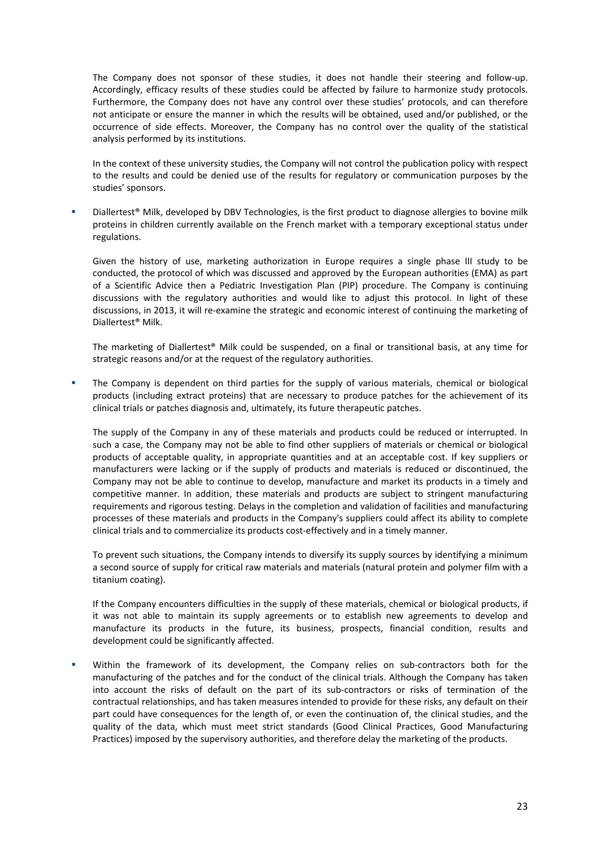The Company does not sponsor of these studies, it does not handle their steering and follow-up. Accordingly, efficacy results of these studies could be affected by failure to harmonize study protocols. Furthermore, the Company does not have any control over these studies' protocols, and can therefore not anticipate or ensure the manner in which the results will be obtained, used and/or published, or the occurrence of side effects. Moreover, the Company has no control over the quality of the statistical analysis performed by its institutions.

In the context of these university studies, the Company will not control the publication policy with respect to the results and could be denied use of the results for regulatory or communication purposes by the studies' sponsors.

 Diallertest® Milk, developed by DBV Technologies, is the first product to diagnose allergies to bovine milk proteins in children currently available on the French market with a temporary exceptional status under regulations.

Given the history of use, marketing authorization in Europe requires a single phase III study to be conducted, the protocol of which was discussed and approved by the European authorities (EMA) as part of a Scientific Advice then a Pediatric Investigation Plan (PIP) procedure. The Company is continuing discussions with the regulatory authorities and would like to adjust this protocol. In light of these discussions, in 2013, it will re‐examine the strategic and economic interest of continuing the marketing of Diallertest® Milk.

The marketing of Diallertest® Milk could be suspended, on a final or transitional basis, at any time for strategic reasons and/or at the request of the regulatory authorities.

 The Company is dependent on third parties for the supply of various materials, chemical or biological products (including extract proteins) that are necessary to produce patches for the achievement of its clinical trials or patches diagnosis and, ultimately, its future therapeutic patches.

The supply of the Company in any of these materials and products could be reduced or interrupted. In such a case, the Company may not be able to find other suppliers of materials or chemical or biological products of acceptable quality, in appropriate quantities and at an acceptable cost. If key suppliers or manufacturers were lacking or if the supply of products and materials is reduced or discontinued, the Company may not be able to continue to develop, manufacture and market its products in a timely and competitive manner. In addition, these materials and products are subject to stringent manufacturing requirements and rigorous testing. Delays in the completion and validation of facilities and manufacturing processes of these materials and products in the Company's suppliers could affect its ability to complete clinical trials and to commercialize its products cost-effectively and in a timely manner.

To prevent such situations, the Company intends to diversify its supply sources by identifying a minimum a second source of supply for critical raw materials and materials (natural protein and polymer film with a titanium coating).

If the Company encounters difficulties in the supply of these materials, chemical or biological products, if it was not able to maintain its supply agreements or to establish new agreements to develop and manufacture its products in the future, its business, prospects, financial condition, results and development could be significantly affected.

Within the framework of its development, the Company relies on sub-contractors both for the manufacturing of the patches and for the conduct of the clinical trials. Although the Company has taken into account the risks of default on the part of its sub‐contractors or risks of termination of the contractual relationships, and has taken measures intended to provide for these risks, any default on their part could have consequences for the length of, or even the continuation of, the clinical studies, and the quality of the data, which must meet strict standards (Good Clinical Practices, Good Manufacturing Practices) imposed by the supervisory authorities, and therefore delay the marketing of the products.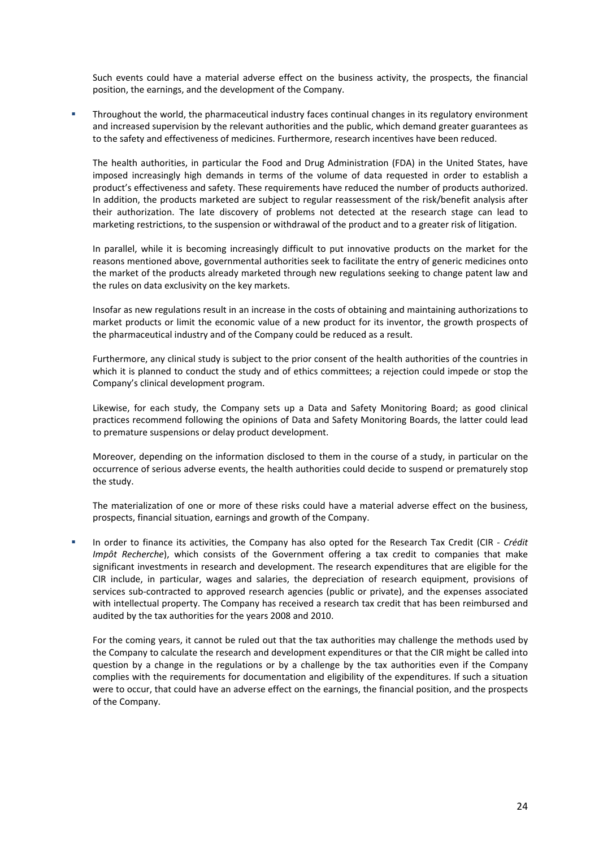Such events could have a material adverse effect on the business activity, the prospects, the financial position, the earnings, and the development of the Company.

 Throughout the world, the pharmaceutical industry faces continual changes in its regulatory environment and increased supervision by the relevant authorities and the public, which demand greater guarantees as to the safety and effectiveness of medicines. Furthermore, research incentives have been reduced.

The health authorities, in particular the Food and Drug Administration (FDA) in the United States, have imposed increasingly high demands in terms of the volume of data requested in order to establish a product's effectiveness and safety. These requirements have reduced the number of products authorized. In addition, the products marketed are subject to regular reassessment of the risk/benefit analysis after their authorization. The late discovery of problems not detected at the research stage can lead to marketing restrictions, to the suspension or withdrawal of the product and to a greater risk of litigation.

In parallel, while it is becoming increasingly difficult to put innovative products on the market for the reasons mentioned above, governmental authorities seek to facilitate the entry of generic medicines onto the market of the products already marketed through new regulations seeking to change patent law and the rules on data exclusivity on the key markets.

Insofar as new regulations result in an increase in the costs of obtaining and maintaining authorizations to market products or limit the economic value of a new product for its inventor, the growth prospects of the pharmaceutical industry and of the Company could be reduced as a result.

Furthermore, any clinical study is subject to the prior consent of the health authorities of the countries in which it is planned to conduct the study and of ethics committees; a rejection could impede or stop the Company's clinical development program.

Likewise, for each study, the Company sets up a Data and Safety Monitoring Board; as good clinical practices recommend following the opinions of Data and Safety Monitoring Boards, the latter could lead to premature suspensions or delay product development.

Moreover, depending on the information disclosed to them in the course of a study, in particular on the occurrence of serious adverse events, the health authorities could decide to suspend or prematurely stop the study.

The materialization of one or more of these risks could have a material adverse effect on the business, prospects, financial situation, earnings and growth of the Company.

 In order to finance its activities, the Company has also opted for the Research Tax Credit (CIR ‐ *Crédit Impôt Recherche*), which consists of the Government offering a tax credit to companies that make significant investments in research and development. The research expenditures that are eligible for the CIR include, in particular, wages and salaries, the depreciation of research equipment, provisions of services sub-contracted to approved research agencies (public or private), and the expenses associated with intellectual property. The Company has received a research tax credit that has been reimbursed and audited by the tax authorities for the years 2008 and 2010.

For the coming years, it cannot be ruled out that the tax authorities may challenge the methods used by the Company to calculate the research and development expenditures or that the CIR might be called into question by a change in the regulations or by a challenge by the tax authorities even if the Company complies with the requirements for documentation and eligibility of the expenditures. If such a situation were to occur, that could have an adverse effect on the earnings, the financial position, and the prospects of the Company.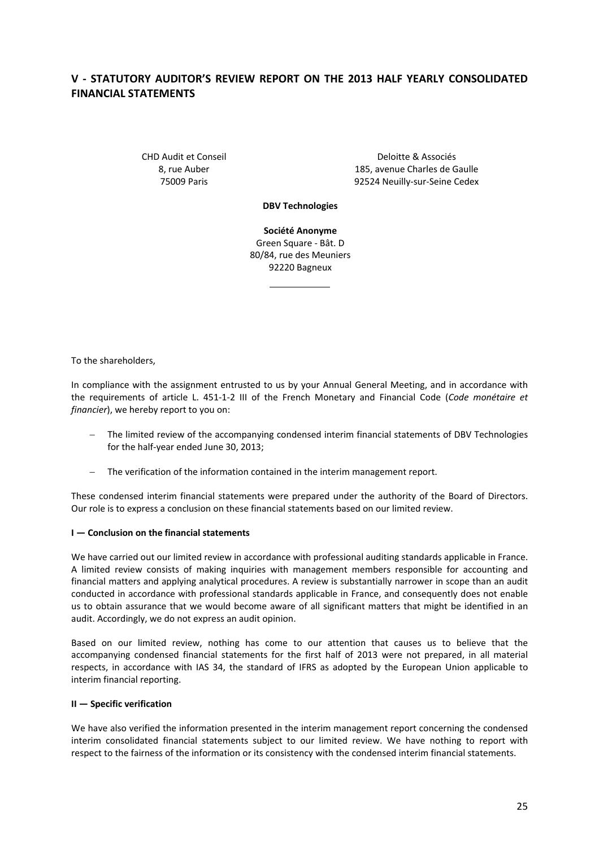# **V ‐ STATUTORY AUDITOR'S REVIEW REPORT ON THE 2013 HALF YEARLY CONSOLIDATED FINANCIAL STATEMENTS**

CHD Audit et Conseil 8, rue Auber 75009 Paris

Deloitte & Associés 185, avenue Charles de Gaulle 92524 Neuilly‐sur‐Seine Cedex

**DBV Technologies**

**Société Anonyme** Green Square ‐ Bât. D 80/84, rue des Meuniers 92220 Bagneux

To the shareholders,

In compliance with the assignment entrusted to us by your Annual General Meeting, and in accordance with the requirements of article L. 451‐1‐2 III of the French Monetary and Financial Code (*Code monétaire et financier*), we hereby report to you on:

- − The limited review of the accompanying condensed interim financial statements of DBV Technologies for the half‐year ended June 30, 2013;
- − The verification of the information contained in the interim management report.

These condensed interim financial statements were prepared under the authority of the Board of Directors. Our role is to express a conclusion on these financial statements based on our limited review.

#### **I — Conclusion on the financial statements**

We have carried out our limited review in accordance with professional auditing standards applicable in France. A limited review consists of making inquiries with management members responsible for accounting and financial matters and applying analytical procedures. A review is substantially narrower in scope than an audit conducted in accordance with professional standards applicable in France, and consequently does not enable us to obtain assurance that we would become aware of all significant matters that might be identified in an audit. Accordingly, we do not express an audit opinion.

Based on our limited review, nothing has come to our attention that causes us to believe that the accompanying condensed financial statements for the first half of 2013 were not prepared, in all material respects, in accordance with IAS 34, the standard of IFRS as adopted by the European Union applicable to interim financial reporting.

#### **II — Specific verification**

We have also verified the information presented in the interim management report concerning the condensed interim consolidated financial statements subject to our limited review. We have nothing to report with respect to the fairness of the information or its consistency with the condensed interim financial statements.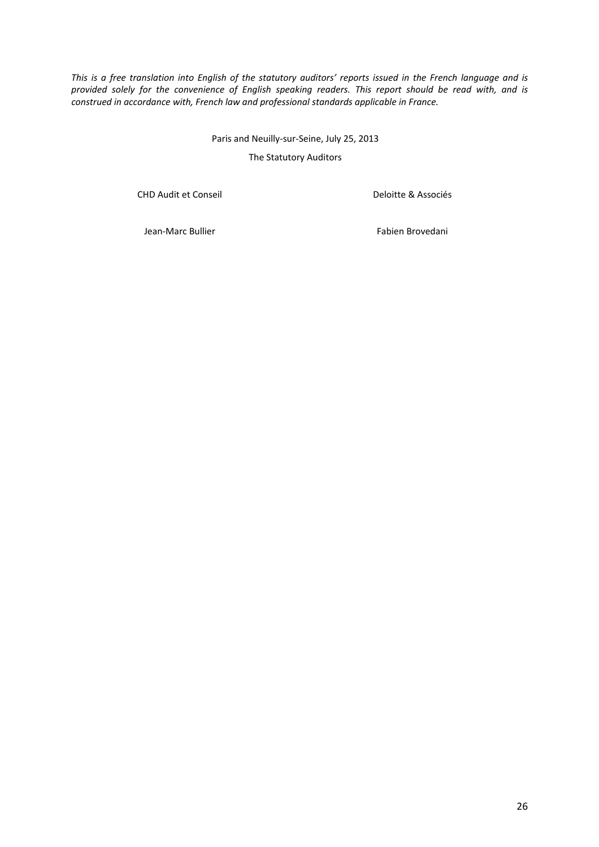This is a free translation into English of the statutory auditors' reports issued in the French language and is *provided solely for the convenience of English speaking readers. This report should be read with, and is construed in accordance with, French law and professional standards applicable in France.*

> Paris and Neuilly‐sur‐Seine, July 25, 2013 The Statutory Auditors

CHD Audit et Conseil

Deloitte & Associés

Jean‐Marc Bullier

Fabien Brovedani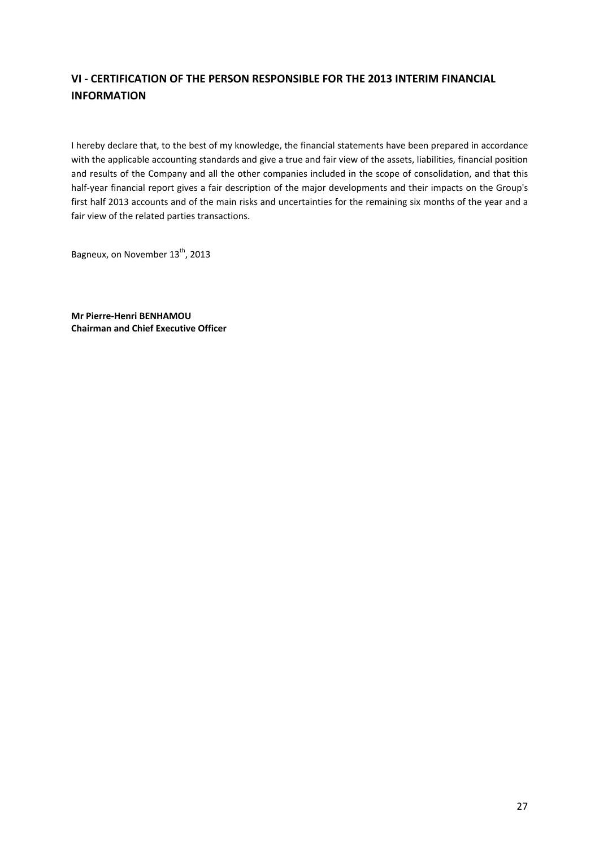# **VI ‐ CERTIFICATION OF THE PERSON RESPONSIBLE FOR THE 2013 INTERIM FINANCIAL INFORMATION**

I hereby declare that, to the best of my knowledge, the financial statements have been prepared in accordance with the applicable accounting standards and give a true and fair view of the assets, liabilities, financial position and results of the Company and all the other companies included in the scope of consolidation, and that this half-year financial report gives a fair description of the major developments and their impacts on the Group's first half 2013 accounts and of the main risks and uncertainties for the remaining six months of the year and a fair view of the related parties transactions.

Bagneux, on November 13<sup>th</sup>, 2013

**Mr Pierre‐Henri BENHAMOU Chairman and Chief Executive Officer**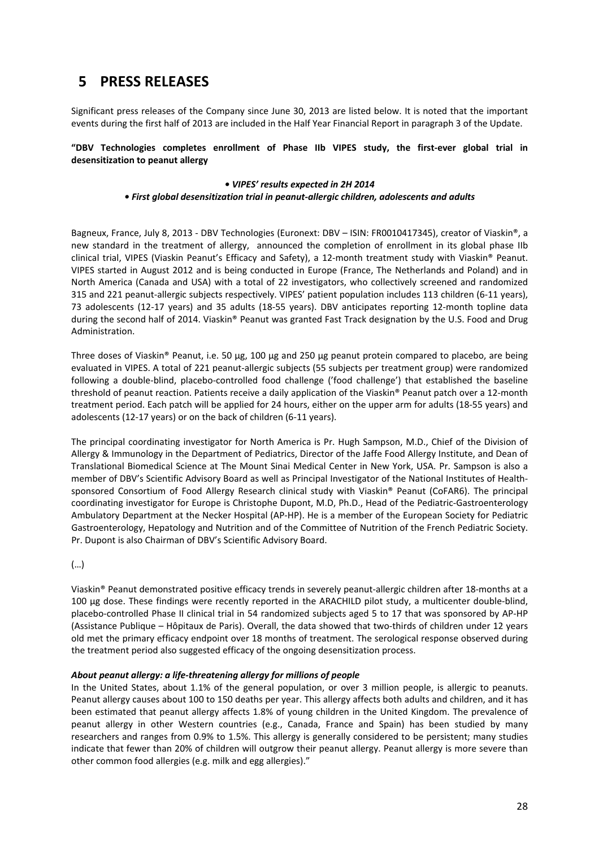# **5 PRESS RELEASES**

Significant press releases of the Company since June 30, 2013 are listed below. It is noted that the important events during the first half of 2013 are included in the Half Year Financial Report in paragraph 3 of the Update.

**"DBV Technologies completes enrollment of Phase IIb VIPES study, the first‐ever global trial in desensitization to peanut allergy**

#### *• VIPES' results expected in 2H 2014 • First global desensitization trial in peanut‐allergic children, adolescents and adults*

Bagneux, France, July 8, 2013 ‐ DBV Technologies (Euronext: DBV – ISIN: FR0010417345), creator of Viaskin®, a new standard in the treatment of allergy, announced the completion of enrollment in its global phase IIb clinical trial, VIPES (Viaskin Peanut's Efficacy and Safety), a 12‐month treatment study with Viaskin® Peanut. VIPES started in August 2012 and is being conducted in Europe (France, The Netherlands and Poland) and in North America (Canada and USA) with a total of 22 investigators, who collectively screened and randomized 315 and 221 peanut-allergic subjects respectively. VIPES' patient population includes 113 children (6-11 years), 73 adolescents (12‐17 years) and 35 adults (18‐55 years). DBV anticipates reporting 12‐month topline data during the second half of 2014. Viaskin® Peanut was granted Fast Track designation by the U.S. Food and Drug Administration.

Three doses of Viaskin® Peanut, i.e. 50 µg, 100 µg and 250 µg peanut protein compared to placebo, are being evaluated in VIPES. A total of 221 peanut‐allergic subjects (55 subjects per treatment group) were randomized following a double‐blind, placebo‐controlled food challenge ('food challenge') that established the baseline threshold of peanut reaction. Patients receive a daily application of the Viaskin® Peanut patch over a 12‐month treatment period. Each patch will be applied for 24 hours, either on the upper arm for adults (18‐55 years) and adolescents (12‐17 years) or on the back of children (6‐11 years).

The principal coordinating investigator for North America is Pr. Hugh Sampson, M.D., Chief of the Division of Allergy & Immunology in the Department of Pediatrics, Director of the Jaffe Food Allergy Institute, and Dean of Translational Biomedical Science at The Mount Sinai Medical Center in New York, USA. Pr. Sampson is also a member of DBV's Scientific Advisory Board as well as Principal Investigator of the National Institutes of Health‐ sponsored Consortium of Food Allergy Research clinical study with Viaskin® Peanut (CoFAR6). The principal coordinating investigator for Europe is Christophe Dupont, M.D, Ph.D., Head of the Pediatric‐Gastroenterology Ambulatory Department at the Necker Hospital (AP‐HP). He is a member of the European Society for Pediatric Gastroenterology, Hepatology and Nutrition and of the Committee of Nutrition of the French Pediatric Society. Pr. Dupont is also Chairman of DBV's Scientific Advisory Board.

(…)

Viaskin® Peanut demonstrated positive efficacy trends in severely peanut‐allergic children after 18‐months at a 100 µg dose. These findings were recently reported in the ARACHILD pilot study, a multicenter double-blind, placebo-controlled Phase II clinical trial in 54 randomized subjects aged 5 to 17 that was sponsored by AP-HP (Assistance Publique – Hôpitaux de Paris). Overall, the data showed that two‐thirds of children under 12 years old met the primary efficacy endpoint over 18 months of treatment. The serological response observed during the treatment period also suggested efficacy of the ongoing desensitization process.

#### *About peanut allergy: a life‐threatening allergy for millions of people*

In the United States, about 1.1% of the general population, or over 3 million people, is allergic to peanuts. Peanut allergy causes about 100 to 150 deaths per year. This allergy affects both adults and children, and it has been estimated that peanut allergy affects 1.8% of young children in the United Kingdom. The prevalence of peanut allergy in other Western countries (e.g., Canada, France and Spain) has been studied by many researchers and ranges from 0.9% to 1.5%. This allergy is generally considered to be persistent; many studies indicate that fewer than 20% of children will outgrow their peanut allergy. Peanut allergy is more severe than other common food allergies (e.g. milk and egg allergies)."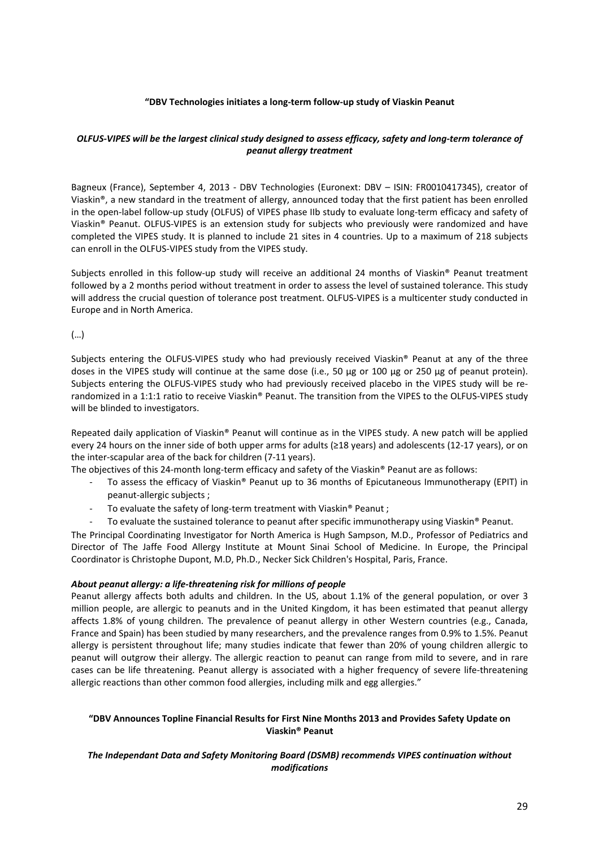#### **"DBV Technologies initiates a long‐term follow‐up study of Viaskin Peanut**

#### OLFUS-VIPES will be the largest clinical study designed to assess efficacy, safety and long-term tolerance of *peanut allergy treatment*

Bagneux (France), September 4, 2013 - DBV Technologies (Euronext: DBV - ISIN: FR0010417345), creator of Viaskin®, a new standard in the treatment of allergy, announced today that the first patient has been enrolled in the open‐label follow‐up study (OLFUS) of VIPES phase IIb study to evaluate long‐term efficacy and safety of Viaskin® Peanut. OLFUS‐VIPES is an extension study for subjects who previously were randomized and have completed the VIPES study. It is planned to include 21 sites in 4 countries. Up to a maximum of 218 subjects can enroll in the OLFUS‐VIPES study from the VIPES study.

Subjects enrolled in this follow‐up study will receive an additional 24 months of Viaskin® Peanut treatment followed by a 2 months period without treatment in order to assess the level of sustained tolerance. This study will address the crucial question of tolerance post treatment. OLFUS-VIPES is a multicenter study conducted in Europe and in North America.

(…)

Subjects entering the OLFUS‐VIPES study who had previously received Viaskin® Peanut at any of the three doses in the VIPES study will continue at the same dose (i.e., 50 μg or 100 μg or 250 μg of peanut protein). Subjects entering the OLFUS‐VIPES study who had previously received placebo in the VIPES study will be re‐ randomized in a 1:1:1 ratio to receive Viaskin® Peanut. The transition from the VIPES to the OLFUS‐VIPES study will be blinded to investigators.

Repeated daily application of Viaskin® Peanut will continue as in the VIPES study. A new patch will be applied every 24 hours on the inner side of both upper arms for adults (≥18 years) and adolescents (12‐17 years), or on the inter‐scapular area of the back for children (7‐11 years).

The objectives of this 24-month long-term efficacy and safety of the Viaskin® Peanut are as follows:

- To assess the efficacy of Viaskin® Peanut up to 36 months of Epicutaneous Immunotherapy (EPIT) in peanut-allergic subjects;
- ‐ To evaluate the safety of long‐term treatment with Viaskin® Peanut ;
- To evaluate the sustained tolerance to peanut after specific immunotherapy using Viaskin® Peanut.

The Principal Coordinating Investigator for North America is Hugh Sampson, M.D., Professor of Pediatrics and Director of The Jaffe Food Allergy Institute at Mount Sinai School of Medicine. In Europe, the Principal Coordinator is Christophe Dupont, M.D, Ph.D., Necker Sick Children's Hospital, Paris, France.

#### *About peanut allergy: a life‐threatening risk for millions of people*

Peanut allergy affects both adults and children. In the US, about 1.1% of the general population, or over 3 million people, are allergic to peanuts and in the United Kingdom, it has been estimated that peanut allergy affects 1.8% of young children. The prevalence of peanut allergy in other Western countries (e.g., Canada, France and Spain) has been studied by many researchers, and the prevalence ranges from 0.9% to 1.5%. Peanut allergy is persistent throughout life; many studies indicate that fewer than 20% of young children allergic to peanut will outgrow their allergy. The allergic reaction to peanut can range from mild to severe, and in rare cases can be life threatening. Peanut allergy is associated with a higher frequency of severe life-threatening allergic reactions than other common food allergies, including milk and egg allergies."

### **"DBV Announces Topline Financial Results for First Nine Months 2013 and Provides Safety Update on Viaskin® Peanut**

### *The Independant Data and Safety Monitoring Board (DSMB) recommends VIPES continuation without modifications*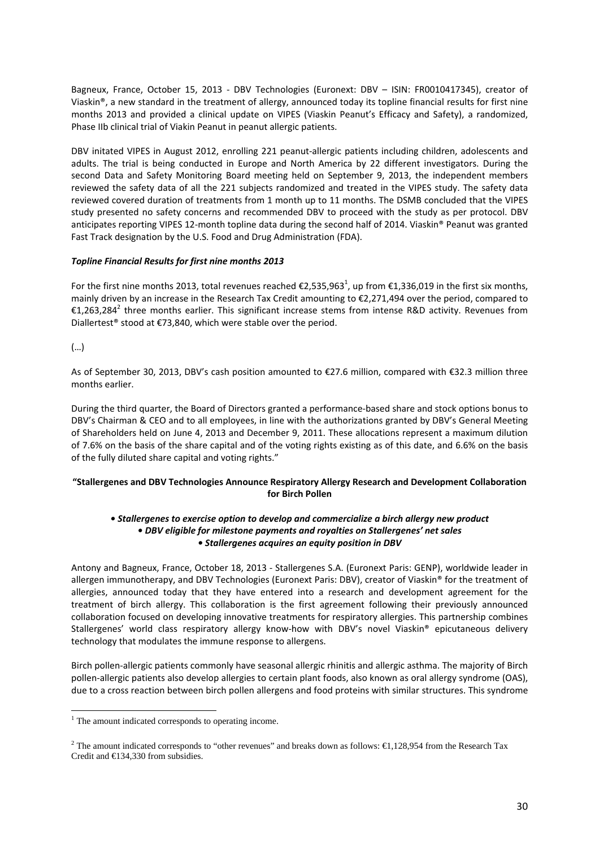Bagneux, France, October 15, 2013 - DBV Technologies (Euronext: DBV - ISIN: FR0010417345), creator of Viaskin®, a new standard in the treatment of allergy, announced today its topline financial results for first nine months 2013 and provided a clinical update on VIPES (Viaskin Peanut's Efficacy and Safety), a randomized, Phase IIb clinical trial of Viakin Peanut in peanut allergic patients.

DBV initated VIPES in August 2012, enrolling 221 peanut‐allergic patients including children, adolescents and adults. The trial is being conducted in Europe and North America by 22 different investigators. During the second Data and Safety Monitoring Board meeting held on September 9, 2013, the independent members reviewed the safety data of all the 221 subjects randomized and treated in the VIPES study. The safety data reviewed covered duration of treatments from 1 month up to 11 months. The DSMB concluded that the VIPES study presented no safety concerns and recommended DBV to proceed with the study as per protocol. DBV anticipates reporting VIPES 12-month topline data during the second half of 2014. Viaskin® Peanut was granted Fast Track designation by the U.S. Food and Drug Administration (FDA).

## *Topline Financial Results for first nine months 2013*

For the first nine months 2013, total revenues reached  $E$ 2,535,963<sup>1</sup>, up from  $E$ 1,336,019 in the first six months, mainly driven by an increase in the Research Tax Credit amounting to €2,271,494 over the period, compared to €1,263,284<sup>2</sup> three months earlier. This significant increase stems from intense R&D activity. Revenues from Diallertest<sup>®</sup> stood at €73,840, which were stable over the period.

(…)

<u>.</u>

As of September 30, 2013, DBV's cash position amounted to €27.6 million, compared with €32.3 million three months earlier.

During the third quarter, the Board of Directors granted a performance‐based share and stock options bonus to DBV's Chairman & CEO and to all employees, in line with the authorizations granted by DBV's General Meeting of Shareholders held on June 4, 2013 and December 9, 2011. These allocations represent a maximum dilution of 7.6% on the basis of the share capital and of the voting rights existing as of this date, and 6.6% on the basis of the fully diluted share capital and voting rights."

## **"Stallergenes and DBV Technologies Announce Respiratory Allergy Research and Development Collaboration for Birch Pollen**

### *• Stallergenes to exercise option to develop and commercialize a birch allergy new product • DBV eligible for milestone payments and royalties on Stallergenes' net sales • Stallergenes acquires an equity position in DBV*

Antony and Bagneux, France, October 18, 2013 ‐ Stallergenes S.A. (Euronext Paris: GENP), worldwide leader in allergen immunotherapy, and DBV Technologies (Euronext Paris: DBV), creator of Viaskin® for the treatment of allergies, announced today that they have entered into a research and development agreement for the treatment of birch allergy. This collaboration is the first agreement following their previously announced collaboration focused on developing innovative treatments for respiratory allergies. This partnership combines Stallergenes' world class respiratory allergy know‐how with DBV's novel Viaskin® epicutaneous delivery technology that modulates the immune response to allergens.

Birch pollen‐allergic patients commonly have seasonal allergic rhinitis and allergic asthma. The majority of Birch pollen‐allergic patients also develop allergies to certain plant foods, also known as oral allergy syndrome (OAS), due to a cross reaction between birch pollen allergens and food proteins with similar structures. This syndrome

<sup>&</sup>lt;sup>1</sup> The amount indicated corresponds to operating income.

<sup>&</sup>lt;sup>2</sup> The amount indicated corresponds to "other revenues" and breaks down as follows:  $\in$ 1,128,954 from the Research Tax Credit and €134,330 from subsidies.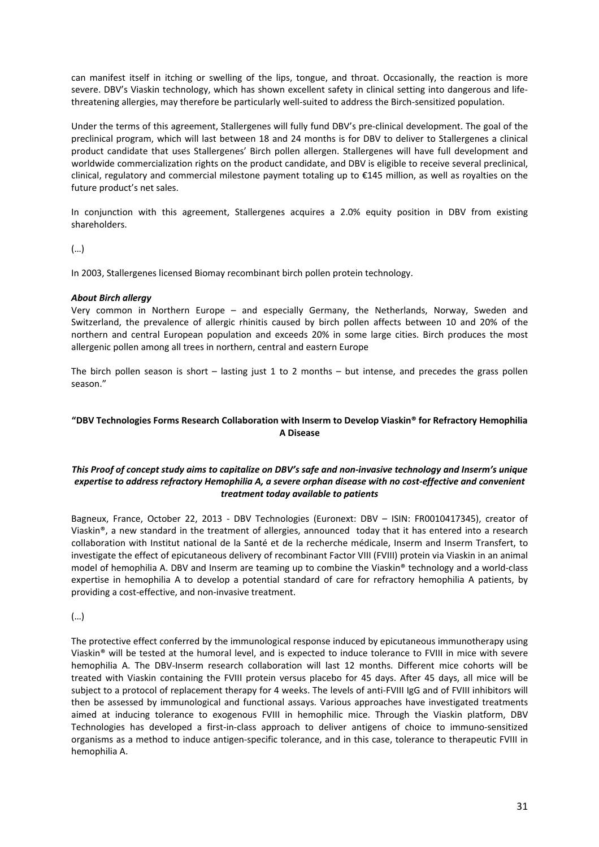can manifest itself in itching or swelling of the lips, tongue, and throat. Occasionally, the reaction is more severe. DBV's Viaskin technology, which has shown excellent safety in clinical setting into dangerous and lifethreatening allergies, may therefore be particularly well‐suited to address the Birch‐sensitized population.

Under the terms of this agreement, Stallergenes will fully fund DBV's pre‐clinical development. The goal of the preclinical program, which will last between 18 and 24 months is for DBV to deliver to Stallergenes a clinical product candidate that uses Stallergenes' Birch pollen allergen. Stallergenes will have full development and worldwide commercialization rights on the product candidate, and DBV is eligible to receive several preclinical, clinical, regulatory and commercial milestone payment totaling up to €145 million, as well as royalties on the future product's net sales.

In conjunction with this agreement, Stallergenes acquires a 2.0% equity position in DBV from existing shareholders.

(…)

In 2003, Stallergenes licensed Biomay recombinant birch pollen protein technology.

#### *About Birch allergy*

Very common in Northern Europe – and especially Germany, the Netherlands, Norway, Sweden and Switzerland, the prevalence of allergic rhinitis caused by birch pollen affects between 10 and 20% of the northern and central European population and exceeds 20% in some large cities. Birch produces the most allergenic pollen among all trees in northern, central and eastern Europe

The birch pollen season is short – lasting just 1 to 2 months – but intense, and precedes the grass pollen season."

### **"DBV Technologies Forms Research Collaboration with Inserm to Develop Viaskin® for Refractory Hemophilia A Disease**

### This Proof of concept study aims to capitalize on DBV's safe and non-invasive technology and Inserm's unique expertise to address refractory Hemophilia A, a severe orphan disease with no cost-effective and convenient *treatment today available to patients*

Bagneux, France, October 22, 2013 - DBV Technologies (Euronext: DBV - ISIN: FR0010417345), creator of Viaskin®, a new standard in the treatment of allergies, announced today that it has entered into a research collaboration with Institut national de la Santé et de la recherche médicale, Inserm and Inserm Transfert, to investigate the effect of epicutaneous delivery of recombinant Factor VIII (FVIII) protein via Viaskin in an animal model of hemophilia A. DBV and Inserm are teaming up to combine the Viaskin® technology and a world‐class expertise in hemophilia A to develop a potential standard of care for refractory hemophilia A patients, by providing a cost‐effective, and non‐invasive treatment.

(…)

The protective effect conferred by the immunological response induced by epicutaneous immunotherapy using Viaskin® will be tested at the humoral level, and is expected to induce tolerance to FVIII in mice with severe hemophilia A. The DBV-Inserm research collaboration will last 12 months. Different mice cohorts will be treated with Viaskin containing the FVIII protein versus placebo for 45 days. After 45 days, all mice will be subject to a protocol of replacement therapy for 4 weeks. The levels of anti-FVIII IgG and of FVIII inhibitors will then be assessed by immunological and functional assays. Various approaches have investigated treatments aimed at inducing tolerance to exogenous FVIII in hemophilic mice. Through the Viaskin platform, DBV Technologies has developed a first‐in‐class approach to deliver antigens of choice to immuno‐sensitized organisms as a method to induce antigen‐specific tolerance, and in this case, tolerance to therapeutic FVIII in hemophilia A.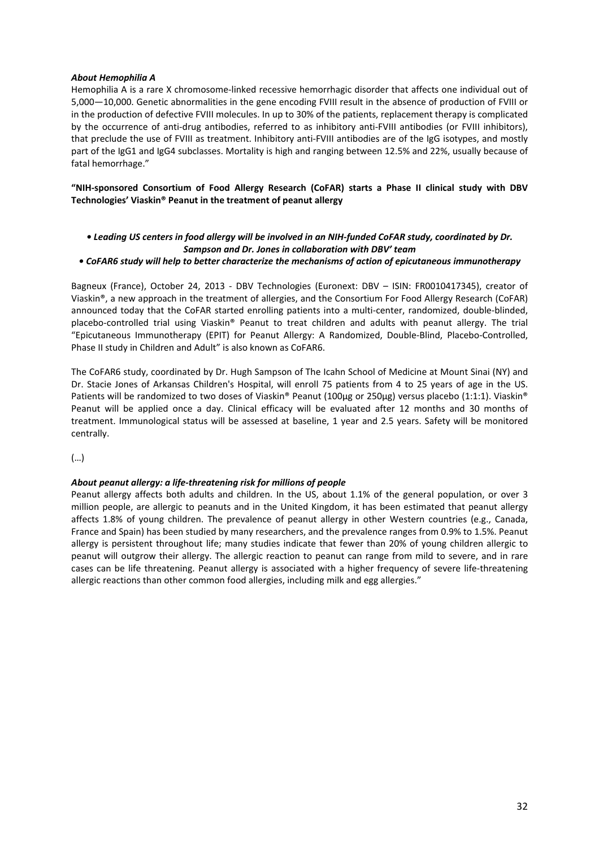#### *About Hemophilia A*

Hemophilia A is a rare X chromosome‐linked recessive hemorrhagic disorder that affects one individual out of 5,000—10,000. Genetic abnormalities in the gene encoding FVIII result in the absence of production of FVIII or in the production of defective FVIII molecules. In up to 30% of the patients, replacement therapy is complicated by the occurrence of anti-drug antibodies, referred to as inhibitory anti-FVIII antibodies (or FVIII inhibitors), that preclude the use of FVIII as treatment. Inhibitory anti‐FVIII antibodies are of the IgG isotypes, and mostly part of the IgG1 and IgG4 subclasses. Mortality is high and ranging between 12.5% and 22%, usually because of fatal hemorrhage."

**"NIH‐sponsored Consortium of Food Allergy Research (CoFAR) starts a Phase II clinical study with DBV Technologies' Viaskin® Peanut in the treatment of peanut allergy**

. Leading US centers in food allergy will be involved in an NIH-funded CoFAR study, coordinated by Dr. *Sampson and Dr. Jones in collaboration with DBV' team*

#### *• CoFAR6 study will help to better characterize the mechanisms of action of epicutaneous immunotherapy*

Bagneux (France), October 24, 2013 - DBV Technologies (Euronext: DBV - ISIN: FR0010417345), creator of Viaskin®, a new approach in the treatment of allergies, and the Consortium For Food Allergy Research (CoFAR) announced today that the CoFAR started enrolling patients into a multi-center, randomized, double-blinded, placebo-controlled trial using Viaskin® Peanut to treat children and adults with peanut allergy. The trial "Epicutaneous Immunotherapy (EPIT) for Peanut Allergy: A Randomized, Double‐Blind, Placebo‐Controlled, Phase II study in Children and Adult" is also known as CoFAR6.

The CoFAR6 study, coordinated by Dr. Hugh Sampson of The Icahn School of Medicine at Mount Sinai (NY) and Dr. Stacie Jones of Arkansas Children's Hospital, will enroll 75 patients from 4 to 25 years of age in the US. Patients will be randomized to two doses of Viaskin® Peanut (100µg or 250µg) versus placebo (1:1:1). Viaskin® Peanut will be applied once a day. Clinical efficacy will be evaluated after 12 months and 30 months of treatment. Immunological status will be assessed at baseline, 1 year and 2.5 years. Safety will be monitored centrally.

(…)

#### *About peanut allergy: a life‐threatening risk for millions of people*

Peanut allergy affects both adults and children. In the US, about 1.1% of the general population, or over 3 million people, are allergic to peanuts and in the United Kingdom, it has been estimated that peanut allergy affects 1.8% of young children. The prevalence of peanut allergy in other Western countries (e.g., Canada, France and Spain) has been studied by many researchers, and the prevalence ranges from 0.9% to 1.5%. Peanut allergy is persistent throughout life; many studies indicate that fewer than 20% of young children allergic to peanut will outgrow their allergy. The allergic reaction to peanut can range from mild to severe, and in rare cases can be life threatening. Peanut allergy is associated with a higher frequency of severe life-threatening allergic reactions than other common food allergies, including milk and egg allergies."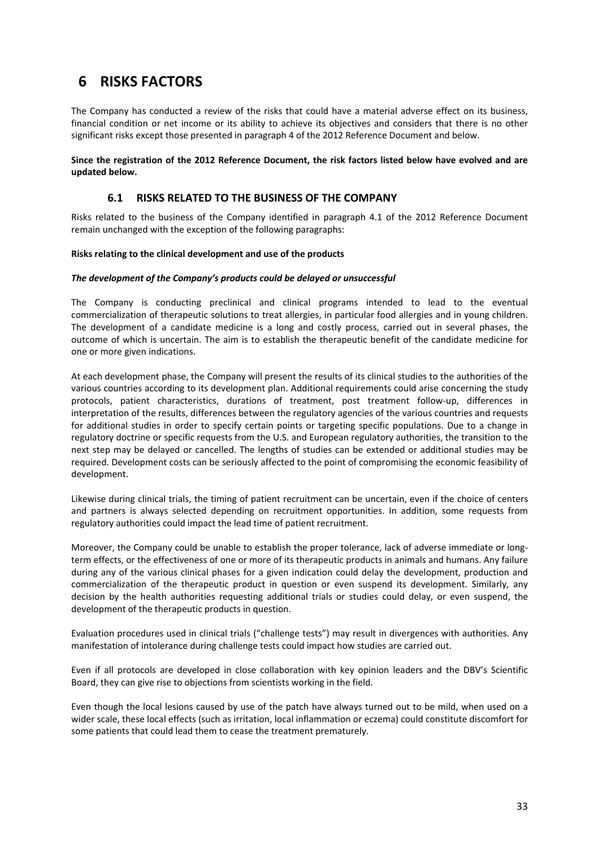# **6 RISKS FACTORS**

The Company has conducted a review of the risks that could have a material adverse effect on its business, financial condition or net income or its ability to achieve its objectives and considers that there is no other significant risks except those presented in paragraph 4 of the 2012 Reference Document and below.

**Since the registration of the 2012 Reference Document, the risk factors listed below have evolved and are updated below.**

## **6.1 RISKS RELATED TO THE BUSINESS OF THE COMPANY**

Risks related to the business of the Company identified in paragraph 4.1 of the 2012 Reference Document remain unchanged with the exception of the following paragraphs:

#### **Risks relating to the clinical development and use of the products**

#### *The development of the Company's products could be delayed or unsuccessful*

The Company is conducting preclinical and clinical programs intended to lead to the eventual commercialization of therapeutic solutions to treat allergies, in particular food allergies and in young children. The development of a candidate medicine is a long and costly process, carried out in several phases, the outcome of which is uncertain. The aim is to establish the therapeutic benefit of the candidate medicine for one or more given indications.

At each development phase, the Company will present the results of its clinical studies to the authorities of the various countries according to its development plan. Additional requirements could arise concerning the study protocols, patient characteristics, durations of treatment, post treatment follow‐up, differences in interpretation of the results, differences between the regulatory agencies of the various countries and requests for additional studies in order to specify certain points or targeting specific populations. Due to a change in regulatory doctrine or specific requests from the U.S. and European regulatory authorities, the transition to the next step may be delayed or cancelled. The lengths of studies can be extended or additional studies may be required. Development costs can be seriously affected to the point of compromising the economic feasibility of development.

Likewise during clinical trials, the timing of patient recruitment can be uncertain, even if the choice of centers and partners is always selected depending on recruitment opportunities. In addition, some requests from regulatory authorities could impact the lead time of patient recruitment.

Moreover, the Company could be unable to establish the proper tolerance, lack of adverse immediate or longterm effects, or the effectiveness of one or more of its therapeutic products in animals and humans. Any failure during any of the various clinical phases for a given indication could delay the development, production and commercialization of the therapeutic product in question or even suspend its development. Similarly, any decision by the health authorities requesting additional trials or studies could delay, or even suspend, the development of the therapeutic products in question.

Evaluation procedures used in clinical trials ("challenge tests") may result in divergences with authorities. Any manifestation of intolerance during challenge tests could impact how studies are carried out.

Even if all protocols are developed in close collaboration with key opinion leaders and the DBV's Scientific Board, they can give rise to objections from scientists working in the field.

Even though the local lesions caused by use of the patch have always turned out to be mild, when used on a wider scale, these local effects (such as irritation, local inflammation or eczema) could constitute discomfort for some patients that could lead them to cease the treatment prematurely.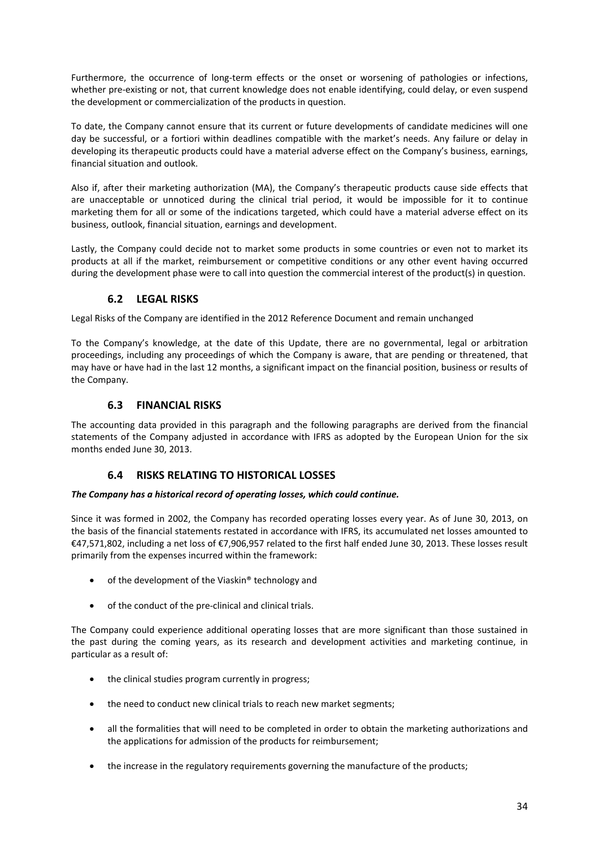Furthermore, the occurrence of long-term effects or the onset or worsening of pathologies or infections, whether pre-existing or not, that current knowledge does not enable identifying, could delay, or even suspend the development or commercialization of the products in question.

To date, the Company cannot ensure that its current or future developments of candidate medicines will one day be successful, or a fortiori within deadlines compatible with the market's needs. Any failure or delay in developing its therapeutic products could have a material adverse effect on the Company's business, earnings, financial situation and outlook.

Also if, after their marketing authorization (MA), the Company's therapeutic products cause side effects that are unacceptable or unnoticed during the clinical trial period, it would be impossible for it to continue marketing them for all or some of the indications targeted, which could have a material adverse effect on its business, outlook, financial situation, earnings and development.

Lastly, the Company could decide not to market some products in some countries or even not to market its products at all if the market, reimbursement or competitive conditions or any other event having occurred during the development phase were to call into question the commercial interest of the product(s) in question.

# **6.2 LEGAL RISKS**

Legal Risks of the Company are identified in the 2012 Reference Document and remain unchanged

To the Company's knowledge, at the date of this Update, there are no governmental, legal or arbitration proceedings, including any proceedings of which the Company is aware, that are pending or threatened, that may have or have had in the last 12 months, a significant impact on the financial position, business or results of the Company.

# **6.3 FINANCIAL RISKS**

The accounting data provided in this paragraph and the following paragraphs are derived from the financial statements of the Company adjusted in accordance with IFRS as adopted by the European Union for the six months ended June 30, 2013.

# **6.4 RISKS RELATING TO HISTORICAL LOSSES**

## *The Company has a historical record of operating losses, which could continue.*

Since it was formed in 2002, the Company has recorded operating losses every year. As of June 30, 2013, on the basis of the financial statements restated in accordance with IFRS, its accumulated net losses amounted to €47,571,802, including a net loss of €7,906,957 related to the first half ended June 30, 2013. These losses result primarily from the expenses incurred within the framework:

- of the development of the Viaskin® technology and
- of the conduct of the pre‐clinical and clinical trials.

The Company could experience additional operating losses that are more significant than those sustained in the past during the coming years, as its research and development activities and marketing continue, in particular as a result of:

- the clinical studies program currently in progress;
- the need to conduct new clinical trials to reach new market segments;
- all the formalities that will need to be completed in order to obtain the marketing authorizations and the applications for admission of the products for reimbursement;
- the increase in the regulatory requirements governing the manufacture of the products;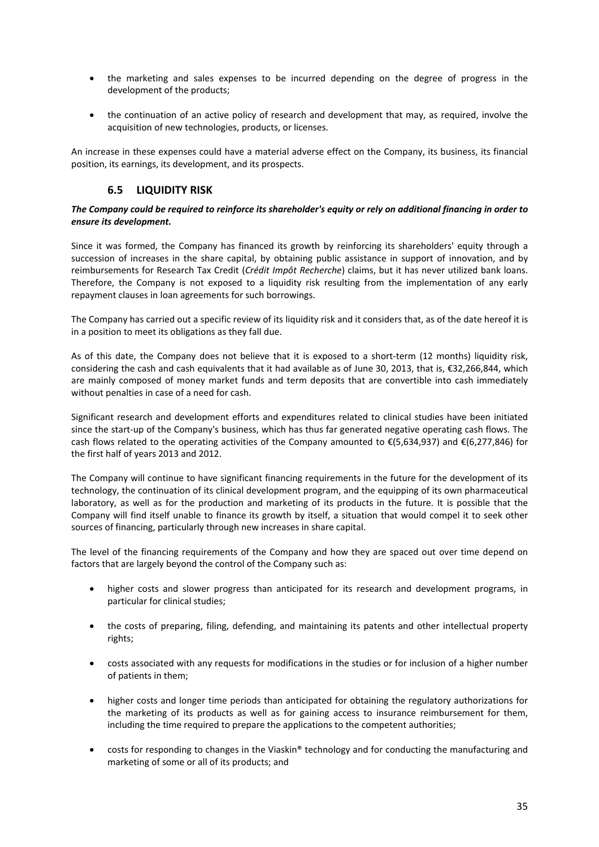- the marketing and sales expenses to be incurred depending on the degree of progress in the development of the products;
- the continuation of an active policy of research and development that may, as required, involve the acquisition of new technologies, products, or licenses.

An increase in these expenses could have a material adverse effect on the Company, its business, its financial position, its earnings, its development, and its prospects.

## **6.5 LIQUIDITY RISK**

#### The Company could be required to reinforce its shareholder's equity or rely on additional financing in order to *ensure its development.*

Since it was formed, the Company has financed its growth by reinforcing its shareholders' equity through a succession of increases in the share capital, by obtaining public assistance in support of innovation, and by reimbursements for Research Tax Credit (*Crédit Impôt Recherche*) claims, but it has never utilized bank loans. Therefore, the Company is not exposed to a liquidity risk resulting from the implementation of any early repayment clauses in loan agreements for such borrowings.

The Company has carried out a specific review of its liquidity risk and it considers that, as of the date hereof it is in a position to meet its obligations as they fall due.

As of this date, the Company does not believe that it is exposed to a short-term (12 months) liquidity risk, considering the cash and cash equivalents that it had available as of June 30, 2013, that is, €32,266,844, which are mainly composed of money market funds and term deposits that are convertible into cash immediately without penalties in case of a need for cash.

Significant research and development efforts and expenditures related to clinical studies have been initiated since the start-up of the Company's business, which has thus far generated negative operating cash flows. The cash flows related to the operating activities of the Company amounted to  $\epsilon$ (5,634,937) and  $\epsilon$ (6,277,846) for the first half of years 2013 and 2012.

The Company will continue to have significant financing requirements in the future for the development of its technology, the continuation of its clinical development program, and the equipping of its own pharmaceutical laboratory, as well as for the production and marketing of its products in the future. It is possible that the Company will find itself unable to finance its growth by itself, a situation that would compel it to seek other sources of financing, particularly through new increases in share capital.

The level of the financing requirements of the Company and how they are spaced out over time depend on factors that are largely beyond the control of the Company such as:

- higher costs and slower progress than anticipated for its research and development programs, in particular for clinical studies;
- the costs of preparing, filing, defending, and maintaining its patents and other intellectual property rights;
- costs associated with any requests for modifications in the studies or for inclusion of a higher number of patients in them;
- higher costs and longer time periods than anticipated for obtaining the regulatory authorizations for the marketing of its products as well as for gaining access to insurance reimbursement for them, including the time required to prepare the applications to the competent authorities;
- costs for responding to changes in the Viaskin® technology and for conducting the manufacturing and marketing of some or all of its products; and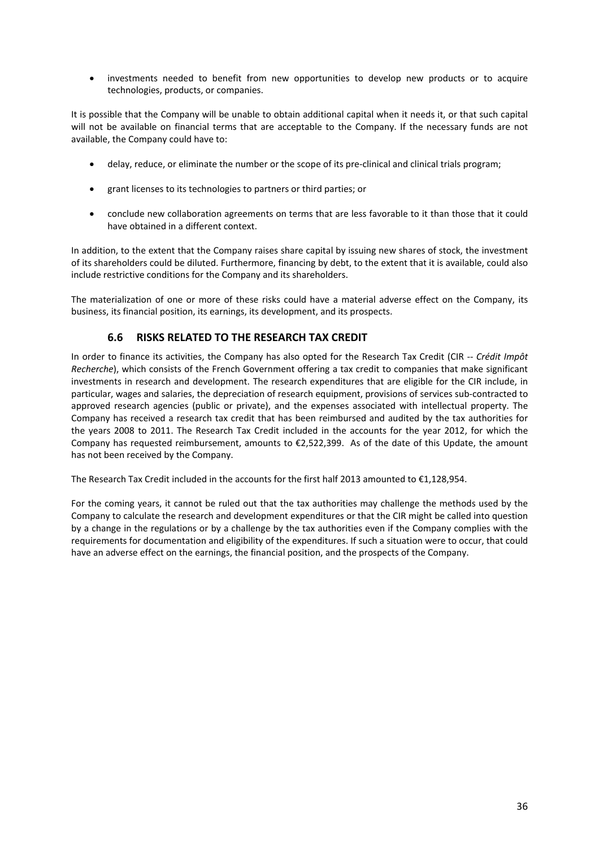• investments needed to benefit from new opportunities to develop new products or to acquire technologies, products, or companies.

It is possible that the Company will be unable to obtain additional capital when it needs it, or that such capital will not be available on financial terms that are acceptable to the Company. If the necessary funds are not available, the Company could have to:

- delay, reduce, or eliminate the number or the scope of its pre‐clinical and clinical trials program;
- grant licenses to its technologies to partners or third parties; or
- conclude new collaboration agreements on terms that are less favorable to it than those that it could have obtained in a different context.

In addition, to the extent that the Company raises share capital by issuing new shares of stock, the investment of its shareholders could be diluted. Furthermore, financing by debt, to the extent that it is available, could also include restrictive conditions for the Company and its shareholders.

The materialization of one or more of these risks could have a material adverse effect on the Company, its business, its financial position, its earnings, its development, and its prospects.

## **6.6 RISKS RELATED TO THE RESEARCH TAX CREDIT**

In order to finance its activities, the Company has also opted for the Research Tax Credit (CIR ‐‐ *Crédit Impôt Recherche*), which consists of the French Government offering a tax credit to companies that make significant investments in research and development. The research expenditures that are eligible for the CIR include, in particular, wages and salaries, the depreciation of research equipment, provisions of services sub-contracted to approved research agencies (public or private), and the expenses associated with intellectual property. The Company has received a research tax credit that has been reimbursed and audited by the tax authorities for the years 2008 to 2011. The Research Tax Credit included in the accounts for the year 2012, for which the Company has requested reimbursement, amounts to  $\epsilon$ 2,522,399. As of the date of this Update, the amount has not been received by the Company.

The Research Tax Credit included in the accounts for the first half 2013 amounted to €1,128,954.

For the coming years, it cannot be ruled out that the tax authorities may challenge the methods used by the Company to calculate the research and development expenditures or that the CIR might be called into question by a change in the regulations or by a challenge by the tax authorities even if the Company complies with the requirements for documentation and eligibility of the expenditures. If such a situation were to occur, that could have an adverse effect on the earnings, the financial position, and the prospects of the Company.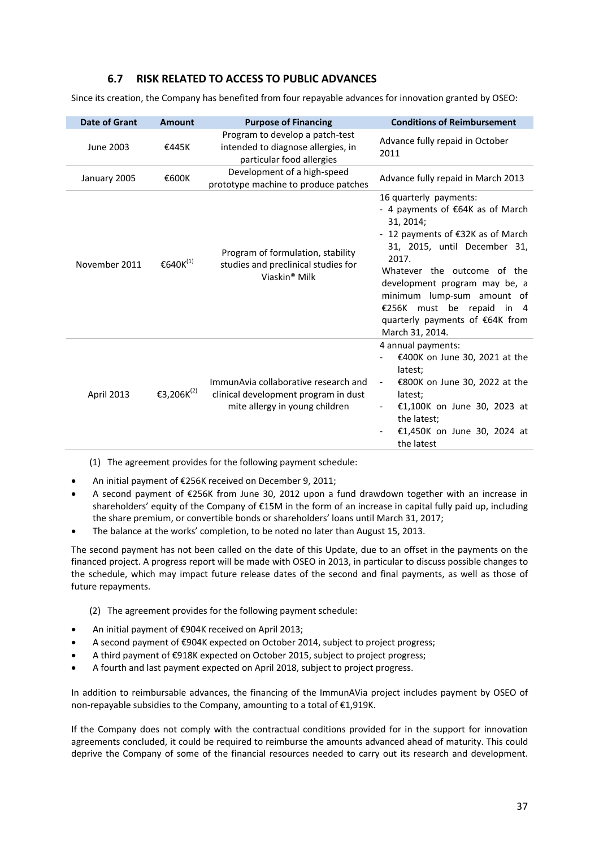## **6.7 RISK RELATED TO ACCESS TO PUBLIC ADVANCES**

Since its creation, the Company has benefited from four repayable advances for innovation granted by OSEO:

| <b>Date of Grant</b> | <b>Amount</b>          | <b>Purpose of Financing</b>                                                                                    | <b>Conditions of Reimbursement</b>                                                                                                                                                                                                                                                                                                     |
|----------------------|------------------------|----------------------------------------------------------------------------------------------------------------|----------------------------------------------------------------------------------------------------------------------------------------------------------------------------------------------------------------------------------------------------------------------------------------------------------------------------------------|
| June 2003            | €445K                  | Program to develop a patch-test<br>intended to diagnose allergies, in<br>particular food allergies             | Advance fully repaid in October<br>2011                                                                                                                                                                                                                                                                                                |
| January 2005         | €600K                  | Development of a high-speed<br>prototype machine to produce patches                                            | Advance fully repaid in March 2013                                                                                                                                                                                                                                                                                                     |
| November 2011        | €640K $^{(1)}$         | Program of formulation, stability<br>studies and preclinical studies for<br>Viaskin <sup>®</sup> Milk          | 16 quarterly payments:<br>- 4 payments of €64K as of March<br>31, 2014;<br>- 12 payments of €32K as of March<br>31, 2015, until December 31,<br>2017.<br>Whatever the outcome of the<br>development program may be, a<br>minimum lump-sum amount of<br>€256K must be repaid in 4<br>quarterly payments of €64K from<br>March 31, 2014. |
| April 2013           | €3,206K <sup>(2)</sup> | ImmunAvia collaborative research and<br>clinical development program in dust<br>mite allergy in young children | 4 annual payments:<br>€400K on June 30, 2021 at the<br>latest;<br>€800K on June 30, 2022 at the<br>$\overline{\phantom{a}}$<br>latest;<br>€1,100K on June 30, 2023 at<br>the latest;<br>€1,450K on June 30, 2024 at<br>the latest                                                                                                      |

(1) The agreement provides for the following payment schedule:

- An initial payment of €256K received on December 9, 2011;
- A second payment of €256K from June 30, 2012 upon a fund drawdown together with an increase in shareholders' equity of the Company of €15M in the form of an increase in capital fully paid up, including the share premium, or convertible bonds or shareholders' loans until March 31, 2017;
- The balance at the works' completion, to be noted no later than August 15, 2013.

The second payment has not been called on the date of this Update, due to an offset in the payments on the financed project. A progress report will be made with OSEO in 2013, in particular to discuss possible changes to the schedule, which may impact future release dates of the second and final payments, as well as those of future repayments.

- (2) The agreement provides for the following payment schedule:
- An initial payment of €904K received on April 2013;
- A second payment of €904K expected on October 2014, subject to project progress;
- A third payment of €918K expected on October 2015, subject to project progress;
- A fourth and last payment expected on April 2018, subject to project progress.

In addition to reimbursable advances, the financing of the ImmunAVia project includes payment by OSEO of non‐repayable subsidies to the Company, amounting to a total of €1,919K.

If the Company does not comply with the contractual conditions provided for in the support for innovation agreements concluded, it could be required to reimburse the amounts advanced ahead of maturity. This could deprive the Company of some of the financial resources needed to carry out its research and development.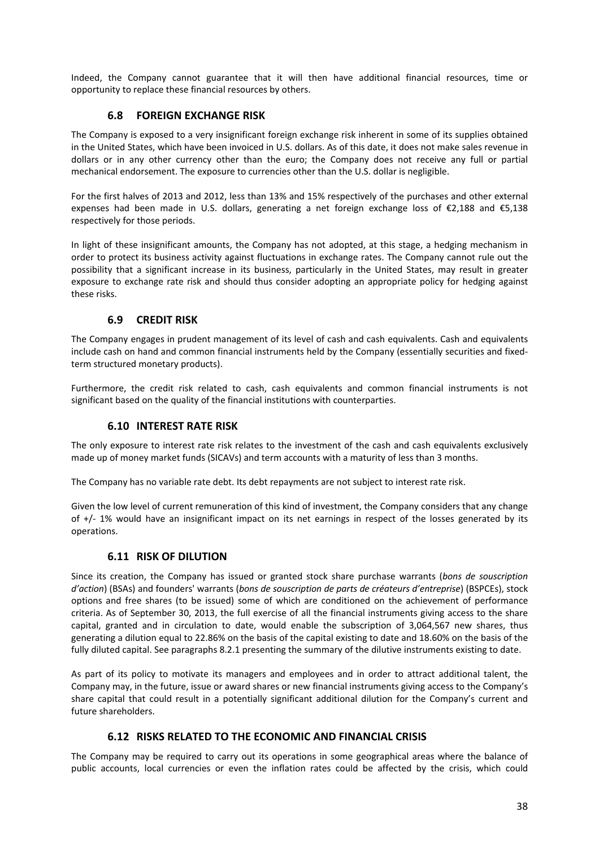Indeed, the Company cannot guarantee that it will then have additional financial resources, time or opportunity to replace these financial resources by others.

# **6.8 FOREIGN EXCHANGE RISK**

The Company is exposed to a very insignificant foreign exchange risk inherent in some of its supplies obtained in the United States, which have been invoiced in U.S. dollars. As of this date, it does not make sales revenue in dollars or in any other currency other than the euro; the Company does not receive any full or partial mechanical endorsement. The exposure to currencies other than the U.S. dollar is negligible.

For the first halves of 2013 and 2012, less than 13% and 15% respectively of the purchases and other external expenses had been made in U.S. dollars, generating a net foreign exchange loss of €2,188 and €5,138 respectively for those periods.

In light of these insignificant amounts, the Company has not adopted, at this stage, a hedging mechanism in order to protect its business activity against fluctuations in exchange rates. The Company cannot rule out the possibility that a significant increase in its business, particularly in the United States, may result in greater exposure to exchange rate risk and should thus consider adopting an appropriate policy for hedging against these risks.

## **6.9 CREDIT RISK**

The Company engages in prudent management of its level of cash and cash equivalents. Cash and equivalents include cash on hand and common financial instruments held by the Company (essentially securities and fixedterm structured monetary products).

Furthermore, the credit risk related to cash, cash equivalents and common financial instruments is not significant based on the quality of the financial institutions with counterparties.

## **6.10 INTEREST RATE RISK**

The only exposure to interest rate risk relates to the investment of the cash and cash equivalents exclusively made up of money market funds (SICAVs) and term accounts with a maturity of less than 3 months.

The Company has no variable rate debt. Its debt repayments are not subject to interest rate risk.

Given the low level of current remuneration of this kind of investment, the Company considers that any change of +/‐ 1% would have an insignificant impact on its net earnings in respect of the losses generated by its operations.

## **6.11 RISK OF DILUTION**

Since its creation, the Company has issued or granted stock share purchase warrants (*bons de souscription d'action*) (BSAs) and founders' warrants (*bons de souscription de parts de créateurs d'entreprise*) (BSPCEs), stock options and free shares (to be issued) some of which are conditioned on the achievement of performance criteria. As of September 30, 2013, the full exercise of all the financial instruments giving access to the share capital, granted and in circulation to date, would enable the subscription of 3,064,567 new shares, thus generating a dilution equal to 22.86% on the basis of the capital existing to date and 18.60% on the basis of the fully diluted capital. See paragraphs 8.2.1 presenting the summary of the dilutive instruments existing to date.

As part of its policy to motivate its managers and employees and in order to attract additional talent, the Company may, in the future, issue or award shares or new financial instruments giving access to the Company's share capital that could result in a potentially significant additional dilution for the Company's current and future shareholders.

## **6.12 RISKS RELATED TO THE ECONOMIC AND FINANCIAL CRISIS**

The Company may be required to carry out its operations in some geographical areas where the balance of public accounts, local currencies or even the inflation rates could be affected by the crisis, which could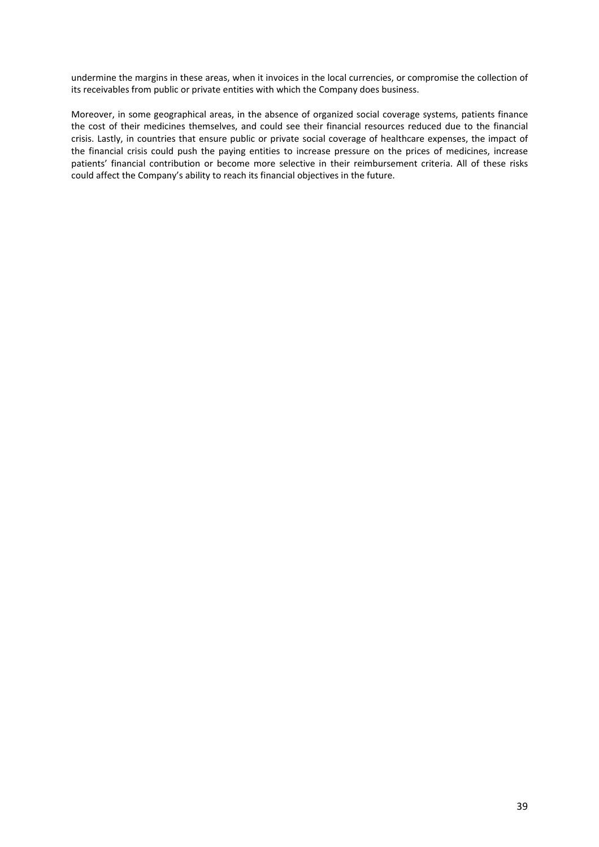undermine the margins in these areas, when it invoices in the local currencies, or compromise the collection of its receivables from public or private entities with which the Company does business.

Moreover, in some geographical areas, in the absence of organized social coverage systems, patients finance the cost of their medicines themselves, and could see their financial resources reduced due to the financial crisis. Lastly, in countries that ensure public or private social coverage of healthcare expenses, the impact of the financial crisis could push the paying entities to increase pressure on the prices of medicines, increase patients' financial contribution or become more selective in their reimbursement criteria. All of these risks could affect the Company's ability to reach its financial objectives in the future.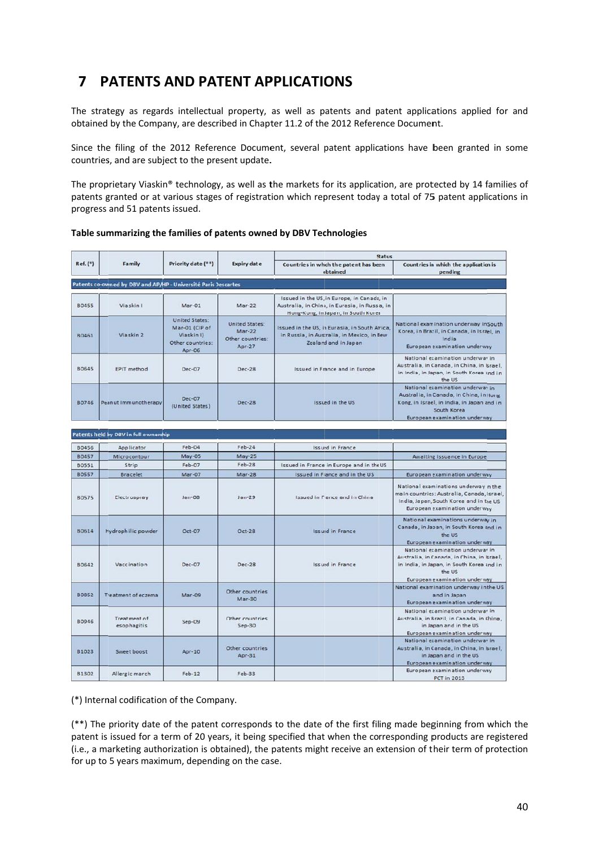# **7** PATENTS AND PATENT APPLICATIONS

The strategy as regards intellectual property, as well as patents and patent applications applied for and obtained by the Company, are described in Chapter 11.2 of the 2012 Reference Document.

Since the filing of the 2012 Reference Document, several patent applications have been granted in some countries, and are subject to the present update.

countries, and are subject to the present update.<br>The proprietary Viaskin® technology, as well as the markets for its application, are protected by 14 families of patents granted or at various stages of registration which represent today a total of 75 patent applications in progress and 51 paten ts issued.

|              |                                                                |                                                                                     |                                                                   | <b>Status</b>                                                                                                                       |                                                                                                                                                                           |
|--------------|----------------------------------------------------------------|-------------------------------------------------------------------------------------|-------------------------------------------------------------------|-------------------------------------------------------------------------------------------------------------------------------------|---------------------------------------------------------------------------------------------------------------------------------------------------------------------------|
| Ref. (*)     | Family                                                         | Priority date (**)                                                                  | <b>Expiry date</b>                                                | Countries in which the patent has been<br>obtained                                                                                  | Countries in which the application is<br>pending                                                                                                                          |
|              |                                                                |                                                                                     |                                                                   |                                                                                                                                     |                                                                                                                                                                           |
|              | Patents co-owned by DBV and AP/HP - Université Paris Descartes |                                                                                     |                                                                   |                                                                                                                                     |                                                                                                                                                                           |
| <b>B0455</b> | Viaskin I                                                      | Mar-01                                                                              | $Mar-22$                                                          | Issued in the US, in Europe, in Canada, in<br>Australia, in China, in Eurasia, in Russia, in<br>Hong-Kong, in Japan, in South Korea |                                                                                                                                                                           |
| 80461        | Viaskin 2                                                      | <b>United States:</b><br>Mar-01 (CIP of<br>Viaskin I)<br>Other countries:<br>Apr-06 | <b>United States:</b><br>$Mar-22$<br>Other countries:<br>$Apr-27$ | Issued in the US, in Eurasia, in South Africa,<br>in Russia, in Australia, in Mexico, in New<br>Zealand and in Japan                | National examination underway in South<br>Korea, in Brazil, in Canada, in Israel, in<br>India<br>European examination underway                                            |
| <b>B0645</b> | EPIT method                                                    | Dec-07                                                                              | Dec-28                                                            | <b>Issued in France and in Europe</b>                                                                                               | National examination underway in<br>Australia, in Canada, in China, in Israel,<br>in India, in Japan, in South Korea and in<br>the US                                     |
| <b>B0746</b> | Peanut Immunotherapy                                           | Dec-07<br>(United States)                                                           | <b>Dec-28</b>                                                     | Issued in the US                                                                                                                    | National examination underway in<br>Australia, in Canada, in China, in Hong<br>Kong, in Israel, in India, in Japan and in<br>South Korea<br>European examination underway |
|              | Patents held by DBV in full ownership                          |                                                                                     |                                                                   |                                                                                                                                     |                                                                                                                                                                           |
| <b>B0456</b> | Applicator                                                     | Feb-04                                                                              | $Feb-24$                                                          | <b>Issued in France</b>                                                                                                             |                                                                                                                                                                           |
| <b>B0457</b> | Microcontour                                                   | <b>May-05</b>                                                                       | $May-25$                                                          |                                                                                                                                     | Awaiting issuance in Europe                                                                                                                                               |
| <b>B0551</b> | Strip                                                          | Feb-07                                                                              | $Feb-28$                                                          | Issued in France, in Europe and in the US                                                                                           |                                                                                                                                                                           |
| 80557        | <b>Bracelet</b>                                                | <b>Mar-07</b>                                                                       | $Mar-28$                                                          | <b>Issued in France and in the US</b>                                                                                               | European examination underway                                                                                                                                             |
| <b>B0575</b> | Electrospray                                                   | $Jan-OB$                                                                            | $Jan-29$                                                          | Issued in France and in China                                                                                                       | National examinations underway in the<br>ma in countries: Australia, Canada, Israel,<br>India, Japan, South Korea and in the US<br>European examination underway          |
| 80614        | Hydrophilic powder                                             | Oct-07                                                                              | Oct-28                                                            | <b>Issued in France</b>                                                                                                             | National examinations underway in<br>Canada, in Jasan, in South Korea and in<br>the US<br>European examination underway                                                   |
| <b>B0642</b> | Vaccination                                                    | Dec-07                                                                              | <b>Dec-28</b>                                                     | <b>Issued in France</b>                                                                                                             | National examination underway in<br>Australia, in Canada, in China, in Israel,<br>in India, in Japan, in South Korea and in<br>the US<br>European examination underway    |
| <b>BO852</b> | Treatment of eczema                                            | Mar-09                                                                              | Other countries<br>Mar-30                                         |                                                                                                                                     | National examination underway in the US<br>and in Japan<br>European examination underway                                                                                  |
| <b>B0946</b> | Treatment of<br>esophagitis                                    | Sep-09                                                                              | Other countries<br>$Sep-30$                                       |                                                                                                                                     | National examination underway in<br>Australia, in Brazil, in Canada, in China,<br>in Japan and in the US<br>European examination underway                                 |
| B1023        | Sweet boost                                                    | Apr-10                                                                              | Other countries<br>Apr-31                                         |                                                                                                                                     | National examination underway in<br>Australia, in Canada, in China, in Israel,<br>in Japan and in the US<br>European examination underway                                 |
| <b>B1302</b> | Allergic march                                                 | $Feb-12$                                                                            | <b>Feb-33</b>                                                     |                                                                                                                                     | European examination underway<br><b>PCT</b> in 2013                                                                                                                       |

#### **Table sum mmarizing the e families of p patents owne ed by DBV Tec chnologies**

(\*) Intern nal codificatio n of the Comp pany.

(\*\*) The priority date of the patent corresponds to the date of the first filing made beginning from which the patent is issued for a term of 20 years, it being specified that when the corresponding products are registered (i.e., a marketing authorization is obtained), the patents might receive an extension of their term of protection for up to 5 years maximum, depending on the case.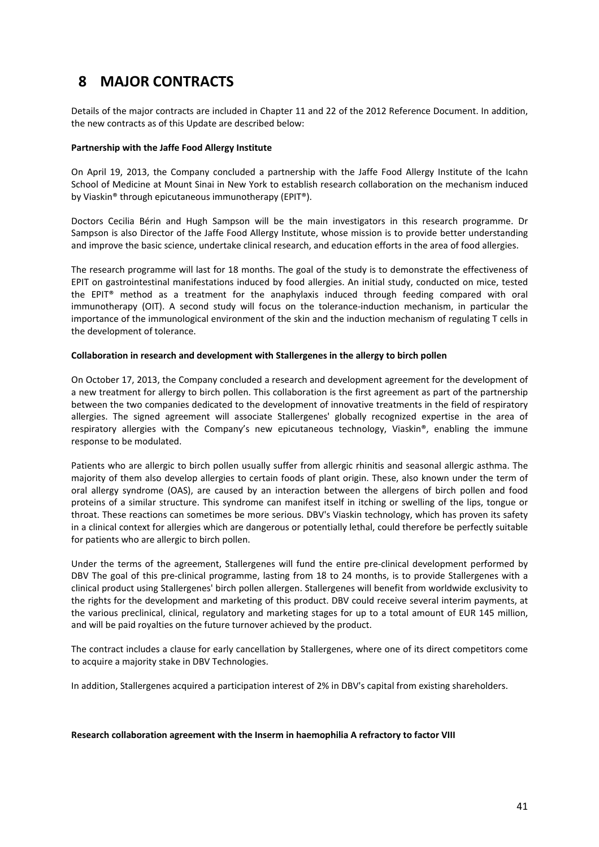# **8 MAJOR CONTRACTS**

Details of the major contracts are included in Chapter 11 and 22 of the 2012 Reference Document. In addition, the new contracts as of this Update are described below:

#### **Partnership with the Jaffe Food Allergy Institute**

On April 19, 2013, the Company concluded a partnership with the Jaffe Food Allergy Institute of the Icahn School of Medicine at Mount Sinai in New York to establish research collaboration on the mechanism induced by Viaskin® through epicutaneous immunotherapy (EPIT®).

Doctors Cecilia Bérin and Hugh Sampson will be the main investigators in this research programme. Dr Sampson is also Director of the Jaffe Food Allergy Institute, whose mission is to provide better understanding and improve the basic science, undertake clinical research, and education efforts in the area of food allergies.

The research programme will last for 18 months. The goal of the study is to demonstrate the effectiveness of EPIT on gastrointestinal manifestations induced by food allergies. An initial study, conducted on mice, tested the EPIT® method as a treatment for the anaphylaxis induced through feeding compared with oral immunotherapy (OIT). A second study will focus on the tolerance-induction mechanism, in particular the importance of the immunological environment of the skin and the induction mechanism of regulating T cells in the development of tolerance.

### **Collaboration in research and development with Stallergenes in the allergy to birch pollen**

On October 17, 2013, the Company concluded a research and development agreement for the development of a new treatment for allergy to birch pollen. This collaboration is the first agreement as part of the partnership between the two companies dedicated to the development of innovative treatments in the field of respiratory allergies. The signed agreement will associate Stallergenes' globally recognized expertise in the area of respiratory allergies with the Company's new epicutaneous technology, Viaskin®, enabling the immune response to be modulated.

Patients who are allergic to birch pollen usually suffer from allergic rhinitis and seasonal allergic asthma. The majority of them also develop allergies to certain foods of plant origin. These, also known under the term of oral allergy syndrome (OAS), are caused by an interaction between the allergens of birch pollen and food proteins of a similar structure. This syndrome can manifest itself in itching or swelling of the lips, tongue or throat. These reactions can sometimes be more serious. DBV's Viaskin technology, which has proven its safety in a clinical context for allergies which are dangerous or potentially lethal, could therefore be perfectly suitable for patients who are allergic to birch pollen.

Under the terms of the agreement, Stallergenes will fund the entire pre‐clinical development performed by DBV The goal of this pre-clinical programme, lasting from 18 to 24 months, is to provide Stallergenes with a clinical product using Stallergenes' birch pollen allergen. Stallergenes will benefit from worldwide exclusivity to the rights for the development and marketing of this product. DBV could receive several interim payments, at the various preclinical, clinical, regulatory and marketing stages for up to a total amount of EUR 145 million, and will be paid royalties on the future turnover achieved by the product.

The contract includes a clause for early cancellation by Stallergenes, where one of its direct competitors come to acquire a majority stake in DBV Technologies.

In addition, Stallergenes acquired a participation interest of 2% in DBV's capital from existing shareholders.

#### **Research collaboration agreement with the Inserm in haemophilia A refractory to factor VIII**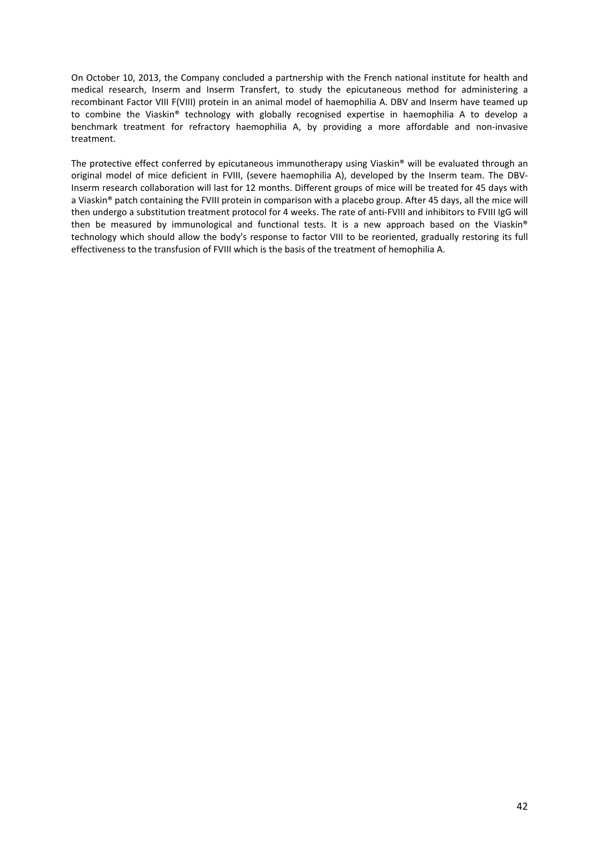On October 10, 2013, the Company concluded a partnership with the French national institute for health and medical research, Inserm and Inserm Transfert, to study the epicutaneous method for administering a recombinant Factor VIII F(VIII) protein in an animal model of haemophilia A. DBV and Inserm have teamed up to combine the Viaskin® technology with globally recognised expertise in haemophilia A to develop a benchmark treatment for refractory haemophilia A, by providing a more affordable and non-invasive treatment.

The protective effect conferred by epicutaneous immunotherapy using Viaskin® will be evaluated through an original model of mice deficient in FVIII, (severe haemophilia A), developed by the Inserm team. The DBV‐ Inserm research collaboration will last for 12 months. Different groups of mice will be treated for 45 days with a Viaskin® patch containing the FVIII protein in comparison with a placebo group. After 45 days, all the mice will then undergo a substitution treatment protocol for 4 weeks. The rate of anti-FVIII and inhibitors to FVIII IgG will then be measured by immunological and functional tests. It is a new approach based on the Viaskin® technology which should allow the body's response to factor VIII to be reoriented, gradually restoring its full effectiveness to the transfusion of FVIII which is the basis of the treatment of hemophilia A.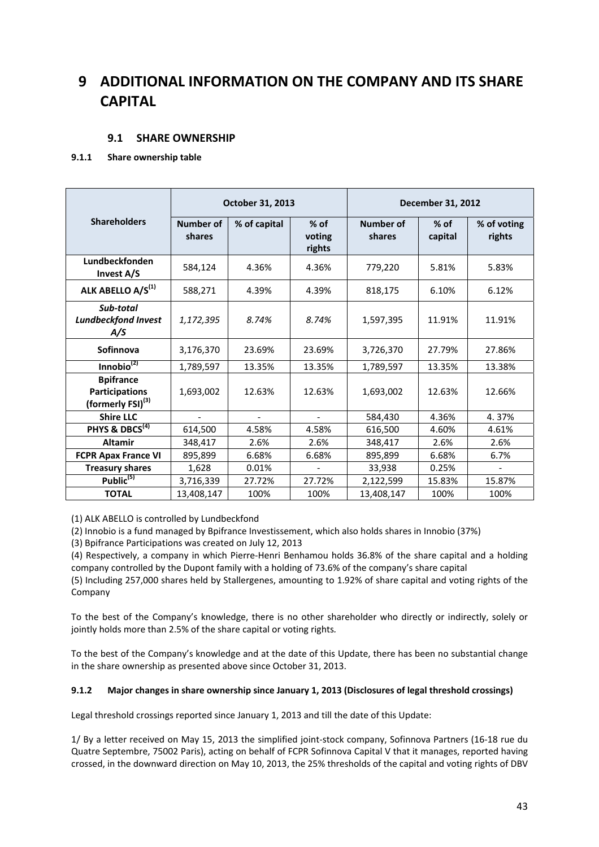# **9 ADDITIONAL INFORMATION ON THE COMPANY AND ITS SHARE CAPITAL**

# **9.1 SHARE OWNERSHIP**

## **9.1.1 Share ownership table**

|                                                                            | October 31, 2013           |                | December 31, 2012          |                            |                   |                       |
|----------------------------------------------------------------------------|----------------------------|----------------|----------------------------|----------------------------|-------------------|-----------------------|
| <b>Shareholders</b>                                                        | <b>Number of</b><br>shares | % of capital   | $%$ of<br>voting<br>rights | <b>Number of</b><br>shares | $%$ of<br>capital | % of voting<br>rights |
| Lundbeckfonden<br>Invest A/S                                               | 584,124                    | 4.36%          | 4.36%                      | 779,220                    | 5.81%             | 5.83%                 |
| ALK ABELLO A/S <sup>(1)</sup>                                              | 588,271                    | 4.39%          | 4.39%                      | 818,175                    | 6.10%             | 6.12%                 |
| Sub-total<br><b>Lundbeckfond Invest</b><br>A/S                             | 1,172,395                  | 8.74%          | 8.74%                      | 1,597,395                  | 11.91%            | 11.91%                |
| Sofinnova                                                                  | 3,176,370                  | 23.69%         | 23.69%                     | 3,726,370                  | 27.79%            | 27.86%                |
| Innobio $^{(2)}$                                                           | 1,789,597                  | 13.35%         | 13.35%                     | 1,789,597                  | 13.35%            | 13.38%                |
| <b>Bpifrance</b><br><b>Participations</b><br>(formerly FSI) <sup>(3)</sup> | 1,693,002                  | 12.63%         | 12.63%                     | 1,693,002                  | 12.63%            | 12.66%                |
| <b>Shire LLC</b>                                                           | $\overline{a}$             | $\overline{a}$ | $\blacksquare$             | 584,430                    | 4.36%             | 4.37%                 |
| PHYS & DBCS <sup>(4)</sup>                                                 | 614,500                    | 4.58%          | 4.58%                      | 616,500                    | 4.60%             | 4.61%                 |
| <b>Altamir</b>                                                             | 348,417                    | 2.6%           | 2.6%                       | 348,417                    | 2.6%              | 2.6%                  |
| <b>FCPR Apax France VI</b>                                                 | 895,899                    | 6.68%          | 6.68%                      | 895,899                    | 6.68%             | 6.7%                  |
| <b>Treasury shares</b>                                                     | 1,628                      | 0.01%          |                            | 33,938                     | 0.25%             |                       |
| Public <sup>(5)</sup>                                                      | 3,716,339                  | 27.72%         | 27.72%                     | 2,122,599                  | 15.83%            | 15.87%                |
| <b>TOTAL</b>                                                               | 13,408,147                 | 100%           | 100%                       | 13,408,147                 | 100%              | 100%                  |

(1) ALK ABELLO is controlled by Lundbeckfond

(2) Innobio is a fund managed by Bpifrance Investissement, which also holds shares in Innobio (37%)

(3) Bpifrance Participations was created on July 12, 2013

(4) Respectively, a company in which Pierre‐Henri Benhamou holds 36.8% of the share capital and a holding company controlled by the Dupont family with a holding of 73.6% of the company's share capital

(5) Including 257,000 shares held by Stallergenes, amounting to 1.92% of share capital and voting rights of the Company

To the best of the Company's knowledge, there is no other shareholder who directly or indirectly, solely or jointly holds more than 2.5% of the share capital or voting rights*.*

To the best of the Company's knowledge and at the date of this Update, there has been no substantial change in the share ownership as presented above since October 31, 2013.

## **9.1.2 Major changes in share ownership since January 1, 2013 (Disclosures of legal threshold crossings)**

Legal threshold crossings reported since January 1, 2013 and till the date of this Update:

1/ By a letter received on May 15, 2013 the simplified joint‐stock company, Sofinnova Partners (16‐18 rue du Quatre Septembre, 75002 Paris), acting on behalf of FCPR Sofinnova Capital V that it manages, reported having crossed, in the downward direction on May 10, 2013, the 25% thresholds of the capital and voting rights of DBV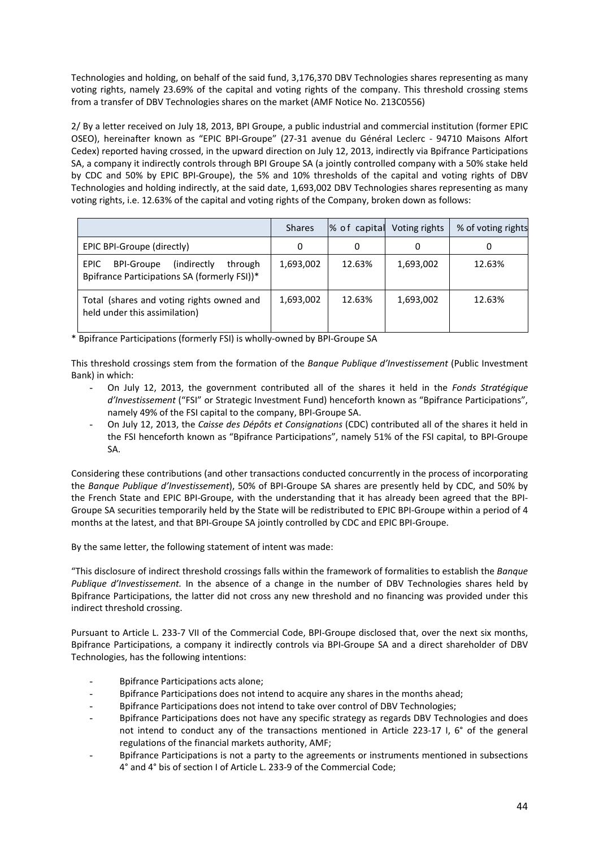Technologies and holding, on behalf of the said fund, 3,176,370 DBV Technologies shares representing as many voting rights, namely 23.69% of the capital and voting rights of the company. This threshold crossing stems from a transfer of DBV Technologies shares on the market (AMF Notice No. 213C0556)

2/ By a letter received on July 18, 2013, BPI Groupe, a public industrial and commercial institution (former EPIC OSEO), hereinafter known as "EPIC BPI‐Groupe" (27‐31 avenue du Général Leclerc ‐ 94710 Maisons Alfort Cedex) reported having crossed, in the upward direction on July 12, 2013, indirectly via Bpifrance Participations SA, a company it indirectly controls through BPI Groupe SA (a jointly controlled company with a 50% stake held by CDC and 50% by EPIC BPI‐Groupe), the 5% and 10% thresholds of the capital and voting rights of DBV Technologies and holding indirectly, at the said date, 1,693,002 DBV Technologies shares representing as many voting rights, i.e. 12.63% of the capital and voting rights of the Company, broken down as follows:

|                                                                                                       | <b>Shares</b> |        | % of capital Voting rights | % of voting rights |
|-------------------------------------------------------------------------------------------------------|---------------|--------|----------------------------|--------------------|
| EPIC BPI-Groupe (directly)                                                                            | 0             | 0      | 0                          | U                  |
| EPIC.<br><b>BPI-Groupe</b><br>(indirectly)<br>through<br>Bpifrance Participations SA (formerly FSI))* | 1,693,002     | 12.63% | 1,693,002                  | 12.63%             |
| Total (shares and voting rights owned and<br>held under this assimilation)                            | 1,693,002     | 12.63% | 1,693,002                  | 12.63%             |

\* Bpifrance Participations (formerly FSI) is wholly‐owned by BPI‐Groupe SA

This threshold crossings stem from the formation of the *Banque Publique d'Investissement* (Public Investment Bank) in which:

- On July 12, 2013, the government contributed all of the shares it held in the *Fonds Stratégique d'Investissement* ("FSI" or Strategic Investment Fund) henceforth known as "Bpifrance Participations", namely 49% of the FSI capital to the company, BPI‐Groupe SA.
- On July 12, 2013, the *Caisse des Dépôts et Consignations* (CDC) contributed all of the shares it held in the FSI henceforth known as "Bpifrance Participations", namely 51% of the FSI capital, to BPI‐Groupe SA.

Considering these contributions (and other transactions conducted concurrently in the process of incorporating the *Banque Publique d'Investissement*), 50% of BPI‐Groupe SA shares are presently held by CDC, and 50% by the French State and EPIC BPI‐Groupe, with the understanding that it has already been agreed that the BPI‐ Groupe SA securities temporarily held by the State will be redistributed to EPIC BPI‐Groupe within a period of 4 months at the latest, and that BPI‐Groupe SA jointly controlled by CDC and EPIC BPI‐Groupe.

By the same letter, the following statement of intent was made:

"This disclosure of indirect threshold crossings falls within the framework of formalities to establish the *Banque Publique d'Investissement.* In the absence of a change in the number of DBV Technologies shares held by Bpifrance Participations, the latter did not cross any new threshold and no financing was provided under this indirect threshold crossing.

Pursuant to Article L. 233‐7 VII of the Commercial Code, BPI‐Groupe disclosed that, over the next six months, Bpifrance Participations, a company it indirectly controls via BPI‐Groupe SA and a direct shareholder of DBV Technologies, has the following intentions:

- Bpifrance Participations acts alone;
- Bpifrance Participations does not intend to acquire any shares in the months ahead;
- Bpifrance Participations does not intend to take over control of DBV Technologies;
- Bpifrance Participations does not have any specific strategy as regards DBV Technologies and does not intend to conduct any of the transactions mentioned in Article 223-17 I, 6° of the general regulations of the financial markets authority, AMF;
- Bpifrance Participations is not a party to the agreements or instruments mentioned in subsections 4° and 4° bis of section I of Article L. 233‐9 of the Commercial Code;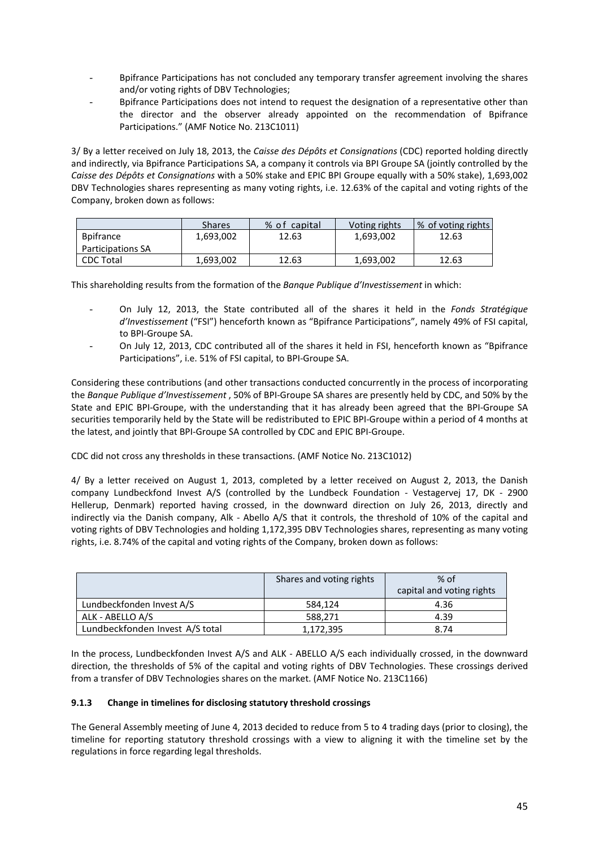- Bpifrance Participations has not concluded any temporary transfer agreement involving the shares and/or voting rights of DBV Technologies;
- Bpifrance Participations does not intend to request the designation of a representative other than the director and the observer already appointed on the recommendation of Bpifrance Participations." (AMF Notice No. 213C1011)

3/ By a letter received on July 18, 2013, the *Caisse des Dépôts et Consignations* (CDC) reported holding directly and indirectly, via Bpifrance Participations SA, a company it controls via BPI Groupe SA (jointly controlled by the *Caisse des Dépôts et Consignations* with a 50% stake and EPIC BPI Groupe equally with a 50% stake), 1,693,002 DBV Technologies shares representing as many voting rights, i.e. 12.63% of the capital and voting rights of the Company, broken down as follows:

|                          | Shares    | % of<br>capital | Voting rights | ∣% of voting rights |
|--------------------------|-----------|-----------------|---------------|---------------------|
| <b>B</b> pifrance        | 1,693,002 | 12.63           | 1.693.002     | 12.63               |
| <b>Participations SA</b> |           |                 |               |                     |
| <b>CDC Total</b>         | 1.693.002 | 12.63           | 1.693.002     | 12.63               |

This shareholding results from the formation of the *Banque Publique d'Investissement* in which:

- On July 12, 2013, the State contributed all of the shares it held in the *Fonds Stratégique d'Investissement* ("FSI") henceforth known as "Bpifrance Participations", namely 49% of FSI capital, to BPI‐Groupe SA.
- On July 12, 2013, CDC contributed all of the shares it held in FSI, henceforth known as "Bpifrance Participations", i.e. 51% of FSI capital, to BPI‐Groupe SA.

Considering these contributions (and other transactions conducted concurrently in the process of incorporating the *Banque Publique d'Investissement* , 50% of BPI‐Groupe SA shares are presently held by CDC, and 50% by the State and EPIC BPI‐Groupe, with the understanding that it has already been agreed that the BPI‐Groupe SA securities temporarily held by the State will be redistributed to EPIC BPI‐Groupe within a period of 4 months at the latest, and jointly that BPI‐Groupe SA controlled by CDC and EPIC BPI‐Groupe.

CDC did not cross any thresholds in these transactions. (AMF Notice No. 213C1012)

4/ By a letter received on August 1, 2013, completed by a letter received on August 2, 2013, the Danish company Lundbeckfond Invest A/S (controlled by the Lundbeck Foundation - Vestagervej 17, DK - 2900 Hellerup, Denmark) reported having crossed, in the downward direction on July 26, 2013, directly and indirectly via the Danish company, Alk - Abello A/S that it controls, the threshold of 10% of the capital and voting rights of DBV Technologies and holding 1,172,395 DBV Technologies shares, representing as many voting rights, i.e. 8.74% of the capital and voting rights of the Company, broken down as follows:

|                                 | Shares and voting rights | $%$ of<br>capital and voting rights |
|---------------------------------|--------------------------|-------------------------------------|
| Lundbeckfonden Invest A/S       | 584.124                  | 4.36                                |
| ALK - ABELLO A/S                | 588,271                  | 4.39                                |
| Lundbeckfonden Invest A/S total | 1,172,395                | 8.74                                |

In the process, Lundbeckfonden Invest A/S and ALK - ABELLO A/S each individually crossed, in the downward direction, the thresholds of 5% of the capital and voting rights of DBV Technologies. These crossings derived from a transfer of DBV Technologies shares on the market. (AMF Notice No. 213C1166)

## **9.1.3 Change in timelines for disclosing statutory threshold crossings**

The General Assembly meeting of June 4, 2013 decided to reduce from 5 to 4 trading days (prior to closing), the timeline for reporting statutory threshold crossings with a view to aligning it with the timeline set by the regulations in force regarding legal thresholds.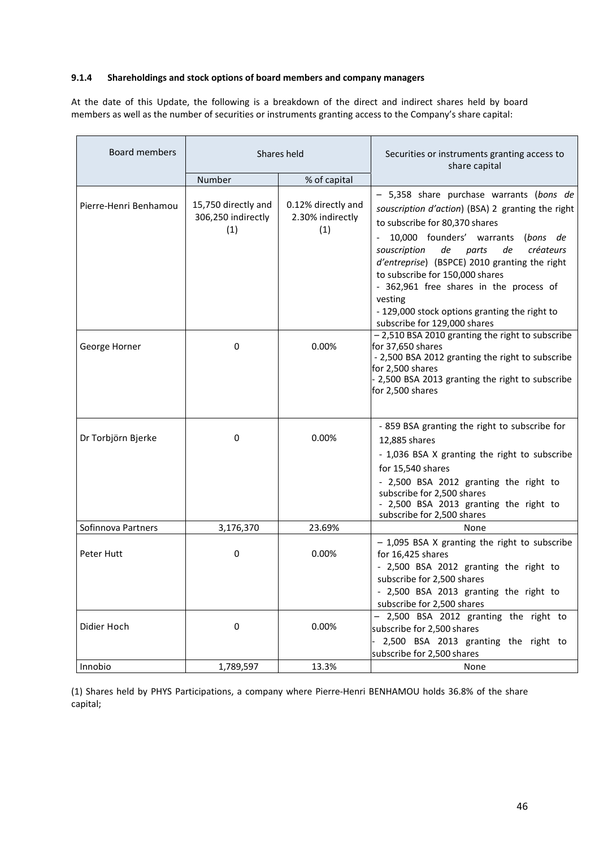### **9.1.4 Shareholdings and stock options of board members and company managers**

At the date of this Update, the following is a breakdown of the direct and indirect shares held by board members as well as the number of securities or instruments granting access to the Company's share capital:

| <b>Board members</b>  | Shares held                                      |                                               | Securities or instruments granting access to<br>share capital                                                                                                                                                                                                                                                                                                                                                                                      |
|-----------------------|--------------------------------------------------|-----------------------------------------------|----------------------------------------------------------------------------------------------------------------------------------------------------------------------------------------------------------------------------------------------------------------------------------------------------------------------------------------------------------------------------------------------------------------------------------------------------|
|                       | Number                                           | % of capital                                  |                                                                                                                                                                                                                                                                                                                                                                                                                                                    |
| Pierre-Henri Benhamou | 15,750 directly and<br>306,250 indirectly<br>(1) | 0.12% directly and<br>2.30% indirectly<br>(1) | - 5,358 share purchase warrants (bons de<br>souscription d'action) (BSA) 2 granting the right<br>to subscribe for 80,370 shares<br>10,000 founders' warrants (bons de<br>souscription<br>de<br>parts<br>créateurs<br>de<br>d'entreprise) (BSPCE) 2010 granting the right<br>to subscribe for 150,000 shares<br>- 362,961 free shares in the process of<br>vesting<br>- 129,000 stock options granting the right to<br>subscribe for 129,000 shares |
| George Horner         | 0                                                | 0.00%                                         | - 2,510 BSA 2010 granting the right to subscribe<br>for 37,650 shares<br>- 2,500 BSA 2012 granting the right to subscribe<br>for 2,500 shares<br>- 2,500 BSA 2013 granting the right to subscribe<br>for 2,500 shares                                                                                                                                                                                                                              |
| Dr Torbjörn Bjerke    | 0                                                | 0.00%                                         | - 859 BSA granting the right to subscribe for<br>12,885 shares<br>- 1,036 BSA X granting the right to subscribe<br>for 15,540 shares<br>- 2,500 BSA 2012 granting the right to<br>subscribe for 2,500 shares<br>- 2,500 BSA 2013 granting the right to<br>subscribe for 2,500 shares                                                                                                                                                               |
| Sofinnova Partners    | 3,176,370                                        | 23.69%                                        | None                                                                                                                                                                                                                                                                                                                                                                                                                                               |
| Peter Hutt            | 0                                                | 0.00%                                         | - 1,095 BSA X granting the right to subscribe<br>for 16,425 shares<br>- 2,500 BSA 2012 granting the right to<br>subscribe for 2,500 shares<br>- 2,500 BSA 2013 granting the right to<br>subscribe for 2,500 shares                                                                                                                                                                                                                                 |
| Didier Hoch           | 0                                                | 0.00%                                         | - 2,500 BSA 2012 granting the right to<br>subscribe for 2,500 shares<br>2,500 BSA 2013 granting the right to<br>subscribe for 2,500 shares                                                                                                                                                                                                                                                                                                         |
| Innobio               | 1,789,597                                        | 13.3%                                         | None                                                                                                                                                                                                                                                                                                                                                                                                                                               |

(1) Shares held by PHYS Participations, a company where Pierre‐Henri BENHAMOU holds 36.8% of the share capital;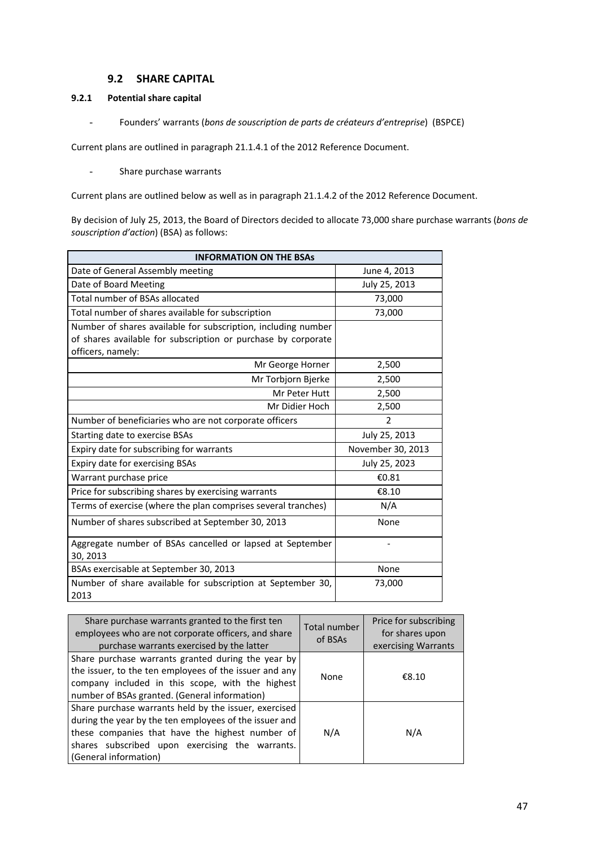## **9.2 SHARE CAPITAL**

## **9.2.1 Potential share capital**

- Founders' warrants (*bons de souscription de parts de créateurs d'entreprise*) (BSPCE)

Current plans are outlined in paragraph 21.1.4.1 of the 2012 Reference Document.

- Share purchase warrants

Current plans are outlined below as well as in paragraph 21.1.4.2 of the 2012 Reference Document.

By decision of July 25, 2013, the Board of Directors decided to allocate 73,000 share purchase warrants (*bons de souscription d'action*) (BSA) as follows:

| <b>INFORMATION ON THE BSAS</b>                                        |                   |  |  |  |
|-----------------------------------------------------------------------|-------------------|--|--|--|
| Date of General Assembly meeting                                      | June 4, 2013      |  |  |  |
| Date of Board Meeting                                                 | July 25, 2013     |  |  |  |
| Total number of BSAs allocated                                        | 73,000            |  |  |  |
| Total number of shares available for subscription                     | 73,000            |  |  |  |
| Number of shares available for subscription, including number         |                   |  |  |  |
| of shares available for subscription or purchase by corporate         |                   |  |  |  |
| officers, namely:                                                     |                   |  |  |  |
| Mr George Horner                                                      | 2,500             |  |  |  |
| Mr Torbjorn Bjerke                                                    | 2,500             |  |  |  |
| Mr Peter Hutt                                                         | 2,500             |  |  |  |
| Mr Didier Hoch                                                        | 2,500             |  |  |  |
| Number of beneficiaries who are not corporate officers                | 2                 |  |  |  |
| Starting date to exercise BSAs                                        | July 25, 2013     |  |  |  |
| Expiry date for subscribing for warrants                              | November 30, 2013 |  |  |  |
| Expiry date for exercising BSAs                                       | July 25, 2023     |  |  |  |
| Warrant purchase price                                                | €0.81             |  |  |  |
| Price for subscribing shares by exercising warrants                   | €8.10             |  |  |  |
| Terms of exercise (where the plan comprises several tranches)         | N/A               |  |  |  |
| Number of shares subscribed at September 30, 2013                     | None              |  |  |  |
| Aggregate number of BSAs cancelled or lapsed at September<br>30, 2013 |                   |  |  |  |
| BSAs exercisable at September 30, 2013                                | None              |  |  |  |
| Number of share available for subscription at September 30,<br>2013   | 73,000            |  |  |  |

| Share purchase warrants granted to the first ten<br>employees who are not corporate officers, and share<br>purchase warrants exercised by the latter                                                                                           | Total number<br>of BSAs | Price for subscribing<br>for shares upon<br>exercising Warrants |
|------------------------------------------------------------------------------------------------------------------------------------------------------------------------------------------------------------------------------------------------|-------------------------|-----------------------------------------------------------------|
| Share purchase warrants granted during the year by<br>the issuer, to the ten employees of the issuer and any<br>company included in this scope, with the highest<br>number of BSAs granted. (General information)                              | None                    | €8.10                                                           |
| Share purchase warrants held by the issuer, exercised<br>during the year by the ten employees of the issuer and<br>these companies that have the highest number of<br>shares subscribed upon exercising the warrants.<br>(General information) | N/A                     | N/A                                                             |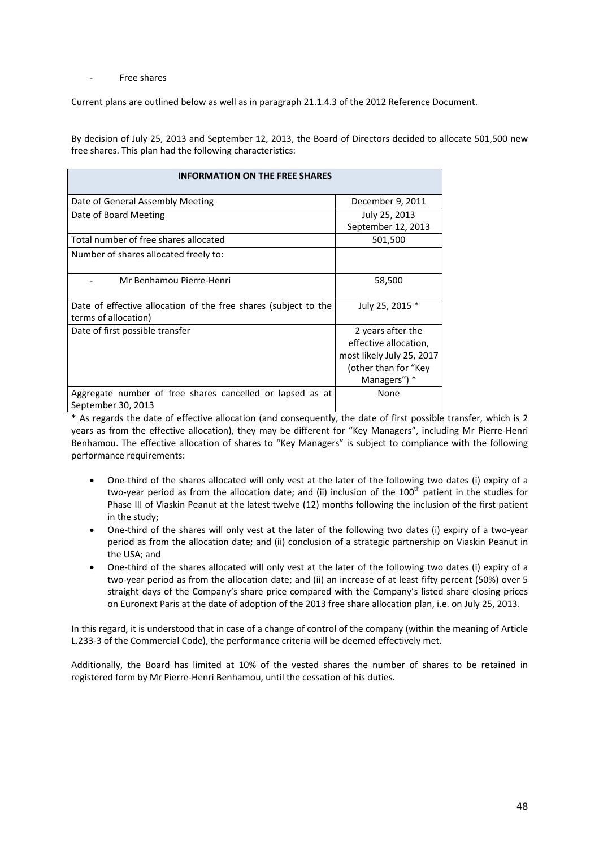#### - Free shares

Current plans are outlined below as well as in paragraph 21.1.4.3 of the 2012 Reference Document.

By decision of July 25, 2013 and September 12, 2013, the Board of Directors decided to allocate 501,500 new free shares. This plan had the following characteristics:

| <b>INFORMATION ON THE FREE SHARES</b>                           |                           |
|-----------------------------------------------------------------|---------------------------|
| Date of General Assembly Meeting                                | December 9, 2011          |
| Date of Board Meeting                                           | July 25, 2013             |
|                                                                 | September 12, 2013        |
| Total number of free shares allocated                           | 501,500                   |
| Number of shares allocated freely to:                           |                           |
| Mr Benhamou Pierre-Henri                                        | 58,500                    |
| Date of effective allocation of the free shares (subject to the | July 25, 2015 *           |
| terms of allocation)                                            |                           |
| Date of first possible transfer                                 | 2 years after the         |
|                                                                 | effective allocation,     |
|                                                                 | most likely July 25, 2017 |
|                                                                 | (other than for "Key      |
|                                                                 | Managers") *              |
| Aggregate number of free shares cancelled or lapsed as at       | None                      |
| September 30, 2013                                              |                           |

\* As regards the date of effective allocation (and consequently, the date of first possible transfer, which is 2 years as from the effective allocation), they may be different for "Key Managers", including Mr Pierre‐Henri Benhamou. The effective allocation of shares to "Key Managers" is subject to compliance with the following performance requirements:

- One-third of the shares allocated will only vest at the later of the following two dates (i) expiry of a two-year period as from the allocation date; and (ii) inclusion of the  $100<sup>th</sup>$  patient in the studies for Phase III of Viaskin Peanut at the latest twelve (12) months following the inclusion of the first patient in the study;
- One‐third of the shares will only vest at the later of the following two dates (i) expiry of a two‐year period as from the allocation date; and (ii) conclusion of a strategic partnership on Viaskin Peanut in the USA; and
- One‐third of the shares allocated will only vest at the later of the following two dates (i) expiry of a two-year period as from the allocation date; and (ii) an increase of at least fifty percent (50%) over 5 straight days of the Company's share price compared with the Company's listed share closing prices on Euronext Paris at the date of adoption of the 2013 free share allocation plan, i.e. on July 25, 2013.

In this regard, it is understood that in case of a change of control of the company (within the meaning of Article L.233‐3 of the Commercial Code), the performance criteria will be deemed effectively met.

Additionally, the Board has limited at 10% of the vested shares the number of shares to be retained in registered form by Mr Pierre‐Henri Benhamou, until the cessation of his duties.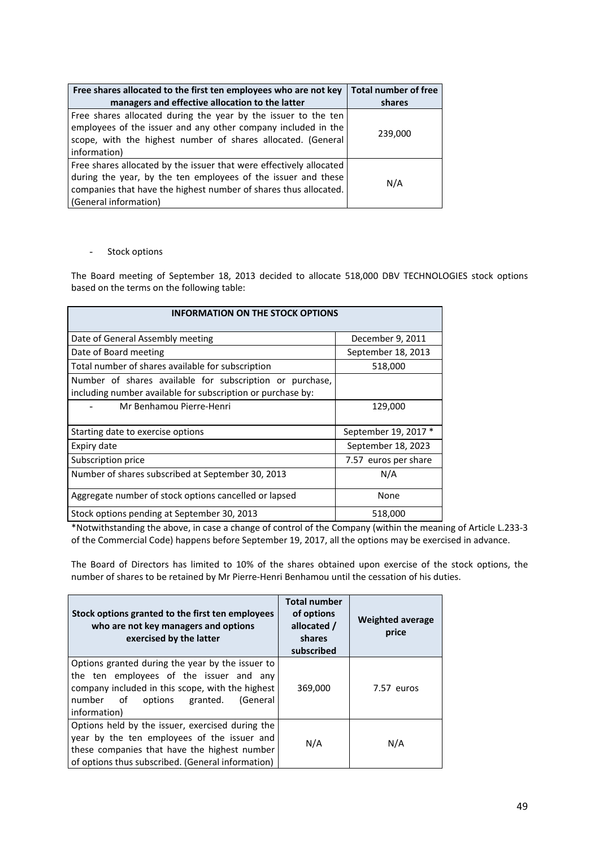| Free shares allocated to the first ten employees who are not key                                                                                                                                                                  | <b>Total number of free</b> |
|-----------------------------------------------------------------------------------------------------------------------------------------------------------------------------------------------------------------------------------|-----------------------------|
| managers and effective allocation to the latter                                                                                                                                                                                   | shares                      |
| Free shares allocated during the year by the issuer to the ten<br>employees of the issuer and any other company included in the<br>scope, with the highest number of shares allocated. (General<br>information)                   | 239,000                     |
| Free shares allocated by the issuer that were effectively allocated<br>during the year, by the ten employees of the issuer and these<br>companies that have the highest number of shares thus allocated.<br>(General information) | N/A                         |

#### - Stock options

The Board meeting of September 18, 2013 decided to allocate 518,000 DBV TECHNOLOGIES stock options based on the terms on the following table:

| <b>INFORMATION ON THE STOCK OPTIONS</b>                                                                                 |                      |  |  |  |
|-------------------------------------------------------------------------------------------------------------------------|----------------------|--|--|--|
| Date of General Assembly meeting                                                                                        | December 9, 2011     |  |  |  |
| Date of Board meeting                                                                                                   | September 18, 2013   |  |  |  |
| Total number of shares available for subscription                                                                       | 518,000              |  |  |  |
| Number of shares available for subscription or purchase,<br>including number available for subscription or purchase by: |                      |  |  |  |
| Mr Benhamou Pierre-Henri                                                                                                | 129,000              |  |  |  |
| Starting date to exercise options                                                                                       | September 19, 2017 * |  |  |  |
| Expiry date                                                                                                             | September 18, 2023   |  |  |  |
| Subscription price                                                                                                      | 7.57 euros per share |  |  |  |
| Number of shares subscribed at September 30, 2013                                                                       | N/A                  |  |  |  |
| Aggregate number of stock options cancelled or lapsed                                                                   | None                 |  |  |  |
| Stock options pending at September 30, 2013                                                                             | 518,000              |  |  |  |

\*Notwithstanding the above, in case a change of control of the Company (within the meaning of Article L.233‐3 of the Commercial Code) happens before September 19, 2017, all the options may be exercised in advance.

The Board of Directors has limited to 10% of the shares obtained upon exercise of the stock options, the number of shares to be retained by Mr Pierre‐Henri Benhamou until the cessation of his duties.

| Stock options granted to the first ten employees<br>who are not key managers and options<br>exercised by the latter                                                                                          | <b>Total number</b><br>of options<br>allocated /<br>shares<br>subscribed | <b>Weighted average</b><br>price |
|--------------------------------------------------------------------------------------------------------------------------------------------------------------------------------------------------------------|--------------------------------------------------------------------------|----------------------------------|
| Options granted during the year by the issuer to<br>the ten employees of the issuer and any<br>company included in this scope, with the highest<br>number of<br>(General<br>options granted.<br>information) | 369,000                                                                  | 7.57 euros                       |
| Options held by the issuer, exercised during the<br>year by the ten employees of the issuer and<br>these companies that have the highest number<br>of options thus subscribed. (General information)         | N/A                                                                      | N/A                              |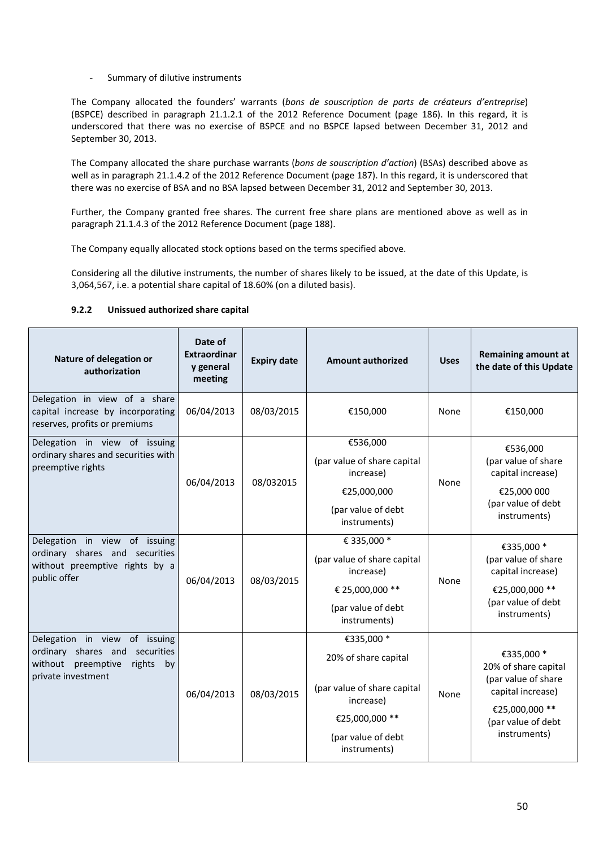- Summary of dilutive instruments

The Company allocated the founders' warrants (*bons de souscription de parts de créateurs d'entreprise*) (BSPCE) described in paragraph 21.1.2.1 of the 2012 Reference Document (page 186). In this regard, it is underscored that there was no exercise of BSPCE and no BSPCE lapsed between December 31, 2012 and September 30, 2013.

The Company allocated the share purchase warrants (*bons de souscription d'action*) (BSAs) described above as well as in paragraph 21.1.4.2 of the 2012 Reference Document (page 187). In this regard, it is underscored that there was no exercise of BSA and no BSA lapsed between December 31, 2012 and September 30, 2013.

Further, the Company granted free shares. The current free share plans are mentioned above as well as in paragraph 21.1.4.3 of the 2012 Reference Document (page 188).

The Company equally allocated stock options based on the terms specified above.

Considering all the dilutive instruments, the number of shares likely to be issued, at the date of this Update, is 3,064,567, i.e. a potential share capital of 18.60% (on a diluted basis).

## **9.2.2 Unissued authorized share capital**

| Nature of delegation or<br>authorization                                                                                       | Date of<br><b>Extraordinar</b><br>y general<br>meeting | <b>Expiry date</b> | <b>Amount authorized</b>                                                                                                               | <b>Uses</b> | <b>Remaining amount at</b><br>the date of this Update                                                                                  |
|--------------------------------------------------------------------------------------------------------------------------------|--------------------------------------------------------|--------------------|----------------------------------------------------------------------------------------------------------------------------------------|-------------|----------------------------------------------------------------------------------------------------------------------------------------|
| Delegation in view of a share<br>capital increase by incorporating<br>reserves, profits or premiums                            | 06/04/2013                                             | 08/03/2015         | €150,000                                                                                                                               | None        | €150,000                                                                                                                               |
| Delegation in view of issuing<br>ordinary shares and securities with<br>preemptive rights                                      | 06/04/2013                                             | 08/032015          | €536,000<br>(par value of share capital<br>increase)<br>€25,000,000<br>(par value of debt<br>instruments)                              | None        | €536,000<br>(par value of share<br>capital increase)<br>€25,000 000<br>(par value of debt<br>instruments)                              |
| Delegation in view of issuing<br>ordinary shares and securities<br>without preemptive rights by a<br>public offer              | 06/04/2013                                             | 08/03/2015         | € 335,000 *<br>(par value of share capital<br>increase)<br>€ 25,000,000 **<br>(par value of debt<br>instruments)                       | None        | €335,000 *<br>(par value of share<br>capital increase)<br>€25,000,000 **<br>(par value of debt<br>instruments)                         |
| Delegation in view of issuing<br>ordinary shares and<br>securities<br>without preemptive<br>rights<br>by<br>private investment | 06/04/2013                                             | 08/03/2015         | €335,000 *<br>20% of share capital<br>(par value of share capital<br>increase)<br>€25,000,000 **<br>(par value of debt<br>instruments) | None        | €335,000 *<br>20% of share capital<br>(par value of share<br>capital increase)<br>€25,000,000 **<br>(par value of debt<br>instruments) |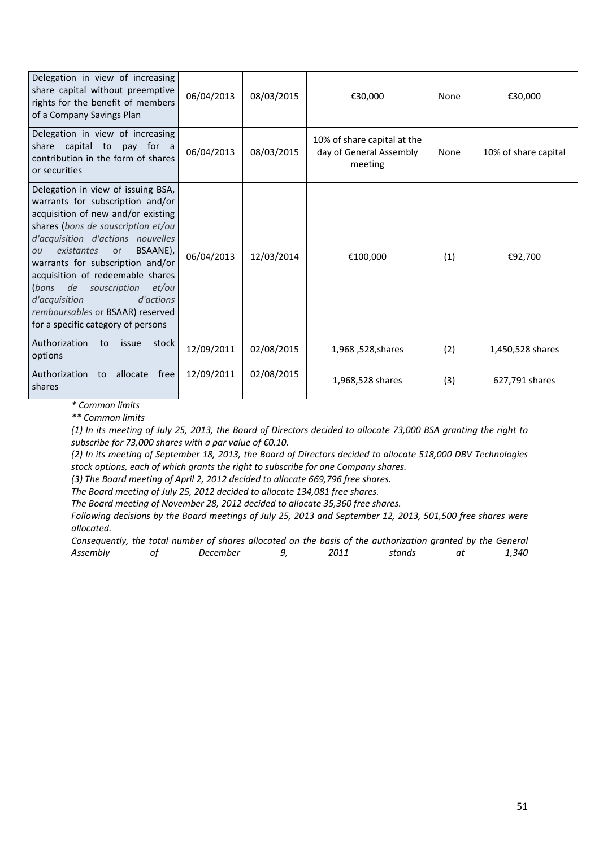| Delegation in view of increasing<br>share capital without preemptive<br>rights for the benefit of members<br>of a Company Savings Plan                                                                                                                                                                                                                                                                                                                | 06/04/2013 | 08/03/2015 | €30,000                                                           | None | €30,000              |
|-------------------------------------------------------------------------------------------------------------------------------------------------------------------------------------------------------------------------------------------------------------------------------------------------------------------------------------------------------------------------------------------------------------------------------------------------------|------------|------------|-------------------------------------------------------------------|------|----------------------|
| Delegation in view of increasing<br>share capital to<br>pay for a<br>contribution in the form of shares<br>or securities                                                                                                                                                                                                                                                                                                                              | 06/04/2013 | 08/03/2015 | 10% of share capital at the<br>day of General Assembly<br>meeting | None | 10% of share capital |
| Delegation in view of issuing BSA,<br>warrants for subscription and/or<br>acquisition of new and/or existing<br>shares (bons de souscription et/ou<br>d'acquisition d'actions nouvelles<br>BSAANE),<br>existantes<br>or<br>ou<br>warrants for subscription and/or<br>acquisition of redeemable shares<br>(bons<br>de<br>souscription<br>et/ou<br>d'acquisition<br>d'actions<br>remboursables or BSAAR) reserved<br>for a specific category of persons | 06/04/2013 | 12/03/2014 | €100,000                                                          | (1)  | €92,700              |
| Authorization<br>stock<br>to<br>issue<br>options                                                                                                                                                                                                                                                                                                                                                                                                      | 12/09/2011 | 02/08/2015 | 1,968, 528, 1,968                                                 | (2)  | 1,450,528 shares     |
| Authorization<br>allocate<br>free<br>to<br>shares                                                                                                                                                                                                                                                                                                                                                                                                     | 12/09/2011 | 02/08/2015 | 1,968,528 shares                                                  | (3)  | 627,791 shares       |

*\* Common limits*

*\*\* Common limits*

(1) In its meeting of July 25, 2013, the Board of Directors decided to allocate 73,000 BSA granting the right to *subscribe for 73,000 shares with a par value of €0.10.*

(2) In its meeting of September 18, 2013, the Board of Directors decided to allocate 518,000 DBV Technologies *stock options, each of which grants the right to subscribe for one Company shares.*

*(3) The Board meeting of April 2, 2012 decided to allocate 669,796 free shares.*

*The Board meeting of July 25, 2012 decided to allocate 134,081 free shares.*

*The Board meeting of November 28, 2012 decided to allocate 35,360 free shares.*

Following decisions by the Board meetings of July 25, 2013 and September 12, 2013, 501,500 free shares were *allocated.*

Consequently, the total number of shares allocated on the basis of the authorization granted by the General *Assembly of December 9, 2011 stands at 1,340*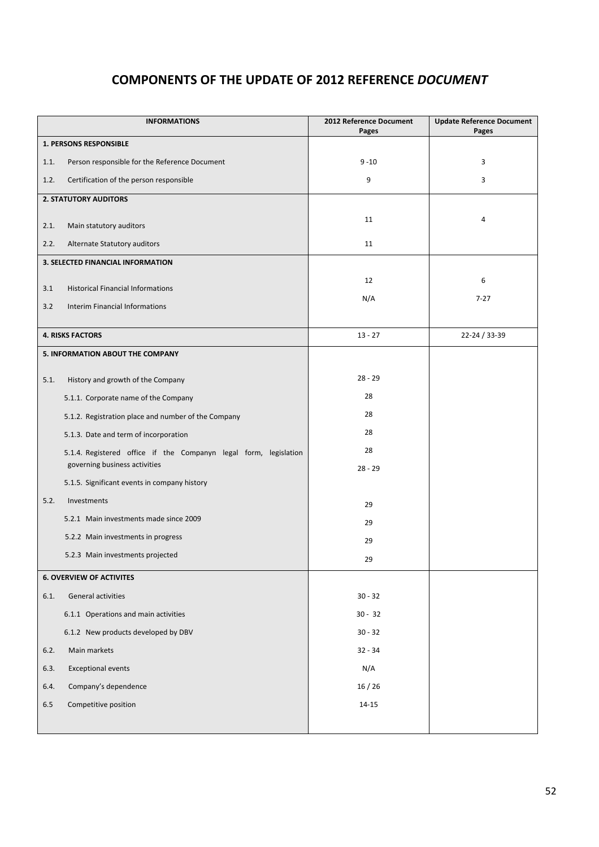# **COMPONENTS OF THE UPDATE OF 2012 REFERENCE** *DOCUMENT*

|         | <b>INFORMATIONS</b>                                              | 2012 Reference Document<br>Pages | <b>Update Reference Document</b><br>Pages |
|---------|------------------------------------------------------------------|----------------------------------|-------------------------------------------|
|         | 1. PERSONS RESPONSIBLE                                           |                                  |                                           |
| 1.1.    | Person responsible for the Reference Document                    | $9 - 10$                         | 3                                         |
| 1.2.    | Certification of the person responsible                          | 9                                | 3                                         |
|         | <b>2. STATUTORY AUDITORS</b>                                     |                                  |                                           |
| 2.1.    | Main statutory auditors                                          | 11                               | 4                                         |
| 2.2.    | Alternate Statutory auditors                                     | 11                               |                                           |
|         | 3. SELECTED FINANCIAL INFORMATION                                |                                  |                                           |
|         |                                                                  | 12                               | 6                                         |
| 3.1     | <b>Historical Financial Informations</b>                         | N/A                              | $7 - 27$                                  |
| 3.2     | <b>Interim Financial Informations</b>                            |                                  |                                           |
|         | <b>4. RISKS FACTORS</b>                                          | $13 - 27$                        | 22-24 / 33-39                             |
|         | 5. INFORMATION ABOUT THE COMPANY                                 |                                  |                                           |
| 5.1.    | History and growth of the Company                                | $28 - 29$                        |                                           |
|         | 5.1.1. Corporate name of the Company                             | 28                               |                                           |
|         | 5.1.2. Registration place and number of the Company              | 28                               |                                           |
|         | 5.1.3. Date and term of incorporation                            | 28                               |                                           |
|         | 5.1.4. Registered office if the Companyn legal form, legislation | 28                               |                                           |
|         | governing business activities                                    | $28 - 29$                        |                                           |
|         | 5.1.5. Significant events in company history                     |                                  |                                           |
| 5.2.    | Investments                                                      | 29                               |                                           |
|         | 5.2.1 Main investments made since 2009                           | 29                               |                                           |
|         | 5.2.2 Main investments in progress                               | 29                               |                                           |
|         | 5.2.3 Main investments projected                                 | 29                               |                                           |
|         | <b>6. OVERVIEW OF ACTIVITES</b>                                  |                                  |                                           |
| 6.1.    | General activities                                               | $30 - 32$                        |                                           |
|         | 6.1.1 Operations and main activities                             | $30 - 32$                        |                                           |
|         | 6.1.2 New products developed by DBV                              | $30 - 32$                        |                                           |
| 6.2.    | Main markets                                                     | $32 - 34$                        |                                           |
| 6.3.    | <b>Exceptional events</b>                                        | N/A                              |                                           |
| 6.4.    | Company's dependence                                             | 16/26                            |                                           |
| $6.5\,$ | Competitive position                                             | $14 - 15$                        |                                           |
|         |                                                                  |                                  |                                           |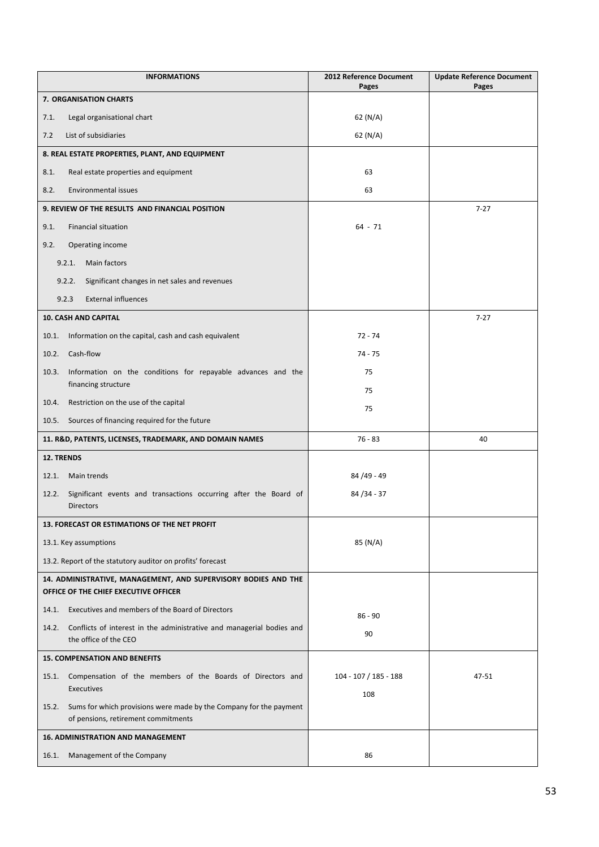| <b>INFORMATIONS</b>                                                                                                | 2012 Reference Document<br>Pages | <b>Update Reference Document</b><br>Pages |
|--------------------------------------------------------------------------------------------------------------------|----------------------------------|-------------------------------------------|
| 7. ORGANISATION CHARTS                                                                                             |                                  |                                           |
| Legal organisational chart<br>7.1.                                                                                 | 62 (N/A)                         |                                           |
| 7.2<br>List of subsidiaries                                                                                        | 62 (N/A)                         |                                           |
| 8. REAL ESTATE PROPERTIES, PLANT, AND EQUIPMENT                                                                    |                                  |                                           |
| Real estate properties and equipment<br>8.1.                                                                       | 63                               |                                           |
| 8.2.<br>Environmental issues                                                                                       | 63                               |                                           |
| 9. REVIEW OF THE RESULTS AND FINANCIAL POSITION                                                                    |                                  | $7 - 27$                                  |
| 9.1.<br><b>Financial situation</b>                                                                                 | $64 - 71$                        |                                           |
| 9.2.<br>Operating income                                                                                           |                                  |                                           |
| Main factors<br>9.2.1.                                                                                             |                                  |                                           |
| 9.2.2.<br>Significant changes in net sales and revenues                                                            |                                  |                                           |
| <b>External influences</b><br>9.2.3                                                                                |                                  |                                           |
| 10. CASH AND CAPITAL                                                                                               |                                  | $7 - 27$                                  |
| Information on the capital, cash and cash equivalent<br>10.1.                                                      | $72 - 74$                        |                                           |
| Cash-flow<br>10.2.                                                                                                 | 74 - 75                          |                                           |
| 10.3.<br>Information on the conditions for repayable advances and the                                              | 75                               |                                           |
| financing structure                                                                                                | 75                               |                                           |
| Restriction on the use of the capital<br>10.4.                                                                     | 75                               |                                           |
| Sources of financing required for the future<br>10.5.                                                              |                                  |                                           |
| 11. R&D, PATENTS, LICENSES, TRADEMARK, AND DOMAIN NAMES                                                            | $76 - 83$                        | 40                                        |
| 12. TRENDS                                                                                                         |                                  |                                           |
| Main trends<br>12.1.                                                                                               | 84 / 49 - 49                     |                                           |
| Significant events and transactions occurring after the Board of<br>12.2.<br><b>Directors</b>                      | 84 / 34 - 37                     |                                           |
| 13. FORECAST OR ESTIMATIONS OF THE NET PROFIT                                                                      |                                  |                                           |
| 13.1. Key assumptions                                                                                              | 85 (N/A)                         |                                           |
| 13.2. Report of the statutory auditor on profits' forecast                                                         |                                  |                                           |
| 14. ADMINISTRATIVE, MANAGEMENT, AND SUPERVISORY BODIES AND THE<br>OFFICE OF THE CHIEF EXECUTIVE OFFICER            |                                  |                                           |
| Executives and members of the Board of Directors<br>14.1.                                                          | $86 - 90$                        |                                           |
| Conflicts of interest in the administrative and managerial bodies and<br>14.2.<br>the office of the CEO            | 90                               |                                           |
| <b>15. COMPENSATION AND BENEFITS</b>                                                                               |                                  |                                           |
| Compensation of the members of the Boards of Directors and<br>15.1.                                                | 104 - 107 / 185 - 188            | 47-51                                     |
| Executives                                                                                                         | 108                              |                                           |
| Sums for which provisions were made by the Company for the payment<br>15.2.<br>of pensions, retirement commitments |                                  |                                           |
| <b>16. ADMINISTRATION AND MANAGEMENT</b>                                                                           |                                  |                                           |
| 16.1.<br>Management of the Company                                                                                 | 86                               |                                           |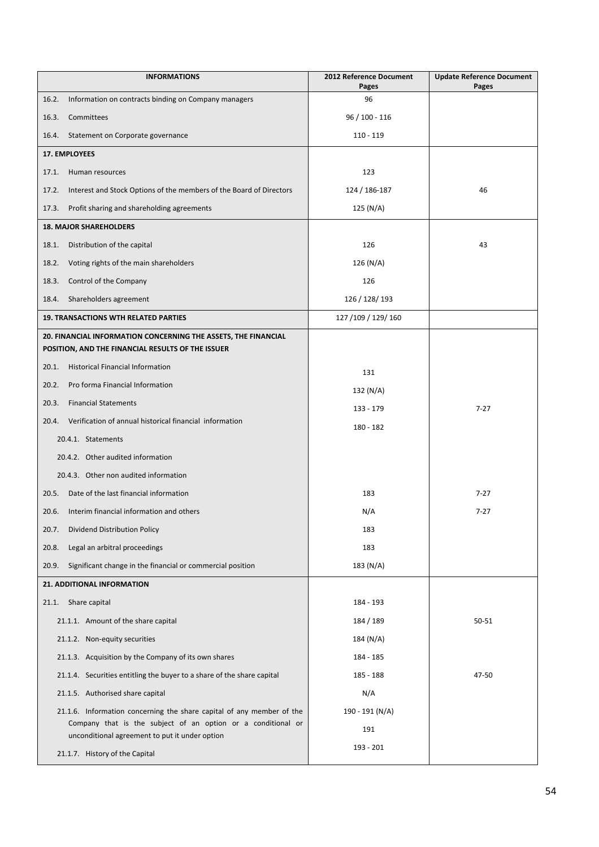| <b>INFORMATIONS</b>                                                                                            | 2012 Reference Document<br>Pages | <b>Update Reference Document</b><br>Pages |
|----------------------------------------------------------------------------------------------------------------|----------------------------------|-------------------------------------------|
| 16.2.<br>Information on contracts binding on Company managers                                                  | 96                               |                                           |
| 16.3.<br>Committees                                                                                            | 96 / 100 - 116                   |                                           |
| Statement on Corporate governance<br>16.4.                                                                     | $110 - 119$                      |                                           |
| 17. EMPLOYEES                                                                                                  |                                  |                                           |
| 17.1.<br>Human resources                                                                                       | 123                              |                                           |
| Interest and Stock Options of the members of the Board of Directors<br>17.2.                                   | 124 / 186-187                    | 46                                        |
| 17.3.<br>Profit sharing and shareholding agreements                                                            | 125 (N/A)                        |                                           |
| <b>18. MAJOR SHAREHOLDERS</b>                                                                                  |                                  |                                           |
| Distribution of the capital<br>18.1.                                                                           | 126                              | 43                                        |
| 18.2.<br>Voting rights of the main shareholders                                                                | 126 (N/A)                        |                                           |
| Control of the Company<br>18.3.                                                                                | 126                              |                                           |
| Shareholders agreement<br>18.4.                                                                                | 126 / 128 / 193                  |                                           |
| <b>19. TRANSACTIONS WTH RELATED PARTIES</b>                                                                    | 127 / 109 / 129 / 160            |                                           |
| 20. FINANCIAL INFORMATION CONCERNING THE ASSETS, THE FINANCIAL                                                 |                                  |                                           |
| POSITION, AND THE FINANCIAL RESULTS OF THE ISSUER                                                              |                                  |                                           |
| 20.1.<br><b>Historical Financial Information</b>                                                               | 131                              |                                           |
| 20.2.<br>Pro forma Financial Information                                                                       | 132 (N/A)                        |                                           |
| 20.3.<br><b>Financial Statements</b>                                                                           | 133 - 179                        | $7 - 27$                                  |
| Verification of annual historical financial information<br>20.4.                                               | 180 - 182                        |                                           |
| 20.4.1. Statements                                                                                             |                                  |                                           |
| 20.4.2. Other audited information                                                                              |                                  |                                           |
| 20.4.3. Other non audited information                                                                          |                                  |                                           |
| 20.5.<br>Date of the last financial information                                                                | 183                              | $7 - 27$                                  |
| Interim financial information and others<br>20.6.                                                              | N/A                              | $7 - 27$                                  |
| Dividend Distribution Policy<br>20.7.                                                                          | 183                              |                                           |
| 20.8.<br>Legal an arbitral proceedings                                                                         | 183                              |                                           |
| Significant change in the financial or commercial position<br>20.9.                                            | 183 (N/A)                        |                                           |
| 21. ADDITIONAL INFORMATION                                                                                     |                                  |                                           |
| 21.1. Share capital                                                                                            | 184 - 193                        |                                           |
| 21.1.1. Amount of the share capital                                                                            | 184 / 189                        | 50-51                                     |
| 21.1.2. Non-equity securities                                                                                  | 184 (N/A)                        |                                           |
| 21.1.3. Acquisition by the Company of its own shares                                                           | 184 - 185                        |                                           |
| 21.1.4. Securities entitling the buyer to a share of the share capital                                         | 185 - 188                        | 47-50                                     |
| 21.1.5. Authorised share capital                                                                               | N/A                              |                                           |
| 21.1.6. Information concerning the share capital of any member of the                                          | 190 - 191 (N/A)                  |                                           |
| Company that is the subject of an option or a conditional or<br>unconditional agreement to put it under option | 191                              |                                           |
| 21.1.7. History of the Capital                                                                                 | 193 - 201                        |                                           |